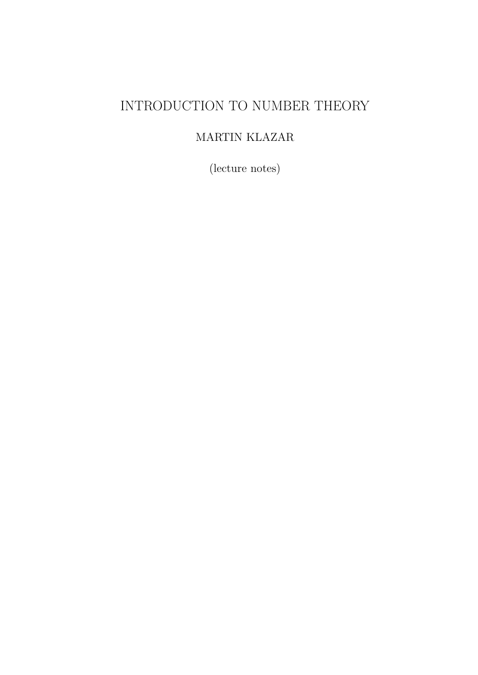## INTRODUCTION TO NUMBER THEORY

### MARTIN KLAZAR

(lecture notes)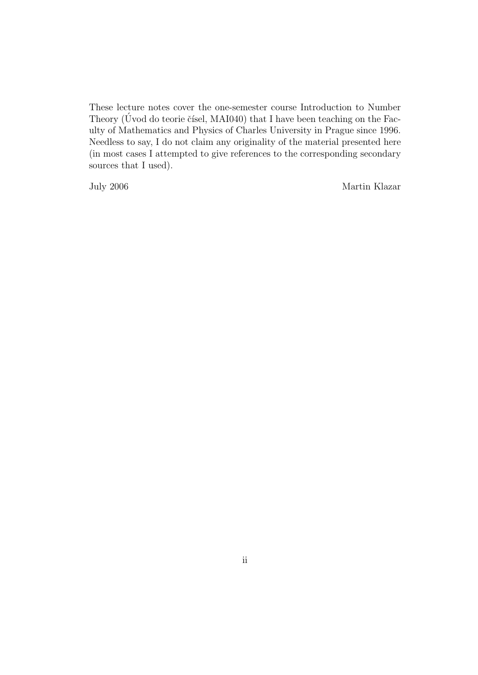These lecture notes cover the one-semester course Introduction to Number Theory (Uvod do teorie čísel, MAI040) that I have been teaching on the Faculty of Mathematics and Physics of Charles University in Prague since 1996. Needless to say, I do not claim any originality of the material presented here (in most cases I attempted to give references to the corresponding secondary sources that I used).

July 2006 Martin Klazar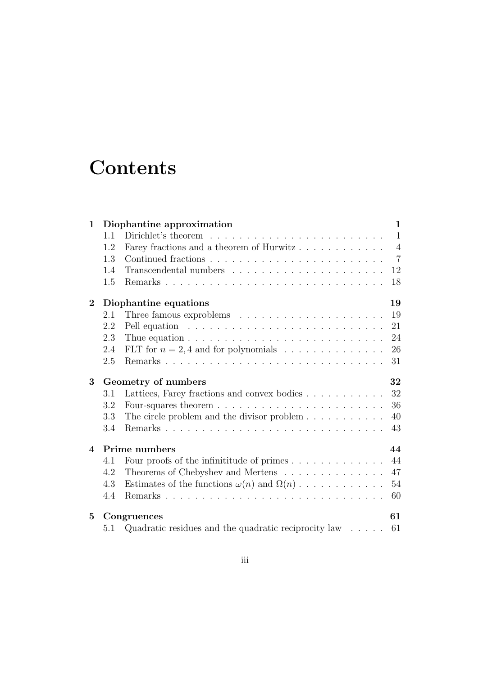# **Contents**

| 1              |                             | Diophantine approximation                                                      | $\mathbf{1}$   |  |  |
|----------------|-----------------------------|--------------------------------------------------------------------------------|----------------|--|--|
|                | 1.1                         |                                                                                | $\mathbf{1}$   |  |  |
|                | 1.2                         | Farey fractions and a theorem of Hurwitz                                       | $\overline{4}$ |  |  |
|                | 1.3                         |                                                                                | $\overline{7}$ |  |  |
|                | 1.4                         |                                                                                | 12             |  |  |
|                | 1.5                         |                                                                                | 18             |  |  |
| $\overline{2}$ | Diophantine equations<br>19 |                                                                                |                |  |  |
|                | 2.1                         |                                                                                | 19             |  |  |
|                | 2.2                         |                                                                                | 21             |  |  |
|                | 2.3                         | Thue equation $\ldots \ldots \ldots \ldots \ldots \ldots \ldots \ldots \ldots$ | 24             |  |  |
|                | 2.4                         |                                                                                | 26             |  |  |
|                | 2.5                         |                                                                                | 31             |  |  |
| 3              | Geometry of numbers<br>32   |                                                                                |                |  |  |
|                | 3.1                         | Lattices, Farey fractions and convex bodies                                    | 32             |  |  |
|                | 3.2                         |                                                                                | 36             |  |  |
|                | 3.3                         | The circle problem and the divisor problem $\dots \dots \dots$                 | 40             |  |  |
|                | 3.4                         |                                                                                | 43             |  |  |
| $\overline{4}$ | Prime numbers<br>44         |                                                                                |                |  |  |
|                | 4.1                         | Four proofs of the infinitiative of primes $\ldots \ldots \ldots \ldots$       | 44             |  |  |
|                | 4.2                         | Theorems of Chebyshev and Mertens                                              | 47             |  |  |
|                | 4.3                         | Estimates of the functions $\omega(n)$ and $\Omega(n)$                         | 54             |  |  |
|                | 4.4                         |                                                                                | 60             |  |  |
| $5^{\circ}$    | 61<br>Congruences           |                                                                                |                |  |  |
|                | 5.1                         | Quadratic residues and the quadratic reciprocity law $\dots$ . 61              |                |  |  |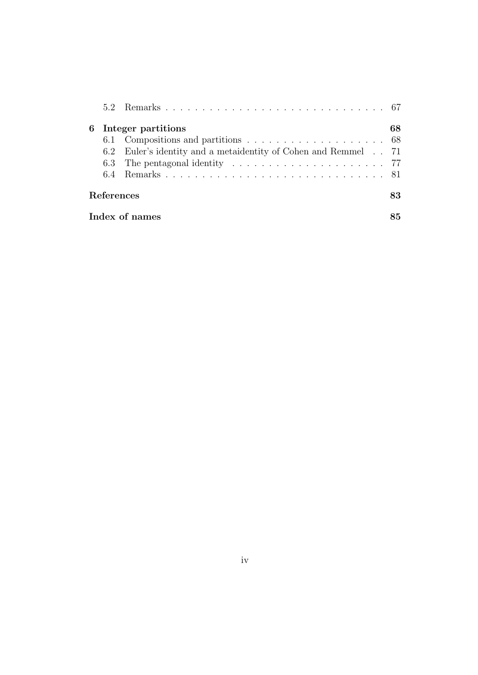|                   | 6 Integer partitions                                                                     | 68 |  |
|-------------------|------------------------------------------------------------------------------------------|----|--|
|                   |                                                                                          |    |  |
|                   | 6.2 Euler's identity and a metalentity of Cohen and Remmel . 71                          |    |  |
|                   | 6.3 The pentagonal identity $\ldots \ldots \ldots \ldots \ldots \ldots \ldots \ldots$ 77 |    |  |
|                   |                                                                                          |    |  |
| <b>References</b> |                                                                                          |    |  |
| Index of names    |                                                                                          |    |  |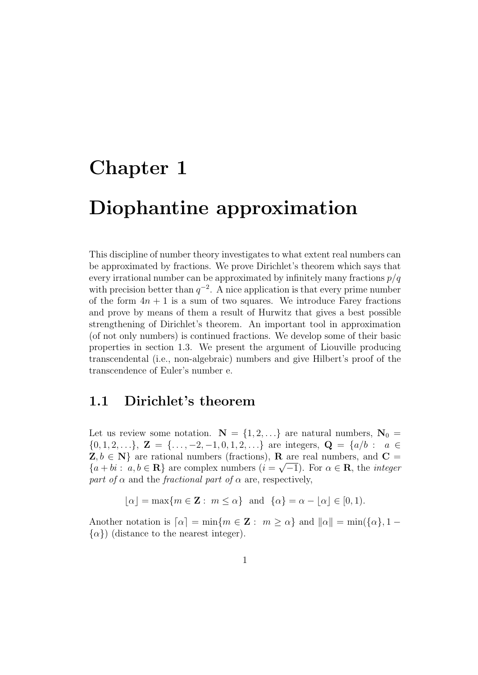# Chapter 1 Diophantine approximation

This discipline of number theory investigates to what extent real numbers can be approximated by fractions. We prove Dirichlet's theorem which says that every irrational number can be approximated by infinitely many fractions  $p/q$ with precision better than  $q^{-2}$ . A nice application is that every prime number of the form  $4n + 1$  is a sum of two squares. We introduce Farey fractions and prove by means of them a result of Hurwitz that gives a best possible strengthening of Dirichlet's theorem. An important tool in approximation (of not only numbers) is continued fractions. We develop some of their basic properties in section 1.3. We present the argument of Liouville producing transcendental (i.e., non-algebraic) numbers and give Hilbert's proof of the transcendence of Euler's number e.

### 1.1 Dirichlet's theorem

Let us review some notation.  $N = \{1, 2, ...\}$  are natural numbers,  $N_0 =$  $\{0, 1, 2, \ldots\}, \mathbf{Z} = \{\ldots, -2, -1, 0, 1, 2, \ldots\}$  are integers,  $\mathbf{Q} = \{a/b : a \in \mathbb{Z}\}$  $Z, b \in \mathbb{N}$  are rational numbers (fractions), **R** are real numbers, and **C** =  ${a + bi : a, b \in \mathbf{R}}$  are complex numbers  $(i = \sqrt{-1})$ . For  $\alpha \in \mathbf{R}$ , the *integer* part of  $\alpha$  and the fractional part of  $\alpha$  are, respectively,

 $|\alpha| = \max\{m \in \mathbf{Z} : m \leq \alpha\}$  and  $\{\alpha\} = \alpha - |\alpha| \in [0, 1).$ 

Another notation is  $\lceil \alpha \rceil = \min\{m \in \mathbb{Z} : m \geq \alpha\}$  and  $\lVert \alpha \rVert = \min\{\{\alpha\}, 1 - \alpha\}$  $\{\alpha\}$ ) (distance to the nearest integer).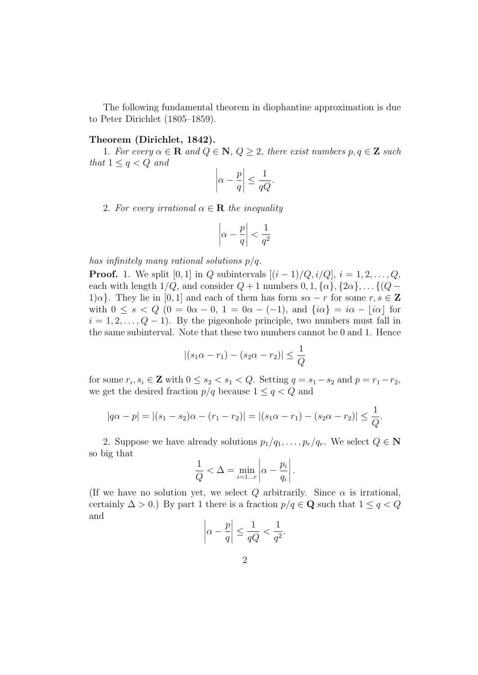The following fundamental theorem in diophantine approximation is due to Peter Dirichlet (1805–1859).

#### Theorem (Dirichlet, 1842).

1. For every  $\alpha \in \mathbf{R}$  and  $Q \in \mathbf{N}$ ,  $Q \geq 2$ , there exist numbers  $p, q \in \mathbf{Z}$  such that  $1 \leq q \leq Q$  and

$$
\left|\alpha - \frac{p}{q}\right| \le \frac{1}{qQ}.
$$

2. For every irrational  $\alpha \in \mathbf{R}$  the inequality

$$
\left|\alpha - \frac{p}{q}\right| < \frac{1}{q^2}
$$

has infinitely many rational solutions  $p/q$ .

**Proof.** 1. We split [0, 1] in Q subintervals  $[(i - 1)/Q, i/Q], i = 1, 2, ..., Q$ , each with length  $1/Q$ , and consider  $Q + 1$  numbers  $0, 1, {\alpha}, {\alpha}, {\alpha}, \ldots$  { $(Q 1\alpha$ . They lie in [0, 1] and each of them has form  $s\alpha - r$  for some  $r, s \in \mathbb{Z}$ with  $0 \le s < Q$   $(0 = 0\alpha - 0, 1 = 0\alpha - (-1))$ , and  $\{i\alpha\} = i\alpha - i\alpha$  for  $i = 1, 2, \ldots, Q - 1$ . By the pigeonhole principle, two numbers must fall in the same subinterval. Note that these two numbers cannot be 0 and 1. Hence

$$
|(s_1\alpha - r_1) - (s_2\alpha - r_2)| \leq \frac{1}{Q}
$$

for some  $r_i, s_i \in \mathbf{Z}$  with  $0 \leq s_2 < s_1 < Q$ . Setting  $q = s_1 - s_2$  and  $p = r_1 - r_2$ , we get the desired fraction  $p/q$  because  $1 \le q < Q$  and

$$
|q\alpha - p| = |(s_1 - s_2)\alpha - (r_1 - r_2)| = |(s_1\alpha - r_1) - (s_2\alpha - r_2)| \le \frac{1}{Q}.
$$

2. Suppose we have already solutions  $p_1/q_1, \ldots, p_r/q_r$ . We select  $Q \in \mathbb{N}$ so big that

$$
\frac{1}{Q} < \Delta = \min_{i=1...r} \left| \alpha - \frac{p_i}{q_i} \right|.
$$

(If we have no solution yet, we select Q arbitrarily. Since  $\alpha$  is irrational, certainly  $\Delta > 0$ .) By part 1 there is a fraction  $p/q \in \mathbf{Q}$  such that  $1 \leq q < Q$ and  $\overline{1}$ 

$$
\left|\alpha - \frac{p}{q}\right| \le \frac{1}{qQ} < \frac{1}{q^2}.
$$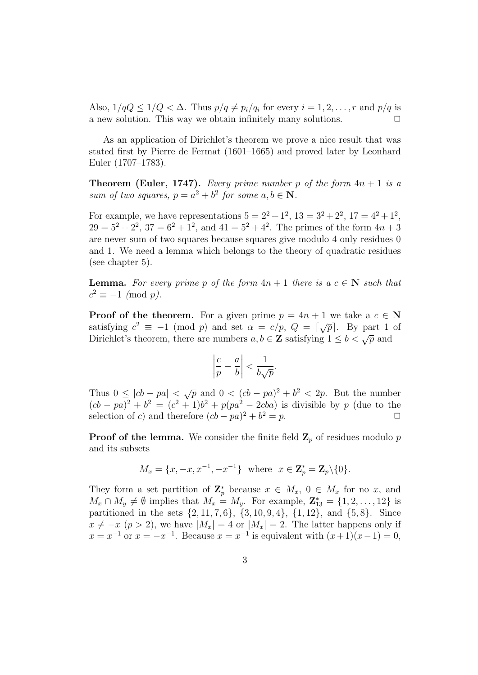Also,  $1/qQ \leq 1/Q < \Delta$ . Thus  $p/q \neq p_i/q_i$  for every  $i = 1, 2, ..., r$  and  $p/q$  is a new solution. This way we obtain infinitely many solutions.  $\Box$ 

As an application of Dirichlet's theorem we prove a nice result that was stated first by Pierre de Fermat (1601–1665) and proved later by Leonhard Euler (1707–1783).

**Theorem (Euler, 1747).** Every prime number p of the form  $4n + 1$  is a sum of two squares,  $p = a^2 + b^2$  for some  $a, b \in \mathbb{N}$ .

For example, we have representations  $5 = 2^2 + 1^2$ ,  $13 = 3^2 + 2^2$ ,  $17 = 4^2 + 1^2$ ,  $29 = 5^2 + 2^2$ ,  $37 = 6^2 + 1^2$ , and  $41 = 5^2 + 4^2$ . The primes of the form  $4n + 3$ are never sum of two squares because squares give modulo 4 only residues 0 and 1. We need a lemma which belongs to the theory of quadratic residues (see chapter 5).

**Lemma.** For every prime p of the form  $4n + 1$  there is a  $c \in \mathbb{N}$  such that  $c^2 \equiv -1 \pmod{p}.$ 

**Proof of the theorem.** For a given prime  $p = 4n + 1$  we take a  $c \in \mathbb{N}$ satisfying  $c^2 \equiv -1 \pmod{p}$  and set  $\alpha = c/p$ ,  $Q = \lfloor \sqrt{p} \rfloor$ . By part 1 of Dirichlet's theorem, there are numbers  $a, b \in \mathbb{Z}$  satisfying  $1 \leq b \leq \sqrt{p}$  and

$$
\left|\frac{c}{p} - \frac{a}{b}\right| < \frac{1}{b\sqrt{p}}.
$$

Thus  $0 \leq |cb - pa| < \sqrt{p}$  and  $0 < (cb - pa)^2 + b^2 < 2p$ . But the number  $(cb - pa)^2 + b^2 = (c^2 + 1)b^2 + p(pa^2 - 2cba)$  is divisible by p (due to the selection of c) and therefore  $(cb - pa)^2 + b^2 = p$ .

**Proof of the lemma.** We consider the finite field  $\mathbf{Z}_p$  of residues modulo p and its subsets

$$
M_x = \{x, -x, x^{-1}, -x^{-1}\}\
$$
 where  $x \in \mathbb{Z}_p^* = \mathbb{Z}_p \setminus \{0\}.$ 

They form a set partition of  $\mathbb{Z}_p^*$  because  $x \in M_x$ ,  $0 \in M_x$  for no x, and  $M_x \cap M_y \neq \emptyset$  implies that  $M_x = M_y$ . For example,  $\mathbf{Z}_{13}^* = \{1, 2, \ldots, 12\}$  is partitioned in the sets  $\{2, 11, 7, 6\}$ ,  $\{3, 10, 9, 4\}$ ,  $\{1, 12\}$ , and  $\{5, 8\}$ . Since  $x \neq -x$  (p > 2), we have  $|M_x| = 4$  or  $|M_x| = 2$ . The latter happens only if  $x = x^{-1}$  or  $x = -x^{-1}$ . Because  $x = x^{-1}$  is equivalent with  $(x+1)(x-1) = 0$ ,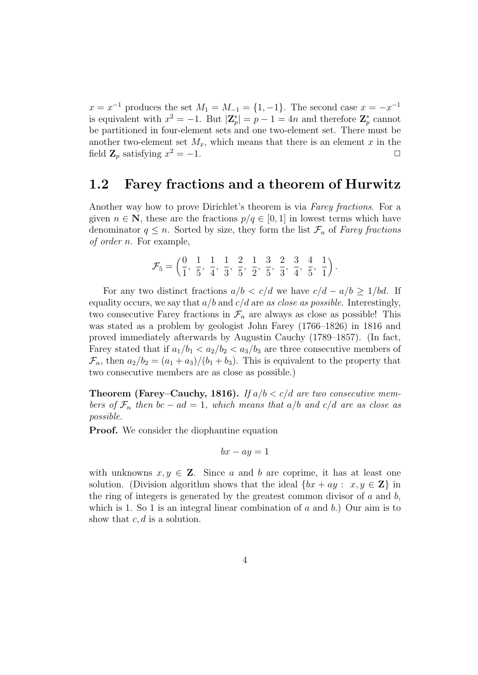$x = x^{-1}$  produces the set  $M_1 = M_{-1} = \{1, -1\}$ . The second case  $x = -x^{-1}$ is equivalent with  $x^2 = -1$ . But  $|\mathbf{Z}_p^*| = p - 1 = 4n$  and therefore  $\mathbf{Z}_p^*$  cannot be partitioned in four-element sets and one two-element set. There must be another two-element set  $M_x$ , which means that there is an element x in the field  $\mathbf{Z}_p$  satisfying  $x^2 = -1$ .

#### 1.2 Farey fractions and a theorem of Hurwitz

Another way how to prove Dirichlet's theorem is via Farey fractions. For a given  $n \in \mathbb{N}$ , these are the fractions  $p/q \in [0,1]$  in lowest terms which have denominator  $q \leq n$ . Sorted by size, they form the list  $\mathcal{F}_n$  of Farey fractions of order n. For example,

$$
\mathcal{F}_5 = \left(\frac{0}{1}, \frac{1}{5}, \frac{1}{4}, \frac{1}{3}, \frac{2}{5}, \frac{1}{2}, \frac{3}{5}, \frac{2}{3}, \frac{3}{4}, \frac{4}{5}, \frac{1}{1}\right).
$$

For any two distinct fractions  $a/b < c/d$  we have  $c/d - a/b \geq 1/bd$ . If equality occurs, we say that  $a/b$  and  $c/d$  are as close as possible. Interestingly, two consecutive Farey fractions in  $\mathcal{F}_n$  are always as close as possible! This was stated as a problem by geologist John Farey (1766–1826) in 1816 and proved immediately afterwards by Augustin Cauchy (1789–1857). (In fact, Farey stated that if  $a_1/b_1 < a_2/b_2 < a_3/b_3$  are three consecutive members of  $\mathcal{F}_n$ , then  $a_2/b_2 = (a_1 + a_3)/(b_1 + b_3)$ . This is equivalent to the property that two consecutive members are as close as possible.)

**Theorem (Farey–Cauchy, 1816).** If  $a/b < c/d$  are two consecutive members of  $\mathcal{F}_n$  then bc – ad = 1, which means that a/b and c/d are as close as possible.

**Proof.** We consider the diophantine equation

$$
bx - ay = 1
$$

with unknowns  $x, y \in \mathbb{Z}$ . Since a and b are coprime, it has at least one solution. (Division algorithm shows that the ideal  $\{bx + ay : x, y \in \mathbb{Z}\}\$ in the ring of integers is generated by the greatest common divisor of  $a$  and  $b$ , which is 1. So 1 is an integral linear combination of  $a$  and  $b$ .) Our aim is to show that  $c, d$  is a solution.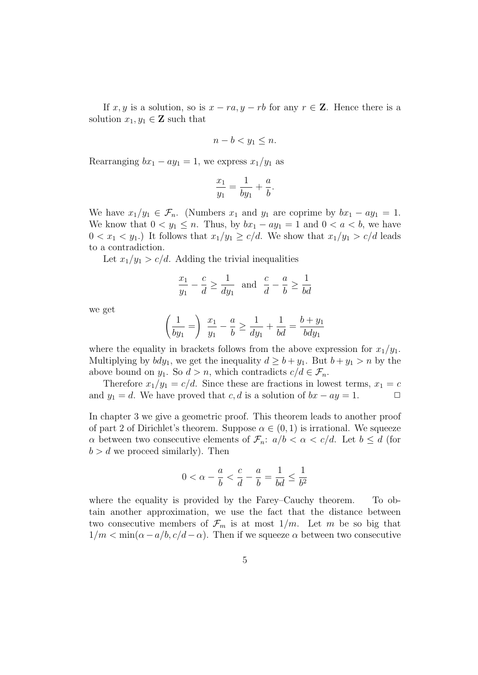If x, y is a solution, so is  $x - ra$ ,  $y - rb$  for any  $r \in \mathbb{Z}$ . Hence there is a solution  $x_1, y_1 \in \mathbf{Z}$  such that

$$
n - b < y_1 \leq n.
$$

Rearranging  $bx_1 - ay_1 = 1$ , we express  $x_1/y_1$  as

$$
\frac{x_1}{y_1} = \frac{1}{by_1} + \frac{a}{b}
$$

.

We have  $x_1/y_1 \in \mathcal{F}_n$ . (Numbers  $x_1$  and  $y_1$  are coprime by  $bx_1 - ay_1 = 1$ . We know that  $0 < y_1 \leq n$ . Thus, by  $bx_1 - ay_1 = 1$  and  $0 < a < b$ , we have  $0 < x_1 < y_1$ .) It follows that  $x_1/y_1 \ge c/d$ . We show that  $x_1/y_1 > c/d$  leads to a contradiction.

Let  $x_1/y_1 > c/d$ . Adding the trivial inequalities

$$
rac{x_1}{y_1} - \frac{c}{d} \ge \frac{1}{dy_1}
$$
 and  $\frac{c}{d} - \frac{a}{b} \ge \frac{1}{bd}$ 

we get

$$
\left(\frac{1}{by_1} = \right) \frac{x_1}{y_1} - \frac{a}{b} \ge \frac{1}{dy_1} + \frac{1}{bd} = \frac{b+y_1}{bdy_1}
$$

where the equality in brackets follows from the above expression for  $x_1/y_1$ . Multiplying by  $bdy_1$ , we get the inequality  $d \geq b + y_1$ . But  $b + y_1 > n$  by the above bound on  $y_1$ . So  $d > n$ , which contradicts  $c/d \in \mathcal{F}_n$ .

Therefore  $x_1/y_1 = c/d$ . Since these are fractions in lowest terms,  $x_1 = c$ and  $y_1 = d$ . We have proved that c, d is a solution of  $bx - ay = 1$ .  $\Box$ 

In chapter 3 we give a geometric proof. This theorem leads to another proof of part 2 of Dirichlet's theorem. Suppose  $\alpha \in (0,1)$  is irrational. We squeeze  $\alpha$  between two consecutive elements of  $\mathcal{F}_n: a/b < \alpha < c/d$ . Let  $b \leq d$  (for  $b > d$  we proceed similarly). Then

$$
0 < \alpha - \frac{a}{b} < \frac{c}{d} - \frac{a}{b} = \frac{1}{bd} \le \frac{1}{b^2}
$$

where the equality is provided by the Farey–Cauchy theorem. To obtain another approximation, we use the fact that the distance between two consecutive members of  $\mathcal{F}_m$  is at most  $1/m$ . Let m be so big that  $1/m < \min(\alpha - a/b, c/d - \alpha)$ . Then if we squeeze  $\alpha$  between two consecutive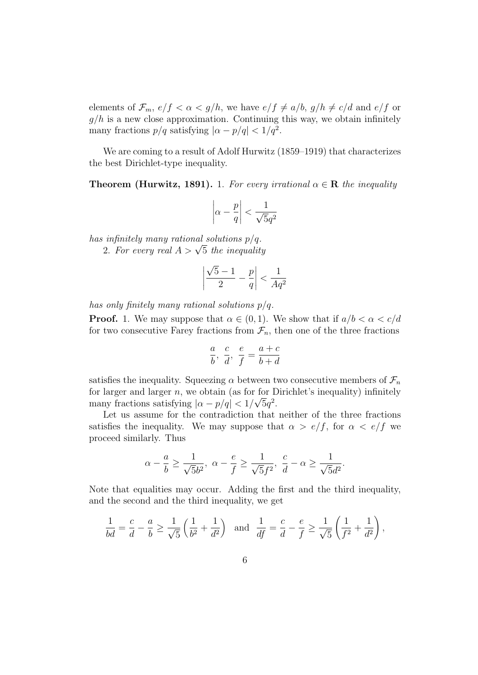elements of  $\mathcal{F}_m$ ,  $e/f < \alpha < g/h$ , we have  $e/f \neq a/b$ ,  $g/h \neq c/d$  and  $e/f$  or  $g/h$  is a new close approximation. Continuing this way, we obtain infinitely many fractions  $p/q$  satisfying  $|\alpha - p/q| < 1/q^2$ .

We are coming to a result of Adolf Hurwitz (1859–1919) that characterizes the best Dirichlet-type inequality.

**Theorem (Hurwitz, 1891).** 1. For every irrational  $\alpha \in \mathbf{R}$  the inequality

$$
\left|\alpha - \frac{p}{q}\right| < \frac{1}{\sqrt{5}q^2}
$$

has infinitely many rational solutions  $p/q$ .

mpinitely many rational solutions  $p/q$ .<br>2. For every real  $A > \sqrt{5}$  the inequality

$$
\left|\frac{\sqrt{5}-1}{2}-\frac{p}{q}\right|<\frac{1}{Aq^2}
$$

has only finitely many rational solutions  $p/q$ .

**Proof.** 1. We may suppose that  $\alpha \in (0,1)$ . We show that if  $a/b < \alpha < c/d$ for two consecutive Farey fractions from  $\mathcal{F}_n$ , then one of the three fractions

$$
\frac{a}{b},~\frac{c}{d},~\frac{e}{f}=\frac{a+c}{b+d}
$$

satisfies the inequality. Squeezing  $\alpha$  between two consecutive members of  $\mathcal{F}_n$ for larger and larger n, we obtain (as for for Dirichlet's inequality) infinitely many fractions satisfying  $|\alpha - p/q| < 1/\sqrt{5q^2}$ .

Let us assume for the contradiction that neither of the three fractions satisfies the inequality. We may suppose that  $\alpha > e/f$ , for  $\alpha < e/f$  we proceed similarly. Thus

$$
\alpha - \frac{a}{b} \ge \frac{1}{\sqrt{5}b^2}, \ \alpha - \frac{e}{f} \ge \frac{1}{\sqrt{5}f^2}, \ \frac{c}{d} - \alpha \ge \frac{1}{\sqrt{5}d^2}.
$$

Note that equalities may occur. Adding the first and the third inequality, and the second and the third inequality, we get

$$
\frac{1}{bd} = \frac{c}{d} - \frac{a}{b} \ge \frac{1}{\sqrt{5}} \left( \frac{1}{b^2} + \frac{1}{d^2} \right) \text{ and } \frac{1}{df} = \frac{c}{d} - \frac{e}{f} \ge \frac{1}{\sqrt{5}} \left( \frac{1}{f^2} + \frac{1}{d^2} \right),
$$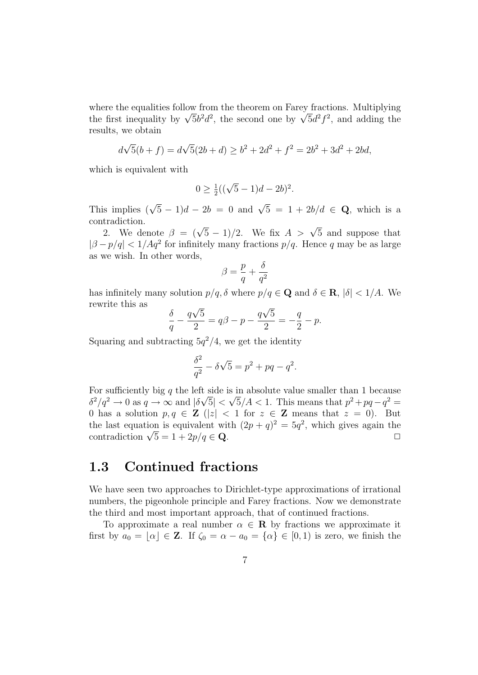where the equalities follow from the theorem on Farey fractions. Multiplying where the equalities follow from the theorem on Farey fractions. Multiplying the first inequality by  $\sqrt{5}b^2d^2$ , the second one by  $\sqrt{5}d^2f^2$ , and adding the results, we obtain

$$
d\sqrt{5}(b+f) = d\sqrt{5}(2b+d) \ge b^2 + 2d^2 + f^2 = 2b^2 + 3d^2 + 2bd,
$$

which is equivalent with

$$
0 \ge \frac{1}{2}((\sqrt{5}-1)d - 2b)^2.
$$

This implies  $(\sqrt{5}-1)d - 2b = 0$  and  $\sqrt{5} = 1 + 2b/d \in \mathbf{Q}$ , which is a contradiction.

tradiction.<br>2. We denote  $\beta = (\sqrt{5} - 1)/2$ . We fix  $A > \sqrt{5}$  and suppose that  $|\beta - p/q| < 1/Aq^2$  for infinitely many fractions  $p/q$ . Hence q may be as large as we wish. In other words,

$$
\beta = \frac{p}{q} + \frac{\delta}{q^2}
$$

has infinitely many solution  $p/q$ ,  $\delta$  where  $p/q \in \mathbf{Q}$  and  $\delta \in \mathbf{R}$ ,  $|\delta| < 1/A$ . We rewrite this as √ √

$$
\frac{\delta}{q} - \frac{q\sqrt{5}}{2} = q\beta - p - \frac{q\sqrt{5}}{2} = -\frac{q}{2} - p.
$$

Squaring and subtracting  $5q^2/4$ , we get the identity

$$
\frac{\delta^2}{q^2} - \delta\sqrt{5} = p^2 + pq - q^2.
$$

For sufficiently big q the left side is in absolute value smaller than 1 because  $\delta^2/q^2 \to 0$  as  $q \to \infty$  and  $|\delta\sqrt{5}| < \sqrt{5}/A < 1$ . This means that  $p^2 + pq - q^2 =$ 0 has a solution  $p, q \in \mathbb{Z}$  (|z| < 1 for  $z \in \mathbb{Z}$  means that  $z = 0$ ). But the last equation is equivalent with  $(2p + q)^2 = 5q^2$ , which gives again the the last equation is equivalent with  $(2p + q)^2 = 5q^2$ , which gives again the contradiction  $\sqrt{5} = 1 + 2p/q \in \mathbb{Q}$ .

### 1.3 Continued fractions

We have seen two approaches to Dirichlet-type approximations of irrational numbers, the pigeonhole principle and Farey fractions. Now we demonstrate the third and most important approach, that of continued fractions.

To approximate a real number  $\alpha \in \mathbf{R}$  by fractions we approximate it first by  $a_0 = [\alpha] \in \mathbb{Z}$ . If  $\zeta_0 = \alpha - a_0 = {\alpha} \in [0, 1)$  is zero, we finish the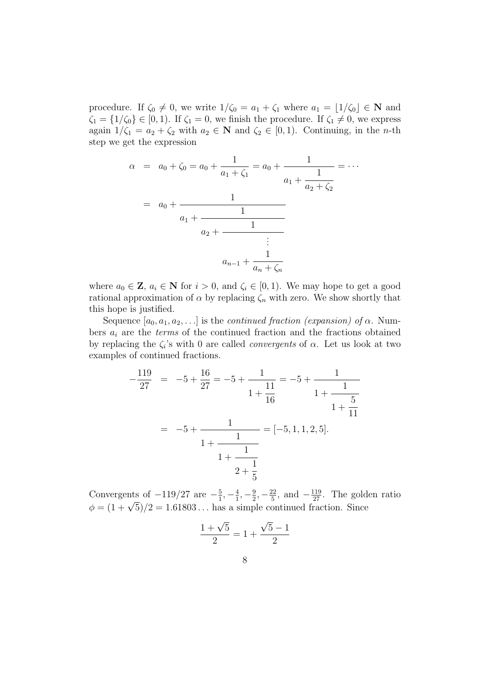procedure. If  $\zeta_0 \neq 0$ , we write  $1/\zeta_0 = a_1 + \zeta_1$  where  $a_1 = \lfloor 1/\zeta_0 \rfloor \in \mathbb{N}$  and  $\zeta_1 = \{1/\zeta_0\} \in [0,1)$ . If  $\zeta_1 = 0$ , we finish the procedure. If  $\zeta_1 \neq 0$ , we express again  $1/\zeta_1 = a_2 + \zeta_2$  with  $a_2 \in \mathbb{N}$  and  $\zeta_2 \in [0,1)$ . Continuing, in the *n*-th step we get the expression

$$
\alpha = a_0 + \zeta_0 = a_0 + \frac{1}{a_1 + \zeta_1} = a_0 + \frac{1}{a_1 + \frac{1}{a_2 + \zeta_2}} = \cdots
$$

$$
= a_0 + \frac{1}{a_1 + \frac{1}{a_2 + \frac{1}{a_2 + \frac{1}{a_2 + \frac{1}{a_2 + \frac{1}{a_2 + \frac{1}{a_2 + \frac{1}{a_2 + \frac{1}{a_2 + \frac{1}{a_2 + \frac{1}{a_2 + \frac{1}{a_2 + \frac{1}{a_2 + \frac{1}{a_2 + \frac{1}{a_2 + \frac{1}{a_2 + \frac{1}{a_2 + \frac{1}{a_2 + \frac{1}{a_2 + \frac{1}{a_2 + \frac{1}{a_2 + \frac{1}{a_2 + \frac{1}{a_2 + \frac{1}{a_2 + \frac{1}{a_2 + \frac{1}{a_2 + \frac{1}{a_2 + \frac{1}{a_2 + \frac{1}{a_2 + \frac{1}{a_2 + \frac{1}{a_2 + \frac{1}{a_2 + \frac{1}{a_2 + \frac{1}{a_2 + \frac{1}{a_2 + \frac{1}{a_2 + \frac{1}{a_2 + \frac{1}{a_2 + \frac{1}{a_2 + \frac{1}{a_2 + \frac{1}{a_2 + \frac{1}{a_2 + \frac{1}{a_2 + \frac{1}{a_2 + \frac{1}{a_2 + \frac{1}{a_2 + \frac{1}{a_2 + \frac{1}{a_2 + \frac{1}{a_2 + \frac{1}{a_2 + \frac{1}{a_2 + \frac{1}{a_2 + \frac{1}{a_2 + \frac{1}{a_2 + \frac{1}{a_2 + \frac{1}{a_2 + \frac{1}{a_2 + \frac{1}{a_2 + \frac{1}{a_2 + \frac{1}{a_2 + \frac{1}{a_2 + \frac{1}{a_2 + \frac{1}{a_2 + \frac{1}{a_2 + \frac{1}{a_2 + \frac{1}{a_2 + \frac{1}{a_2 + \frac{1}{a_2 + \frac{1}{a_2 + \frac{1}{a_2 + \frac{1}{a_2 + \frac{1}{a_2 + \frac{1}{a_2 + \frac{1}{a_2 + \frac{1}{a_2 + \frac{1}{a_
$$

where  $a_0 \in \mathbf{Z}$ ,  $a_i \in \mathbf{N}$  for  $i > 0$ , and  $\zeta_i \in [0, 1)$ . We may hope to get a good rational approximation of  $\alpha$  by replacing  $\zeta_n$  with zero. We show shortly that this hope is justified.

Sequence  $[a_0, a_1, a_2, \ldots]$  is the *continued fraction (expansion) of α*. Numbers  $a_i$  are the *terms* of the continued fraction and the fractions obtained by replacing the  $\zeta_i$ 's with 0 are called *convergents* of  $\alpha$ . Let us look at two examples of continued fractions.

−

$$
-\frac{119}{27} = -5 + \frac{16}{27} = -5 + \frac{1}{1 + \frac{11}{16}} = -5 + \frac{1}{1 + \frac{1}{16}}
$$
  
= -5 + 
$$
\frac{1}{1 + \frac{1}{1 + \frac{1}{14}}}
$$
 = [-5, 1, 1, 2, 5].  

$$
\frac{1}{1 + \frac{1}{1 + \frac{1}{16}}}
$$

Convergents of  $-119/27$  are  $-\frac{5}{1}$  $\frac{5}{1}, -\frac{4}{1}$  $\frac{4}{1}, -\frac{9}{2}$  $\frac{9}{2}, -\frac{22}{5}$  $\frac{22}{5}$ , and  $-\frac{119}{27}$ . The golden ratio Convergents or  $-119/27$  are  $-\frac{1}{1}, -\frac{1}{1}, -\frac{1}{2}, -\frac{1}{5}$ , and  $-\frac{1}{27}$ . The gold  $\phi = (1 + \sqrt{5})/2 = 1.61803...$  has a simple continued fraction. Since

$$
\frac{1+\sqrt{5}}{2} = 1 + \frac{\sqrt{5}-1}{2}
$$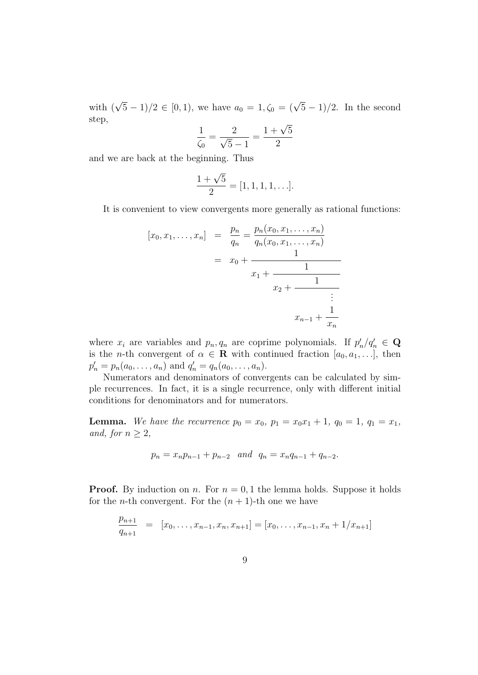with  $(\sqrt{5}-1)/2 \in [0,1)$ , we have  $a_0 = 1, \zeta_0 = (\sqrt{5}-1)/2$ . In the second step,

$$
\frac{1}{\zeta_0} = \frac{2}{\sqrt{5} - 1} = \frac{1 + \sqrt{5}}{2}
$$

and we are back at the beginning. Thus

$$
\frac{1+\sqrt{5}}{2} = [1, 1, 1, 1, \ldots].
$$

It is convenient to view convergents more generally as rational functions:

$$
[x_0, x_1, \dots, x_n] = \frac{p_n}{q_n} = \frac{p_n(x_0, x_1, \dots, x_n)}{q_n(x_0, x_1, \dots, x_n)}
$$
  
=  $x_0 + \frac{1}{x_1 + \frac{1}{x_2 + \frac{1}{\vdots}}}$   
 $x_{n-1} + \frac{1}{x_n}$ 

where  $x_i$  are variables and  $p_n, q_n$  are coprime polynomials. If  $p'_n/q'_n \in \mathbf{Q}$ is the *n*-th convergent of  $\alpha \in \mathbf{R}$  with continued fraction  $[a_0, a_1, \ldots]$ , then  $p'_n = p_n(a_0, \ldots, a_n)$  and  $q'_n = q_n(a_0, \ldots, a_n)$ .

Numerators and denominators of convergents can be calculated by simple recurrences. In fact, it is a single recurrence, only with different initial conditions for denominators and for numerators.

**Lemma.** We have the recurrence  $p_0 = x_0$ ,  $p_1 = x_0x_1 + 1$ ,  $q_0 = 1$ ,  $q_1 = x_1$ , and, for  $n \geq 2$ ,

$$
p_n = x_n p_{n-1} + p_{n-2} \quad and \quad q_n = x_n q_{n-1} + q_{n-2}.
$$

**Proof.** By induction on n. For  $n = 0, 1$  the lemma holds. Suppose it holds for the *n*-th convergent. For the  $(n + 1)$ -th one we have

$$
\frac{p_{n+1}}{q_{n+1}} = [x_0, \dots, x_{n-1}, x_n, x_{n+1}] = [x_0, \dots, x_{n-1}, x_n + 1/x_{n+1}]
$$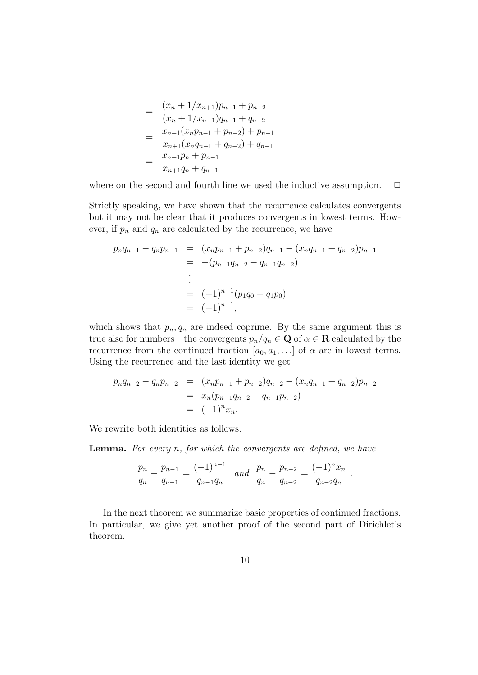$$
= \frac{(x_n + 1/x_{n+1})p_{n-1} + p_{n-2}}{(x_n + 1/x_{n+1})q_{n-1} + q_{n-2}}
$$
  

$$
= \frac{x_{n+1}(x_n p_{n-1} + p_{n-2}) + p_{n-1}}{x_{n+1}(x_n q_{n-1} + q_{n-2}) + q_{n-1}}
$$
  

$$
= \frac{x_{n+1}p_n + p_{n-1}}{x_{n+1}q_n + q_{n-1}}
$$

where on the second and fourth line we used the inductive assumption.  $\Box$ 

Strictly speaking, we have shown that the recurrence calculates convergents but it may not be clear that it produces convergents in lowest terms. However, if  $p_n$  and  $q_n$  are calculated by the recurrence, we have

$$
p_n q_{n-1} - q_n p_{n-1} = (x_n p_{n-1} + p_{n-2}) q_{n-1} - (x_n q_{n-1} + q_{n-2}) p_{n-1}
$$
  
= -(p\_{n-1} q\_{n-2} - q\_{n-1} q\_{n-2})  
:  
= (-1)^{n-1} (p\_1 q\_0 - q\_1 p\_0)  
= (-1)^{n-1},

which shows that  $p_n, q_n$  are indeed coprime. By the same argument this is true also for numbers—the convergents  $p_n/q_n \in \mathbf{Q}$  of  $\alpha \in \mathbf{R}$  calculated by the recurrence from the continued fraction  $[a_0, a_1, \ldots]$  of  $\alpha$  are in lowest terms. Using the recurrence and the last identity we get

$$
p_n q_{n-2} - q_n p_{n-2} = (x_n p_{n-1} + p_{n-2}) q_{n-2} - (x_n q_{n-1} + q_{n-2}) p_{n-2}
$$
  
=  $x_n (p_{n-1} q_{n-2} - q_{n-1} p_{n-2})$   
=  $(-1)^n x_n$ .

We rewrite both identities as follows.

**Lemma.** For every n, for which the convergents are defined, we have

$$
\frac{p_n}{q_n} - \frac{p_{n-1}}{q_{n-1}} = \frac{(-1)^{n-1}}{q_{n-1}q_n} \quad and \quad \frac{p_n}{q_n} - \frac{p_{n-2}}{q_{n-2}} = \frac{(-1)^n x_n}{q_{n-2}q_n} .
$$

In the next theorem we summarize basic properties of continued fractions. In particular, we give yet another proof of the second part of Dirichlet's theorem.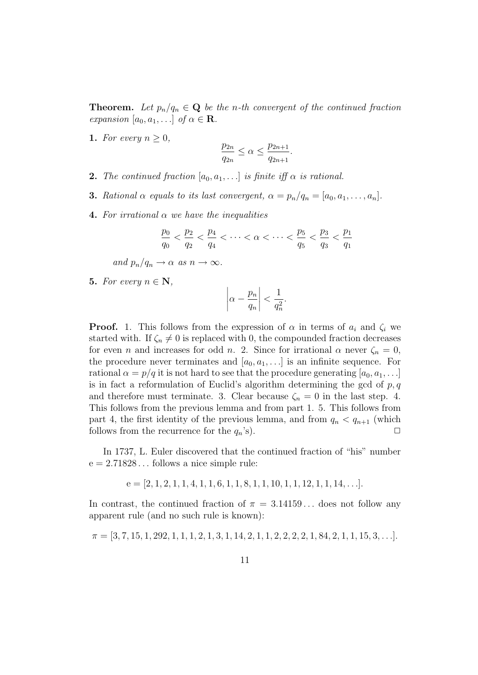**Theorem.** Let  $p_n/q_n \in \mathbf{Q}$  be the n-th convergent of the continued fraction expansion  $[a_0, a_1, \ldots]$  of  $\alpha \in \mathbf{R}$ .

1. For every  $n \geq 0$ ,

$$
\frac{p_{2n}}{q_{2n}} \le \alpha \le \frac{p_{2n+1}}{q_{2n+1}}.
$$

- **2.** The continued fraction  $[a_0, a_1, \ldots]$  is finite iff  $\alpha$  is rational.
- **3.** Rational  $\alpha$  equals to its last convergent,  $\alpha = p_n/q_n = [a_0, a_1, \ldots, a_n].$
- 4. For irrational  $\alpha$  we have the inequalities

$$
\frac{p_0}{q_0} < \frac{p_2}{q_2} < \frac{p_4}{q_4} < \cdots < \alpha < \cdots < \frac{p_5}{q_5} < \frac{p_3}{q_3} < \frac{p_1}{q_1}
$$

and  $p_n/q_n \to \alpha$  as  $n \to \infty$ .

5. For every  $n \in \mathbb{N}$ ,

$$
\left|\alpha - \frac{p_n}{q_n}\right| < \frac{1}{q_n^2}.
$$

**Proof.** 1. This follows from the expression of  $\alpha$  in terms of  $a_i$  and  $\zeta_i$  we started with. If  $\zeta_n \neq 0$  is replaced with 0, the compounded fraction decreases for even *n* and increases for odd *n*. 2. Since for irrational  $\alpha$  never  $\zeta_n = 0$ , the procedure never terminates and  $[a_0, a_1, \ldots]$  is an infinite sequence. For rational  $\alpha = p/q$  it is not hard to see that the procedure generating  $[a_0, a_1, \ldots]$ is in fact a reformulation of Euclid's algorithm determining the gcd of  $p, q$ and therefore must terminate. 3. Clear because  $\zeta_n = 0$  in the last step. 4. This follows from the previous lemma and from part 1. 5. This follows from part 4, the first identity of the previous lemma, and from  $q_n < q_{n+1}$  (which follows from the recurrence for the  $q_n$ 's).  $\Box$ 

In 1737, L. Euler discovered that the continued fraction of "his" number  $e = 2.71828...$  follows a nice simple rule:

$$
e = [2, 1, 2, 1, 1, 4, 1, 1, 6, 1, 1, 8, 1, 1, 10, 1, 1, 12, 1, 1, 14, \ldots].
$$

In contrast, the continued fraction of  $\pi = 3.14159...$  does not follow any apparent rule (and no such rule is known):

$$
\pi = [3, 7, 15, 1, 292, 1, 1, 1, 2, 1, 3, 1, 14, 2, 1, 1, 2, 2, 2, 2, 1, 84, 2, 1, 1, 15, 3, \ldots].
$$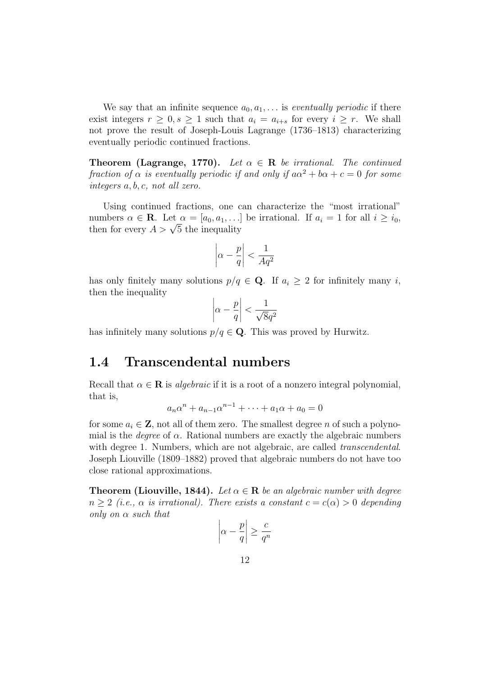We say that an infinite sequence  $a_0, a_1, \ldots$  is eventually periodic if there exist integers  $r \geq 0, s \geq 1$  such that  $a_i = a_{i+s}$  for every  $i \geq r$ . We shall not prove the result of Joseph-Louis Lagrange (1736–1813) characterizing eventually periodic continued fractions.

**Theorem (Lagrange, 1770).** Let  $\alpha \in \mathbb{R}$  be irrational. The continued fraction of  $\alpha$  is eventually periodic if and only if  $a\alpha^2 + b\alpha + c = 0$  for some integers a, b, c, not all zero.

Using continued fractions, one can characterize the "most irrational" numbers  $\alpha \in \mathbf{R}$ . Let  $\alpha = [a_0, a_1, \ldots]$  be irrational. If  $a_i = 1$  for all  $i \geq i_0$ , numbers  $\alpha \in \mathbf{R}$ . Let  $\alpha = [a_0, a_1, \ldots]$ <br>then for every  $A > \sqrt{5}$  the inequality

$$
\left|\alpha - \frac{p}{q}\right| < \frac{1}{Aq^2}
$$

has only finitely many solutions  $p/q \in \mathbf{Q}$ . If  $a_i \geq 2$  for infinitely many i, then the inequality

$$
\left|\alpha - \frac{p}{q}\right| < \frac{1}{\sqrt{8}q^2}
$$

has infinitely many solutions  $p/q \in \mathbf{Q}$ . This was proved by Hurwitz.

### 1.4 Transcendental numbers

Recall that  $\alpha \in \mathbf{R}$  is *algebraic* if it is a root of a nonzero integral polynomial, that is,

$$
a_n \alpha^n + a_{n-1} \alpha^{n-1} + \dots + a_1 \alpha + a_0 = 0
$$

for some  $a_i \in \mathbf{Z}$ , not all of them zero. The smallest degree n of such a polynomial is the *degree* of  $\alpha$ . Rational numbers are exactly the algebraic numbers with degree 1. Numbers, which are not algebraic, are called *transcendental*. Joseph Liouville (1809–1882) proved that algebraic numbers do not have too close rational approximations.

**Theorem (Liouville, 1844).** Let  $\alpha \in \mathbf{R}$  be an algebraic number with degree  $n \geq 2$  (i.e.,  $\alpha$  is irrational). There exists a constant  $c = c(\alpha) > 0$  depending only on  $\alpha$  such that

$$
\left|\alpha - \frac{p}{q}\right| \ge \frac{c}{q^n}
$$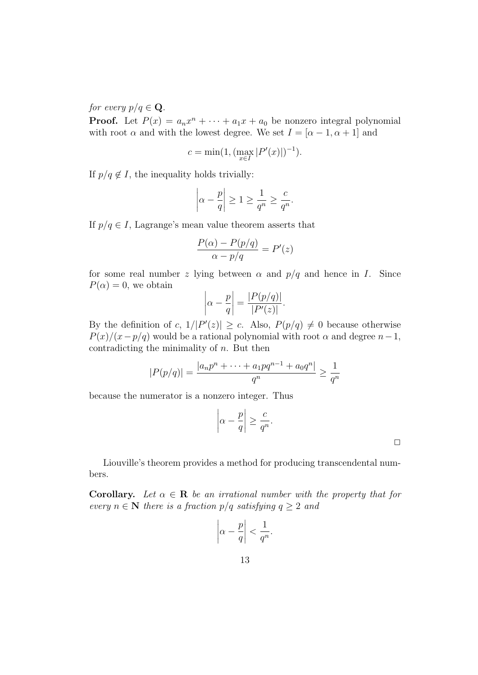for every  $p/q \in \mathbf{Q}$ .

**Proof.** Let  $P(x) = a_n x^n + \cdots + a_1 x + a_0$  be nonzero integral polynomial with root  $\alpha$  and with the lowest degree. We set  $I = [\alpha - 1, \alpha + 1]$  and

$$
c = \min(1, (\max_{x \in I} |P'(x)|)^{-1}).
$$

If  $p/q \notin I$ , the inequality holds trivially:

$$
\left|\alpha - \frac{p}{q}\right| \ge 1 \ge \frac{1}{q^n} \ge \frac{c}{q^n}.
$$

If  $p/q \in I$ , Lagrange's mean value theorem asserts that

$$
\frac{P(\alpha) - P(p/q)}{\alpha - p/q} = P'(z)
$$

for some real number z lying between  $\alpha$  and  $p/q$  and hence in I. Since  $P(\alpha) = 0$ , we obtain

$$
\left|\alpha - \frac{p}{q}\right| = \frac{|P(p/q)|}{|P'(z)|}.
$$

By the definition of c,  $1/|P'(z)| \geq c$ . Also,  $P(p/q) \neq 0$  because otherwise  $P(x)/(x-p/q)$  would be a rational polynomial with root  $\alpha$  and degree  $n-1$ , contradicting the minimality of  $n$ . But then

$$
|P(p/q)| = \frac{|a_n p^n + \dots + a_1 pq^{n-1} + a_0 q^n|}{q^n} \ge \frac{1}{q^n}
$$

because the numerator is a nonzero integer. Thus

$$
\left|\alpha - \frac{p}{q}\right| \ge \frac{c}{q^n}.
$$

 $\Box$ 

Liouville's theorem provides a method for producing transcendental numbers.

**Corollary.** Let  $\alpha \in \mathbb{R}$  be an irrational number with the property that for every  $n \in \mathbb{N}$  there is a fraction  $p/q$  satisfying  $q \geq 2$  and

$$
\left|\alpha - \frac{p}{q}\right| < \frac{1}{q^n}.
$$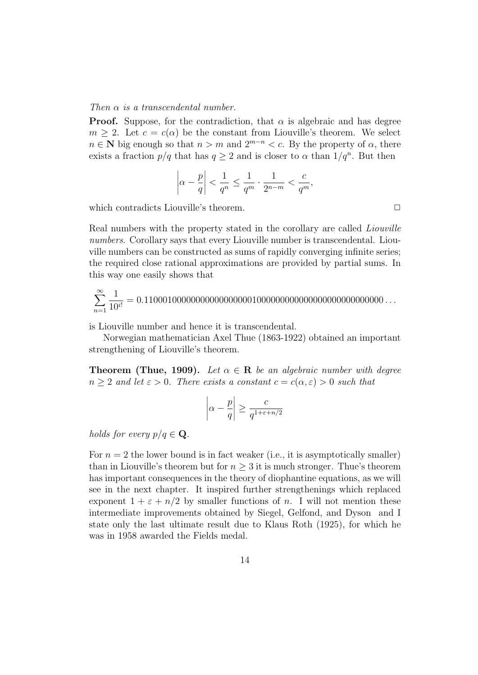Then  $\alpha$  is a transcendental number.

**Proof.** Suppose, for the contradiction, that  $\alpha$  is algebraic and has degree  $m \geq 2$ . Let  $c = c(\alpha)$  be the constant from Liouville's theorem. We select  $n \in \mathbb{N}$  big enough so that  $n > m$  and  $2^{m-n} < c$ . By the property of  $\alpha$ , there exists a fraction  $p/q$  that has  $q \ge 2$  and is closer to  $\alpha$  than  $1/q^n$ . But then

$$
\left|\alpha - \frac{p}{q}\right| < \frac{1}{q^n} \le \frac{1}{q^m} \cdot \frac{1}{2^{n-m}} < \frac{c}{q^m},
$$

which contradicts Liouville's theorem.  $\Box$ 

Real numbers with the property stated in the corollary are called *Liouville* numbers. Corollary says that every Liouville number is transcendental. Liouville numbers can be constructed as sums of rapidly converging infinite series; the required close rational approximations are provided by partial sums. In this way one easily shows that

X∞ n=1 1 10<sup>i</sup>! = 0.110001000000000000000001000000000000000000000000000 . . .

is Liouville number and hence it is transcendental.

Norwegian mathematician Axel Thue (1863-1922) obtained an important strengthening of Liouville's theorem.

**Theorem (Thue, 1909).** Let  $\alpha \in \mathbb{R}$  be an algebraic number with degree  $n > 2$  and let  $\varepsilon > 0$ . There exists a constant  $c = c(\alpha, \varepsilon) > 0$  such that

$$
\left|\alpha - \frac{p}{q}\right| \ge \frac{c}{q^{1+\varepsilon + n/2}}
$$

holds for every  $p/q \in \mathbf{Q}$ .

For  $n = 2$  the lower bound is in fact weaker (i.e., it is asymptotically smaller) than in Liouville's theorem but for  $n \geq 3$  it is much stronger. Thue's theorem has important consequences in the theory of diophantine equations, as we will see in the next chapter. It inspired further strengthenings which replaced exponent  $1 + \varepsilon + n/2$  by smaller functions of n. I will not mention these intermediate improvements obtained by Siegel, Gelfond, and Dyson and I state only the last ultimate result due to Klaus Roth (1925), for which he was in 1958 awarded the Fields medal.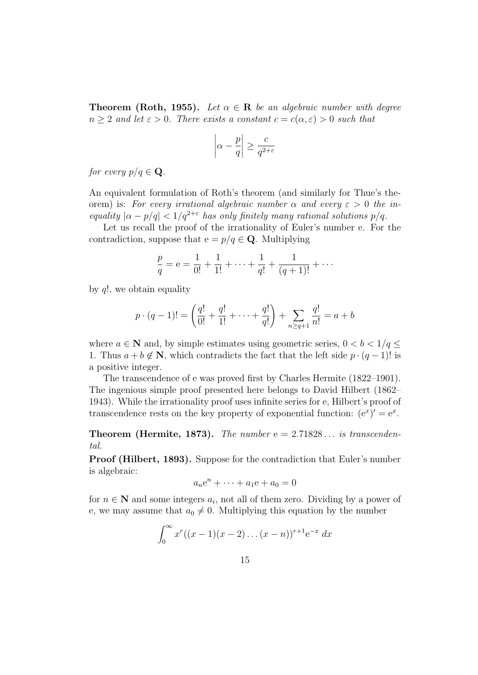**Theorem (Roth, 1955).** Let  $\alpha \in \mathbf{R}$  be an algebraic number with degree  $n > 2$  and let  $\varepsilon > 0$ . There exists a constant  $c = c(\alpha, \varepsilon) > 0$  such that

$$
\left|\alpha - \frac{p}{q}\right| \ge \frac{c}{q^{2+\varepsilon}}
$$

for every  $p/q \in \mathbf{Q}$ .

An equivalent formulation of Roth's theorem (and similarly for Thue's theorem) is: For every irrational algebraic number  $\alpha$  and every  $\varepsilon > 0$  the inequality  $|\alpha - p/q| < 1/q^{2+\epsilon}$  has only finitely many rational solutions  $p/q$ .

Let us recall the proof of the irrationality of Euler's number e. For the contradiction, suppose that  $e = p/q \in \mathbf{Q}$ . Multiplying

$$
\frac{p}{q} = e = \frac{1}{0!} + \frac{1}{1!} + \dots + \frac{1}{q!} + \frac{1}{(q+1)!} + \dots
$$

by  $q!$ , we obtain equality

$$
p \cdot (q-1)! = \left(\frac{q!}{0!} + \frac{q!}{1!} + \dots + \frac{q!}{q!}\right) + \sum_{n \ge q+1} \frac{q!}{n!} = a+b
$$

where  $a \in \mathbb{N}$  and, by simple estimates using geometric series,  $0 < b < 1/q \leq$ 1. Thus  $a + b \notin \mathbb{N}$ , which contradicts the fact that the left side  $p \cdot (q-1)!$  is a positive integer.

The transcendence of e was proved first by Charles Hermite (1822–1901). The ingenious simple proof presented here belongs to David Hilbert (1862– 1943). While the irrationality proof uses infinite series for e, Hilbert's proof of transcendence rests on the key property of exponential function:  $(e^x)' = e^x$ .

**Theorem (Hermite, 1873).** The number  $e = 2.71828...$  is transcendental.

Proof (Hilbert, 1893). Suppose for the contradiction that Euler's number is algebraic:

$$
a_n e^n + \dots + a_1 e + a_0 = 0
$$

for  $n \in \mathbb{N}$  and some integers  $a_i$ , not all of them zero. Dividing by a power of e, we may assume that  $a_0 \neq 0$ . Multiplying this equation by the number

$$
\int_0^\infty x^r((x-1)(x-2)\dots(x-n))^{r+1}e^{-x} dx
$$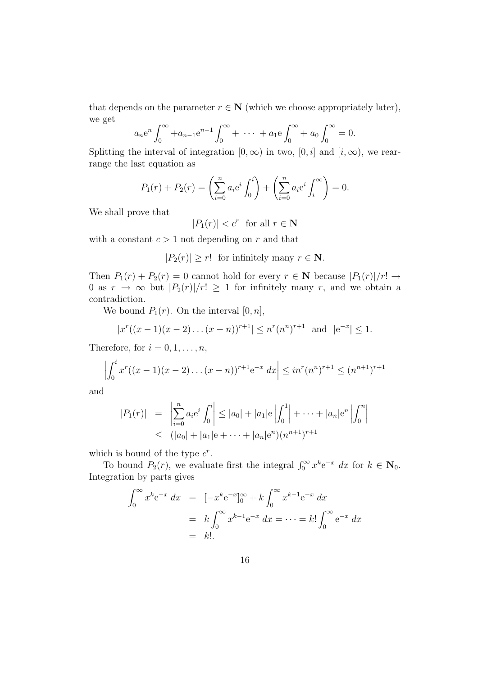that depends on the parameter  $r \in \mathbb{N}$  (which we choose appropriately later), we get

$$
a_n e^n \int_0^\infty +a_{n-1} e^{n-1} \int_0^\infty + \cdots + a_1 e \int_0^\infty + a_0 \int_0^\infty = 0.
$$

Splitting the interval of integration  $[0, \infty)$  in two,  $[0, i]$  and  $[i, \infty)$ , we rearrange the last equation as

$$
P_1(r) + P_2(r) = \left(\sum_{i=0}^n a_i e^i \int_0^i \right) + \left(\sum_{i=0}^n a_i e^i \int_i^{\infty} \right) = 0.
$$

We shall prove that

 $|P_1(r)| < c^r$  for all  $r \in \mathbb{N}$ 

with a constant  $c > 1$  not depending on r and that

 $|P_2(r)| \ge r!$  for infinitely many  $r \in \mathbb{N}$ .

Then  $P_1(r) + P_2(r) = 0$  cannot hold for every  $r \in \mathbb{N}$  because  $|P_1(r)|/r! \rightarrow$ 0 as  $r \to \infty$  but  $|P_2(r)|/r! \ge 1$  for infinitely many r, and we obtain a contradiction.

We bound  $P_1(r)$ . On the interval  $[0, n]$ ,

$$
|x^r((x-1)(x-2)\dots(x-n))^{r+1}| \leq n^r(n^n)^{r+1} \text{ and } |e^{-x}| \leq 1.
$$

Therefore, for  $i = 0, 1, \ldots, n$ ,

$$
\left| \int_0^i x^r ((x-1)(x-2)\dots(x-n))^{r+1} e^{-x} dx \right| \leq in^r (n^n)^{r+1} \leq (n^{n+1})^{r+1}
$$

and

$$
|P_1(r)| = \left| \sum_{i=0}^n a_i e^i \int_0^i \right| \le |a_0| + |a_1| e \left| \int_0^1 \right| + \dots + |a_n| e^n \left| \int_0^n \right|
$$
  
 
$$
\le (|a_0| + |a_1| e + \dots + |a_n| e^n) (n^{n+1})^{r+1}
$$

which is bound of the type  $c^r$ .

To bound  $P_2(r)$ , we evaluate first the integral  $\int_0^\infty x^k e^{-x} dx$  for  $k \in \mathbb{N}_0$ . Integration by parts gives

$$
\int_0^\infty x^k e^{-x} dx = [-x^k e^{-x}]_0^\infty + k \int_0^\infty x^{k-1} e^{-x} dx
$$
  
=  $k \int_0^\infty x^{k-1} e^{-x} dx = \dots = k! \int_0^\infty e^{-x} dx$   
=  $k!.$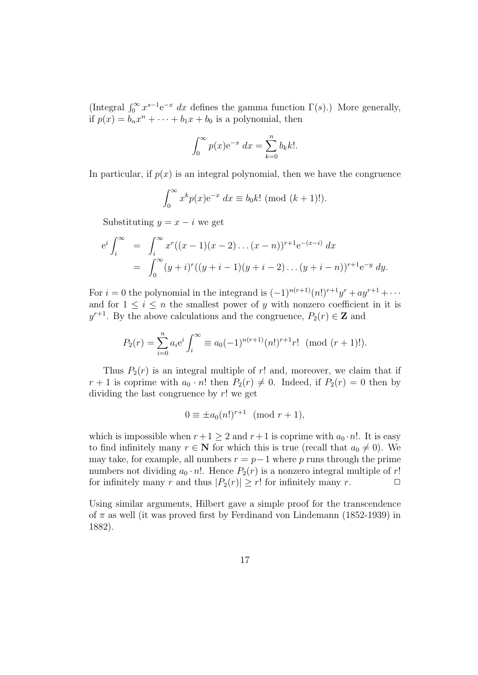(Integral  $\int_0^\infty x^{s-1} e^{-x} dx$  defines the gamma function  $\Gamma(s)$ .) More generally, if  $p(x) = b_n x^n + \cdots + b_1 x + b_0$  is a polynomial, then

$$
\int_0^\infty p(x) \mathrm{e}^{-x} dx = \sum_{k=0}^n b_k k!.
$$

In particular, if  $p(x)$  is an integral polynomial, then we have the congruence

$$
\int_0^\infty x^k p(x) e^{-x} dx \equiv b_0 k! \pmod{(k+1)!}.
$$

Substituting  $y = x - i$  we get

$$
e^{i} \int_{i}^{\infty} = \int_{i}^{\infty} x^{r} ((x - 1)(x - 2) \dots (x - n))^{r+1} e^{-(x - i)} dx
$$
  
= 
$$
\int_{0}^{\infty} (y + i)^{r} ((y + i - 1)(y + i - 2) \dots (y + i - n))^{r+1} e^{-y} dy.
$$

For  $i = 0$  the polynomial in the integrand is  $(-1)^{n(r+1)}(n!)^{r+1}y^r + ay^{r+1} + \cdots$ and for  $1 \leq i \leq n$  the smallest power of y with nonzero coefficient in it is  $y^{r+1}$ . By the above calculations and the congruence,  $P_2(r) \in \mathbb{Z}$  and

$$
P_2(r) = \sum_{i=0}^{n} a_i e^i \int_i^{\infty} \equiv a_0 (-1)^{n(r+1)} (n!)^{r+1} r! \pmod{(r+1)!}.
$$

Thus  $P_2(r)$  is an integral multiple of r! and, moreover, we claim that if  $r+1$  is coprime with  $a_0 \cdot n!$  then  $P_2(r) \neq 0$ . Indeed, if  $P_2(r) = 0$  then by dividing the last congruence by  $r!$  we get

$$
0 \equiv \pm a_0(n!)^{r+1} \pmod{r+1},
$$

which is impossible when  $r+1 \geq 2$  and  $r+1$  is coprime with  $a_0 \cdot n!$ . It is easy to find infinitely many  $r \in \mathbb{N}$  for which this is true (recall that  $a_0 \neq 0$ ). We may take, for example, all numbers  $r = p - 1$  where p runs through the prime numbers not dividing  $a_0 \cdot n!$ . Hence  $P_2(r)$  is a nonzero integral multiple of r! for infinitely many r and thus  $|P_2(r)| \ge r!$  for infinitely many r.  $\Box$ 

Using similar arguments, Hilbert gave a simple proof for the transcendence of  $\pi$  as well (it was proved first by Ferdinand von Lindemann (1852-1939) in 1882).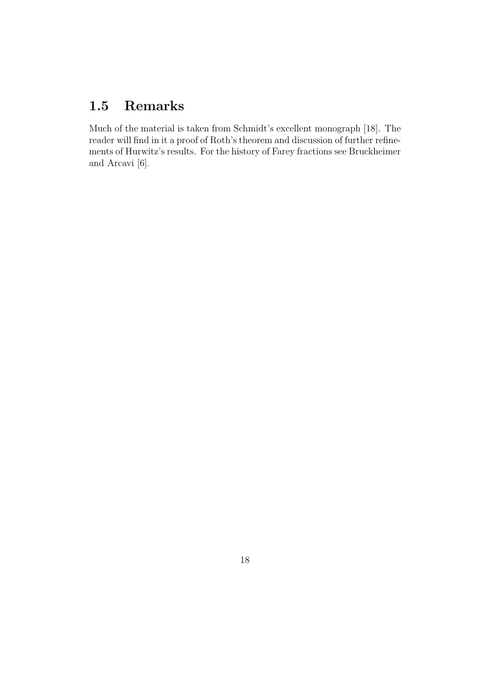### 1.5 Remarks

Much of the material is taken from Schmidt's excellent monograph [18]. The reader will find in it a proof of Roth's theorem and discussion of further refinements of Hurwitz's results. For the history of Farey fractions see Bruckheimer and Arcavi [6].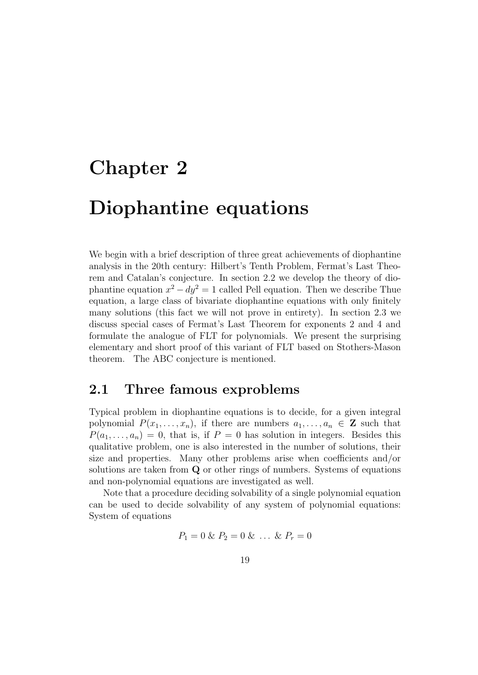# Chapter 2

# Diophantine equations

We begin with a brief description of three great achievements of diophantine analysis in the 20th century: Hilbert's Tenth Problem, Fermat's Last Theorem and Catalan's conjecture. In section 2.2 we develop the theory of diophantine equation  $x^2 - dy^2 = 1$  called Pell equation. Then we describe Thue equation, a large class of bivariate diophantine equations with only finitely many solutions (this fact we will not prove in entirety). In section 2.3 we discuss special cases of Fermat's Last Theorem for exponents 2 and 4 and formulate the analogue of FLT for polynomials. We present the surprising elementary and short proof of this variant of FLT based on Stothers-Mason theorem. The ABC conjecture is mentioned.

#### 2.1 Three famous exproblems

Typical problem in diophantine equations is to decide, for a given integral polynomial  $P(x_1, \ldots, x_n)$ , if there are numbers  $a_1, \ldots, a_n \in \mathbb{Z}$  such that  $P(a_1, \ldots, a_n) = 0$ , that is, if  $P = 0$  has solution in integers. Besides this qualitative problem, one is also interested in the number of solutions, their size and properties. Many other problems arise when coefficients and/or solutions are taken from Q or other rings of numbers. Systems of equations and non-polynomial equations are investigated as well.

Note that a procedure deciding solvability of a single polynomial equation can be used to decide solvability of any system of polynomial equations: System of equations

$$
P_1 = 0 \& P_2 = 0 \& \dots \& P_r = 0
$$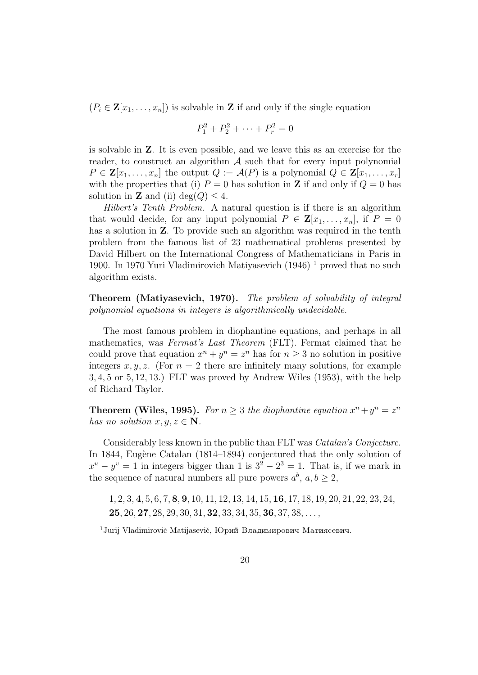$(P_i \in \mathbf{Z}[x_1,\ldots,x_n])$  is solvable in **Z** if and only if the single equation

$$
P_1^2 + P_2^2 + \dots + P_r^2 = 0
$$

is solvable in Z. It is even possible, and we leave this as an exercise for the reader, to construct an algorithm  $A$  such that for every input polynomial  $P \in \mathbf{Z}[x_1,\ldots,x_n]$  the output  $Q := \mathcal{A}(P)$  is a polynomial  $Q \in \mathbf{Z}[x_1,\ldots,x_n]$ with the properties that (i)  $P = 0$  has solution in **Z** if and only if  $Q = 0$  has solution in **Z** and (ii) deg( $Q$ )  $\leq$  4.

Hilbert's Tenth Problem. A natural question is if there is an algorithm that would decide, for any input polynomial  $P \in \mathbf{Z}[x_1,\ldots,x_n]$ , if  $P = 0$ has a solution in **Z**. To provide such an algorithm was required in the tenth problem from the famous list of 23 mathematical problems presented by David Hilbert on the International Congress of Mathematicians in Paris in 1900. In 1970 Yuri Vladimirovich Matiyasevich  $(1946)$ <sup>1</sup> proved that no such algorithm exists.

Theorem (Matiyasevich, 1970). The problem of solvability of integral polynomial equations in integers is algorithmically undecidable.

The most famous problem in diophantine equations, and perhaps in all mathematics, was Fermat's Last Theorem (FLT). Fermat claimed that he could prove that equation  $x^n + y^n = z^n$  has for  $n \geq 3$  no solution in positive integers x, y, z. (For  $n = 2$  there are infinitely many solutions, for example 3, 4, 5 or 5, 12, 13.) FLT was proved by Andrew Wiles (1953), with the help of Richard Taylor.

**Theorem (Wiles, 1995).** For  $n \geq 3$  the diophantine equation  $x^n + y^n = z^n$ has no solution  $x, y, z \in \mathbb{N}$ .

Considerably less known in the public than FLT was Catalan's Conjecture. In 1844, Eugène Catalan (1814–1894) conjectured that the only solution of  $x^u - y^v = 1$  in integers bigger than 1 is  $3^2 - 2^3 = 1$ . That is, if we mark in the sequence of natural numbers all pure powers  $a^b$ ,  $a, b \ge 2$ ,

1, 2, 3, 4, 5, 6, 7, 8, 9, 10, 11, 12, 13, 14, 15, 16, 17, 18, 19, 20, 21, 22, 23, 24,  $25, 26, 27, 28, 29, 30, 31, 32, 33, 34, 35, 36, 37, 38, \ldots$ 

 $1$ Jurij Vladimirovič Matijasevič, Юрий Владимирович Матиясевич.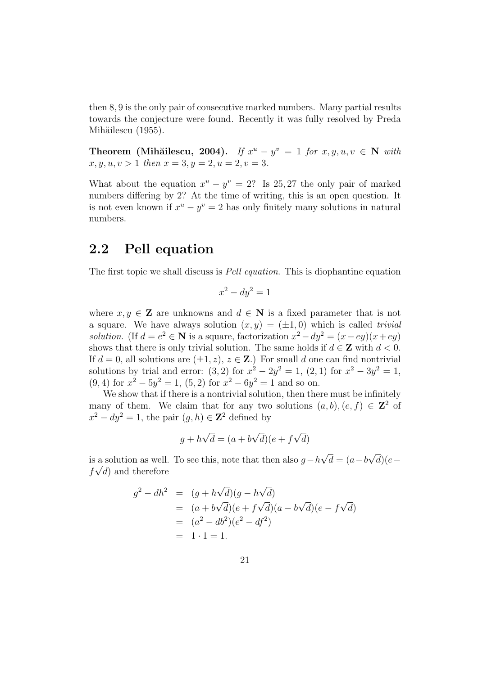then 8, 9 is the only pair of consecutive marked numbers. Many partial results towards the conjecture were found. Recently it was fully resolved by Preda Mihăilescu (1955).

Theorem (Mihăilescu, 2004). If  $x^u - y^v = 1$  for  $x, y, u, v \in \mathbb{N}$  with  $x, y, u, v > 1$  then  $x = 3, y = 2, u = 2, v = 3.$ 

What about the equation  $x^u - y^v = 2$ ? Is 25, 27 the only pair of marked numbers differing by 2? At the time of writing, this is an open question. It is not even known if  $x^u - y^v = 2$  has only finitely many solutions in natural numbers.

### 2.2 Pell equation

The first topic we shall discuss is Pell equation. This is diophantine equation

$$
x^2 - dy^2 = 1
$$

where  $x, y \in \mathbf{Z}$  are unknowns and  $d \in \mathbf{N}$  is a fixed parameter that is not a square. We have always solution  $(x, y) = (\pm 1, 0)$  which is called *trivial solution.* (If  $d = e^2 \in \mathbb{N}$  is a square, factorization  $x^2 - dy^2 = (x - ey)(x + ey)$ shows that there is only trivial solution. The same holds if  $d \in \mathbf{Z}$  with  $d < 0$ . If  $d = 0$ , all solutions are  $(\pm 1, z)$ ,  $z \in \mathbb{Z}$ .) For small d one can find nontrivial solutions by trial and error:  $(3,2)$  for  $x^2 - 2y^2 = 1$ ,  $(2,1)$  for  $x^2 - 3y^2 = 1$ ,  $(9, 4)$  for  $x^2 - 5y^2 = 1$ ,  $(5, 2)$  for  $x^2 - 6y^2 = 1$  and so on.

We show that if there is a nontrivial solution, then there must be infinitely many of them. We claim that for any two solutions  $(a, b), (e, f) \in \mathbb{Z}^2$  of  $x^2 - dy^2 = 1$ , the pair  $(g, h) \in \mathbb{Z}^2$  defined by

$$
g + h\sqrt{d} = (a + b\sqrt{d})(e + f\sqrt{d})
$$

is a solution as well. To see this, note that then also  $g-h$ √  $d = (a - b$ √ a solution as well. To see this, note that then also  $g - h\sqrt{d} = (a - b\sqrt{d})(e - \sqrt{d})$  $f\sqrt{d}$  and therefore

$$
g^{2} - dh^{2} = (g + h\sqrt{d})(g - h\sqrt{d})
$$
  
=  $(a + b\sqrt{d})(e + f\sqrt{d})(a - b\sqrt{d})(e - f\sqrt{d})$   
=  $(a^{2} - db^{2})(e^{2} - df^{2})$   
=  $1 \cdot 1 = 1$ .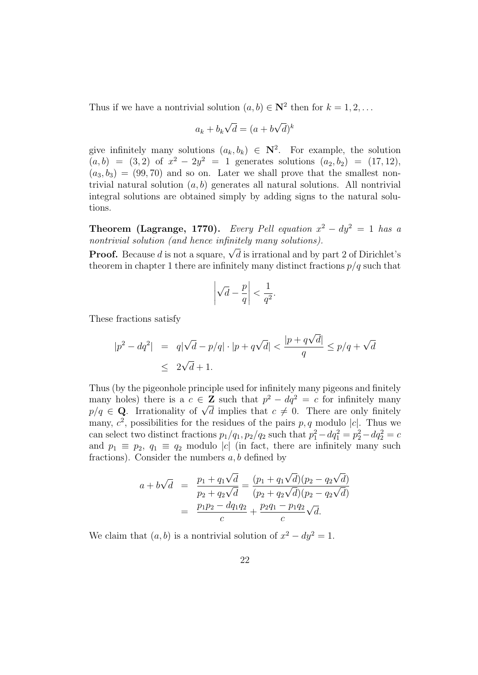Thus if we have a nontrivial solution  $(a, b) \in \mathbb{N}^2$  then for  $k = 1, 2, \ldots$ 

$$
a_k + b_k \sqrt{d} = (a + b\sqrt{d})^k
$$

give infinitely many solutions  $(a_k, b_k) \in \mathbb{N}^2$ . For example, the solution  $(a, b) = (3, 2)$  of  $x^2 - 2y^2 = 1$  generates solutions  $(a_2, b_2) = (17, 12)$ ,  $(a_3, b_3) = (99, 70)$  and so on. Later we shall prove that the smallest nontrivial natural solution  $(a, b)$  generates all natural solutions. All nontrivial integral solutions are obtained simply by adding signs to the natural solutions.

**Theorem (Lagrange, 1770).** Every Pell equation  $x^2 - dy^2 = 1$  has a nontrivial solution (and hence infinitely many solutions).

**Proof.** Because d is not a square,  $\sqrt{d}$  is irrational and by part 2 of Dirichlet's theorem in chapter 1 there are infinitely many distinct fractions  $p/q$  such that

$$
\left|\sqrt{d} - \frac{p}{q}\right| < \frac{1}{q^2}.
$$

These fractions satisfy

$$
|p^2 - dq^2| = q|\sqrt{d} - p/q| \cdot |p + q\sqrt{d}| < \frac{|p + q\sqrt{d}|}{q} \le p/q + \sqrt{d}
$$
\n
$$
\le 2\sqrt{d} + 1.
$$

Thus (by the pigeonhole principle used for infinitely many pigeons and finitely many holes) there is a  $c \in \mathbb{Z}$  such that  $p^2 - dq^2 = c$  for infinitely many many noises there is a  $c \in \mathbb{Z}$  such that  $p - aq^2 = c$  for infinitely many  $p/q \in \mathbb{Q}$ . Irrationality of  $\sqrt{d}$  implies that  $c \neq 0$ . There are only finitely many,  $c^2$ , possibilities for the residues of the pairs p, q modulo |c|. Thus we can select two distinct fractions  $p_1/q_1$ ,  $p_2/q_2$  such that  $p_1^2 - dq_1^2 = p_2^2 - dq_2^2 = c$ and  $p_1 \equiv p_2, q_1 \equiv q_2 \mod |c|$  (in fact, there are infinitely many such fractions). Consider the numbers  $a, b$  defined by

$$
a + b\sqrt{d} = \frac{p_1 + q_1\sqrt{d}}{p_2 + q_2\sqrt{d}} = \frac{(p_1 + q_1\sqrt{d})(p_2 - q_2\sqrt{d})}{(p_2 + q_2\sqrt{d})(p_2 - q_2\sqrt{d})}
$$
  
= 
$$
\frac{p_1p_2 - dq_1q_2}{c} + \frac{p_2q_1 - p_1q_2}{c}\sqrt{d}.
$$

We claim that  $(a, b)$  is a nontrivial solution of  $x^2 - dy^2 = 1$ .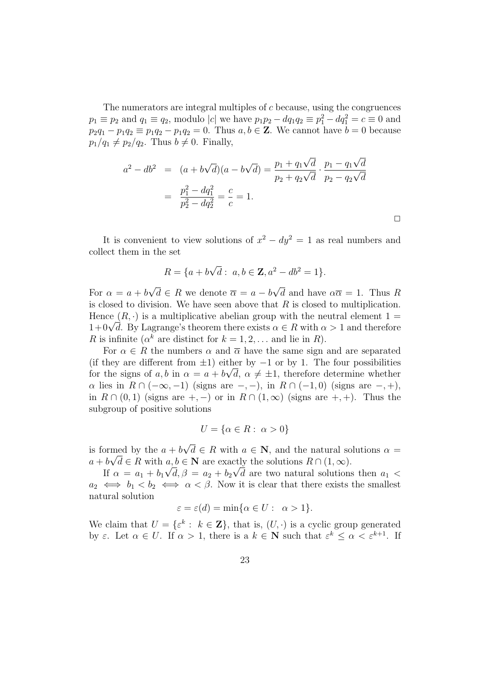The numerators are integral multiples of  $c$  because, using the congruences  $p_1 \equiv p_2$  and  $q_1 \equiv q_2$ , modulo |c| we have  $p_1 p_2 - d q_1 q_2 \equiv p_1^2 - d q_1^2 = c \equiv 0$  and  $p_2q_1 - p_1q_2 \equiv p_1q_2 - p_1q_2 = 0$ . Thus  $a, b \in \mathbb{Z}$ . We cannot have  $b = 0$  because  $p_1/q_1 \neq p_2/q_2$ . Thus  $b \neq 0$ . Finally,

$$
a^{2} - db^{2} = (a + b\sqrt{d})(a - b\sqrt{d}) = \frac{p_{1} + q_{1}\sqrt{d}}{p_{2} + q_{2}\sqrt{d}} \cdot \frac{p_{1} - q_{1}\sqrt{d}}{p_{2} - q_{2}\sqrt{d}}
$$

$$
= \frac{p_{1}^{2} - dq_{1}^{2}}{p_{2}^{2} - dq_{2}^{2}} = \frac{c}{c} = 1.
$$

 $\Box$ 

It is convenient to view solutions of  $x^2 - dy^2 = 1$  as real numbers and collect them in the set

$$
R = \{a + b\sqrt{d} : a, b \in \mathbf{Z}, a^2 - db^2 = 1\}.
$$

For  $\alpha = a + b$ √  $d \in R$  we denote  $\overline{\alpha} = a - b$ √ d and have  $\alpha \overline{\alpha} = 1$ . Thus R is closed to division. We have seen above that  $R$  is closed to multiplication. Hence  $(R, \cdot)$  is a multiplicative abelian group with the neutral element  $1 =$ Hence  $(K, \cdot)$  is a multiplicative abelian group with the neutral element  $1 = 1 + 0\sqrt{d}$ . By Lagrange's theorem there exists  $\alpha \in R$  with  $\alpha > 1$  and therefore R is infinite ( $\alpha^k$  are distinct for  $k = 1, 2, \ldots$  and lie in R).

For  $\alpha \in R$  the numbers  $\alpha$  and  $\overline{\alpha}$  have the same sign and are separated (if they are different from  $\pm 1$ ) either by  $-1$  or by 1. The four possibilities for the signs of a, b in  $\alpha = a + b\sqrt{d}$ ,  $\alpha \neq \pm 1$ , therefore determine whether  $\alpha$  lies in  $R \cap (-\infty, -1)$  (signs are  $-,-$ ), in  $R \cap (-1,0)$  (signs are  $-, +$ ), in  $R \cap (0,1)$  (signs are +, -) or in  $R \cap (1,\infty)$  (signs are +, +). Thus the subgroup of positive solutions

$$
U = \{ \alpha \in R : \ \alpha > 0 \}
$$

is formed by the  $a + b$ √ med by the  $a + b\sqrt{d} \in R$  with  $a \in \mathbb{N}$ , and the natural solutions  $\alpha =$  $a + b\sqrt{d} \in R$  with  $a, b \in \mathbb{N}$  are exactly the solutions  $R \cap (1, \infty)$ .

If  $\alpha = a_1 + b_1 \sqrt{d}, \beta = a_2 + b_2 \sqrt{d}$  are two natural solutions then  $a_1$  $a_2 \iff b_1 < b_2 \iff \alpha < \beta$ . Now it is clear that there exists the smallest natural solution

$$
\varepsilon = \varepsilon(d) = \min\{\alpha \in U : \alpha > 1\}.
$$

We claim that  $U = \{ \varepsilon^k : k \in \mathbb{Z} \}$ , that is,  $(U, \cdot)$  is a cyclic group generated by  $\varepsilon$ . Let  $\alpha \in U$ . If  $\alpha > 1$ , there is a  $k \in \mathbb{N}$  such that  $\varepsilon^k \leq \alpha < \varepsilon^{k+1}$ . If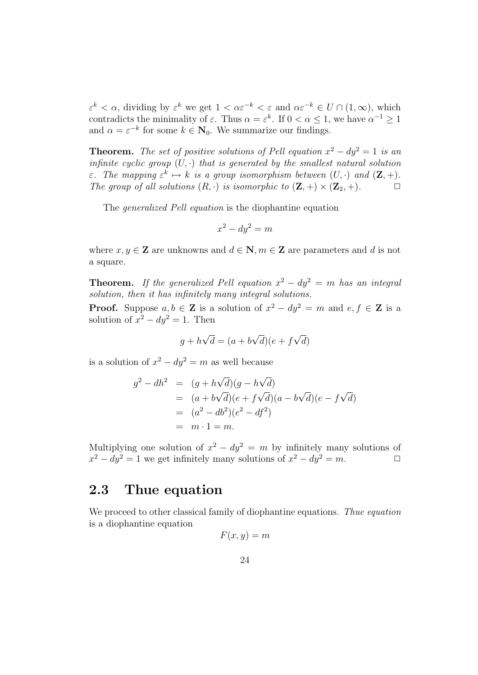$\varepsilon^k < \alpha$ , dividing by  $\varepsilon^k$  we get  $1 < \alpha \varepsilon^{-k} < \varepsilon$  and  $\alpha \varepsilon^{-k} \in U \cap (1, \infty)$ , which contradicts the minimality of  $\varepsilon$ . Thus  $\alpha = \varepsilon^k$ . If  $0 < \alpha \leq 1$ , we have  $\alpha^{-1} \geq 1$ and  $\alpha = \varepsilon^{-k}$  for some  $k \in \mathbb{N}_0$ . We summarize our findings.

**Theorem.** The set of positive solutions of Pell equation  $x^2 - dy^2 = 1$  is an infinite cyclic group  $(U, \cdot)$  that is generated by the smallest natural solution *ε*. The mapping  $\varepsilon^k \mapsto k$  is a group isomorphism between  $(U, \cdot)$  and  $(\mathbf{Z}, +)$ . The group of all solutions  $(R, \cdot)$  is isomorphic to  $(\mathbf{Z}, +) \times (\mathbf{Z}_2, +)$ .

The generalized Pell equation is the diophantine equation

$$
x^2 - dy^2 = m
$$

where  $x, y \in \mathbb{Z}$  are unknowns and  $d \in \mathbb{N}, m \in \mathbb{Z}$  are parameters and d is not a square.

**Theorem.** If the generalized Pell equation  $x^2 - dy^2 = m$  has an integral solution, then it has infinitely many integral solutions.

**Proof.** Suppose  $a, b \in \mathbb{Z}$  is a solution of  $x^2 - dy^2 = m$  and  $e, f \in \mathbb{Z}$  is a solution of  $x^2 - dy^2 = 1$ . Then

$$
g + h\sqrt{d} = (a + b\sqrt{d})(e + f\sqrt{d})
$$

is a solution of  $x^2 - dy^2 = m$  as well because

$$
g^{2} - dh^{2} = (g + h\sqrt{d})(g - h\sqrt{d})
$$
  
=  $(a + b\sqrt{d})(e + f\sqrt{d})(a - b\sqrt{d})(e - f\sqrt{d})$   
=  $(a^{2} - db^{2})(e^{2} - df^{2})$   
=  $m \cdot 1 = m$ .

Multiplying one solution of  $x^2 - dy^2 = m$  by infinitely many solutions of  $x^2 - dy^2 = 1$  we get infinitely many solutions of  $x^2 - dy^2 = m$ .

### 2.3 Thue equation

We proceed to other classical family of diophantine equations. Thue equation is a diophantine equation

$$
F(x,y)=m
$$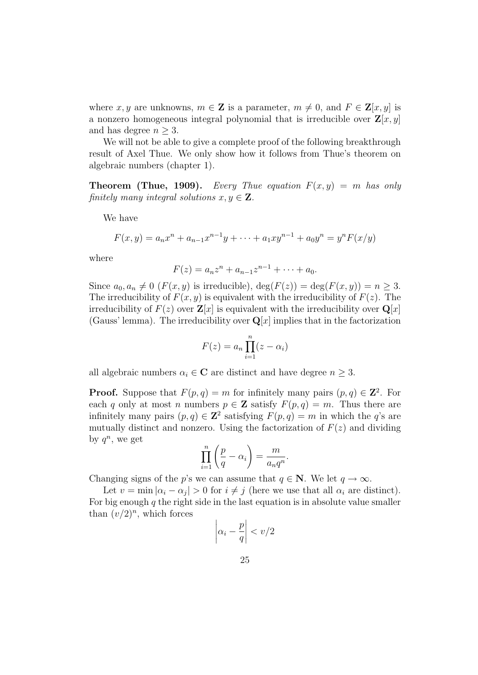where x, y are unknowns,  $m \in \mathbb{Z}$  is a parameter,  $m \neq 0$ , and  $F \in \mathbb{Z}[x, y]$  is a nonzero homogeneous integral polynomial that is irreducible over  $\mathbf{Z}[x, y]$ and has degree  $n \geq 3$ .

We will not be able to give a complete proof of the following breakthrough result of Axel Thue. We only show how it follows from Thue's theorem on algebraic numbers (chapter 1).

**Theorem (Thue, 1909).** Every Thue equation  $F(x, y) = m$  has only finitely many integral solutions  $x, y \in \mathbf{Z}$ .

We have

$$
F(x,y) = a_n x^n + a_{n-1} x^{n-1} y + \dots + a_1 x y^{n-1} + a_0 y^n = y^n F(x/y)
$$

where

$$
F(z) = a_n z^n + a_{n-1} z^{n-1} + \dots + a_0.
$$

Since  $a_0, a_n \neq 0$  ( $F(x, y)$  is irreducible),  $\deg(F(z)) = \deg(F(x, y)) = n \geq 3$ . The irreducibility of  $F(x, y)$  is equivalent with the irreducibility of  $F(z)$ . The irreducibility of  $F(z)$  over  $\mathbf{Z}[x]$  is equivalent with the irreducibility over  $\mathbf{Q}[x]$ (Gauss' lemma). The irreducibility over  $\mathbf{Q}[x]$  implies that in the factorization

$$
F(z) = a_n \prod_{i=1}^n (z - \alpha_i)
$$

all algebraic numbers  $\alpha_i \in \mathbf{C}$  are distinct and have degree  $n \geq 3$ .

**Proof.** Suppose that  $F(p,q) = m$  for infinitely many pairs  $(p,q) \in \mathbb{Z}^2$ . For each q only at most n numbers  $p \in \mathbf{Z}$  satisfy  $F(p,q) = m$ . Thus there are infinitely many pairs  $(p, q) \in \mathbb{Z}^2$  satisfying  $F(p, q) = m$  in which the q's are mutually distinct and nonzero. Using the factorization of  $F(z)$  and dividing by  $q^n$ , we get

$$
\prod_{i=1}^{n} \left( \frac{p}{q} - \alpha_i \right) = \frac{m}{a_n q^n}
$$

.

Changing signs of the p's we can assume that  $q \in \mathbb{N}$ . We let  $q \to \infty$ .

Let  $v = \min |\alpha_i - \alpha_j| > 0$  for  $i \neq j$  (here we use that all  $\alpha_i$  are distinct). For big enough  $q$  the right side in the last equation is in absolute value smaller than  $(v/2)^n$ , which forces

$$
\left|\alpha_i - \frac{p}{q}\right| < v/2
$$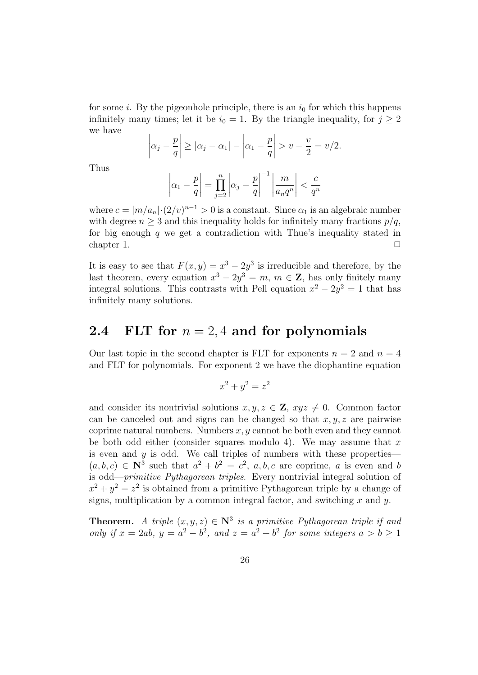for some i. By the pigeonhole principle, there is an  $i_0$  for which this happens infinitely many times; let it be  $i_0 = 1$ . By the triangle inequality, for  $j \geq 2$ we have

$$
\left|\alpha_j - \frac{p}{q}\right| \geq |\alpha_j - \alpha_1| - \left|\alpha_1 - \frac{p}{q}\right| > v - \frac{v}{2} = v/2.
$$

Thus

$$
\left|\alpha_1 - \frac{p}{q}\right| = \prod_{j=2}^n \left|\alpha_j - \frac{p}{q}\right|^{-1} \left|\frac{m}{a_n q^n}\right| < \frac{c}{q^n}
$$

where  $c = |m/a_n| \cdot (2/v)^{n-1} > 0$  is a constant. Since  $\alpha_1$  is an algebraic number with degree  $n \geq 3$  and this inequality holds for infinitely many fractions  $p/q$ , for big enough  $q$  we get a contradiction with Thue's inequality stated in chapter 1.  $\Box$ 

It is easy to see that  $F(x, y) = x^3 - 2y^3$  is irreducible and therefore, by the last theorem, every equation  $x^3 - 2y^3 = m$ ,  $m \in \mathbb{Z}$ , has only finitely many integral solutions. This contrasts with Pell equation  $x^2 - 2y^2 = 1$  that has infinitely many solutions.

### 2.4 FLT for  $n = 2, 4$  and for polynomials

Our last topic in the second chapter is FLT for exponents  $n = 2$  and  $n = 4$ and FLT for polynomials. For exponent 2 we have the diophantine equation

$$
x^2 + y^2 = z^2
$$

and consider its nontrivial solutions  $x, y, z \in \mathbb{Z}$ ,  $xyz \neq 0$ . Common factor can be canceled out and signs can be changed so that  $x, y, z$  are pairwise coprime natural numbers. Numbers  $x, y$  cannot be both even and they cannot be both odd either (consider squares modulo 4). We may assume that  $x$ is even and  $y$  is odd. We call triples of numbers with these properties—  $(a, b, c) \in \mathbb{N}^3$  such that  $a^2 + b^2 = c^2$ ,  $a, b, c$  are coprime, a is even and b is odd—primitive Pythagorean triples. Every nontrivial integral solution of  $x^2 + y^2 = z^2$  is obtained from a primitive Pythagorean triple by a change of signs, multiplication by a common integral factor, and switching  $x$  and  $y$ .

**Theorem.** A triple  $(x, y, z) \in \mathbb{N}^3$  is a primitive Pythagorean triple if and only if  $x = 2ab$ ,  $y = a^2 - b^2$ , and  $z = a^2 + b^2$  for some integers  $a > b \ge 1$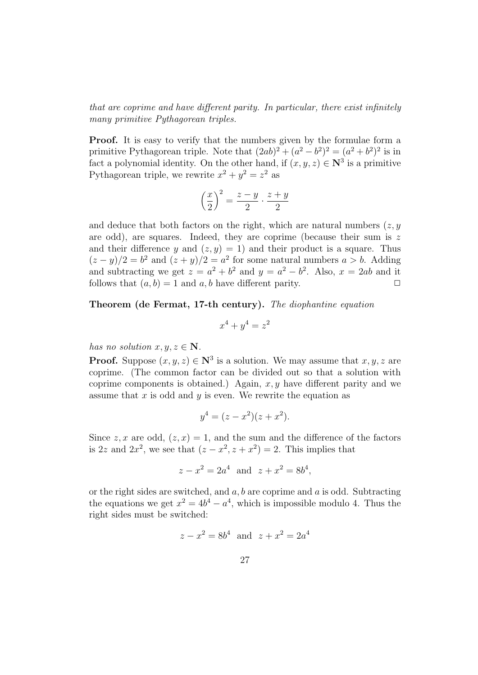that are coprime and have different parity. In particular, there exist infinitely many primitive Pythagorean triples.

Proof. It is easy to verify that the numbers given by the formulae form a primitive Pythagorean triple. Note that  $(2ab)^2 + (a^2 - b^2)^2 = (a^2 + b^2)^2$  is in fact a polynomial identity. On the other hand, if  $(x, y, z) \in \mathbb{N}^3$  is a primitive Pythagorean triple, we rewrite  $x^2 + y^2 = z^2$  as

$$
\left(\frac{x}{2}\right)^2 = \frac{z-y}{2} \cdot \frac{z+y}{2}
$$

and deduce that both factors on the right, which are natural numbers  $(z, y)$ are odd), are squares. Indeed, they are coprime (because their sum is  $z$ and their difference y and  $(z, y) = 1$  and their product is a square. Thus  $(z-y)/2 = b^2$  and  $(z+y)/2 = a^2$  for some natural numbers  $a > b$ . Adding and subtracting we get  $z = a^2 + b^2$  and  $y = a^2 - b^2$ . Also,  $x = 2ab$  and it follows that  $(a, b) = 1$  and  $a, b$  have different parity.

Theorem (de Fermat, 17-th century). The diophantine equation

$$
x^4 + y^4 = z^2
$$

has no solution  $x, y, z \in \mathbb{N}$ .

**Proof.** Suppose  $(x, y, z) \in \mathbb{N}^3$  is a solution. We may assume that  $x, y, z$  are coprime. (The common factor can be divided out so that a solution with coprime components is obtained.) Again,  $x, y$  have different parity and we assume that  $x$  is odd and  $y$  is even. We rewrite the equation as

$$
y^4 = (z - x^2)(z + x^2).
$$

Since z, x are odd,  $(z, x) = 1$ , and the sum and the difference of the factors is 2z and  $2x^2$ , we see that  $(z - x^2, z + x^2) = 2$ . This implies that

$$
z - x^2 = 2a^4
$$
 and  $z + x^2 = 8b^4$ ,

or the right sides are switched, and  $a, b$  are coprime and  $a$  is odd. Subtracting the equations we get  $x^2 = 4b^4 - a^4$ , which is impossible modulo 4. Thus the right sides must be switched:

$$
z - x^2 = 8b^4
$$
 and  $z + x^2 = 2a^4$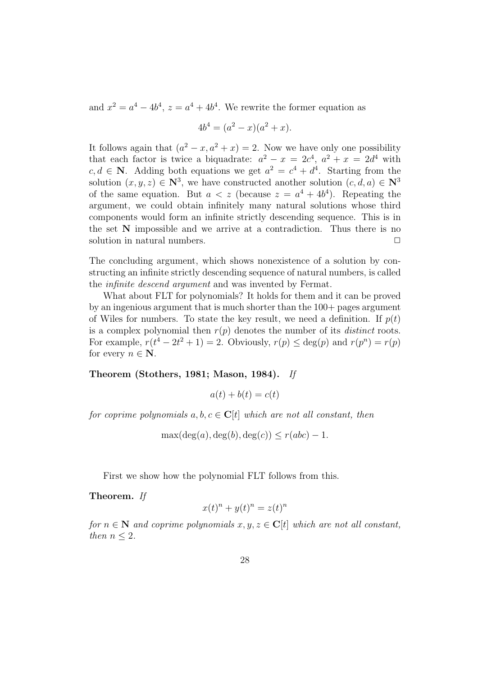and  $x^2 = a^4 - 4b^4$ ,  $z = a^4 + 4b^4$ . We rewrite the former equation as

$$
4b^4 = (a^2 - x)(a^2 + x).
$$

It follows again that  $(a^2 - x, a^2 + x) = 2$ . Now we have only one possibility that each factor is twice a biquadrate:  $a^2 - x = 2c^4$ ,  $a^2 + x = 2d^4$  with  $c, d \in \mathbb{N}$ . Adding both equations we get  $a^2 = c^4 + d^4$ . Starting from the solution  $(x, y, z) \in \mathbb{N}^3$ , we have constructed another solution  $(c, d, a) \in \mathbb{N}^3$ of the same equation. But  $a < z$  (because  $z = a^4 + 4b^4$ ). Repeating the argument, we could obtain infinitely many natural solutions whose third components would form an infinite strictly descending sequence. This is in the set N impossible and we arrive at a contradiction. Thus there is no solution in natural numbers.  $\Box$ 

The concluding argument, which shows nonexistence of a solution by constructing an infinite strictly descending sequence of natural numbers, is called the infinite descend argument and was invented by Fermat.

What about FLT for polynomials? It holds for them and it can be proved by an ingenious argument that is much shorter than the 100+ pages argument of Wiles for numbers. To state the key result, we need a definition. If  $p(t)$ is a complex polynomial then  $r(p)$  denotes the number of its *distinct* roots. For example,  $r(t^4 - 2t^2 + 1) = 2$ . Obviously,  $r(p) \leq \deg(p)$  and  $r(p^n) = r(p)$ for every  $n \in \mathbb{N}$ .

#### Theorem (Stothers, 1981; Mason, 1984). If

$$
a(t) + b(t) = c(t)
$$

for coprime polynomials  $a, b, c \in \mathbb{C}[t]$  which are not all constant, then

 $\max(\deg(a), \deg(b), \deg(c)) \leq r(abc) - 1.$ 

First we show how the polynomial FLT follows from this.

Theorem. If

$$
x(t)^n + y(t)^n = z(t)^n
$$

for  $n \in \mathbb{N}$  and coprime polynomials  $x, y, z \in \mathbb{C}[t]$  which are not all constant, then  $n \leq 2$ .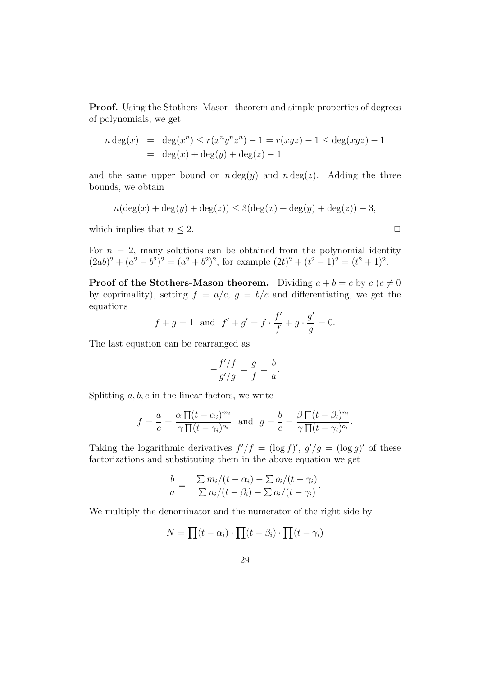Proof. Using the Stothers–Mason theorem and simple properties of degrees of polynomials, we get

$$
n \deg(x) = \deg(x^n) \le r(x^n y^n z^n) - 1 = r(xyz) - 1 \le \deg(xyz) - 1
$$
  
=  $\deg(x) + \deg(y) + \deg(z) - 1$ 

and the same upper bound on  $n \deg(y)$  and  $n \deg(z)$ . Adding the three bounds, we obtain

$$
n(\deg(x) + \deg(y) + \deg(z)) \le 3(\deg(x) + \deg(y) + \deg(z)) - 3,
$$

which implies that  $n \leq 2$ .

For  $n = 2$ , many solutions can be obtained from the polynomial identity  $(2ab)^2 + (a^2 - b^2)^2 = (a^2 + b^2)^2$ , for example  $(2t)^2 + (t^2 - 1)^2 = (t^2 + 1)^2$ .

**Proof of the Stothers-Mason theorem.** Dividing  $a + b = c$  by  $c$  ( $c \neq 0$ ) by coprimality), setting  $f = a/c$ ,  $g = b/c$  and differentiating, we get the equations

$$
f + g = 1
$$
 and  $f' + g' = f \cdot \frac{f'}{f} + g \cdot \frac{g'}{g} = 0.$ 

The last equation can be rearranged as

$$
-\frac{f'/f}{g'/g} = \frac{g}{f} = \frac{b}{a}.
$$

Splitting  $a, b, c$  in the linear factors, we write

$$
f = -\frac{a}{c} = \frac{\alpha \prod (t - \alpha_i)^{m_i}}{\gamma \prod (t - \gamma_i)^{o_i}}
$$
 and  $g = -\frac{b}{c} = \frac{\beta \prod (t - \beta_i)^{n_i}}{\gamma \prod (t - \gamma_i)^{o_i}}$ .

Taking the logarithmic derivatives  $f'/f = (\log f)'$ ,  $g'/g = (\log g)'$  of these factorizations and substituting them in the above equation we get

$$
\frac{b}{a} = -\frac{\sum m_i/(t - \alpha_i) - \sum o_i/(t - \gamma_i)}{\sum n_i/(t - \beta_i) - \sum o_i/(t - \gamma_i)}.
$$

We multiply the denominator and the numerator of the right side by

$$
N = \prod(t - \alpha_i) \cdot \prod(t - \beta_i) \cdot \prod(t - \gamma_i)
$$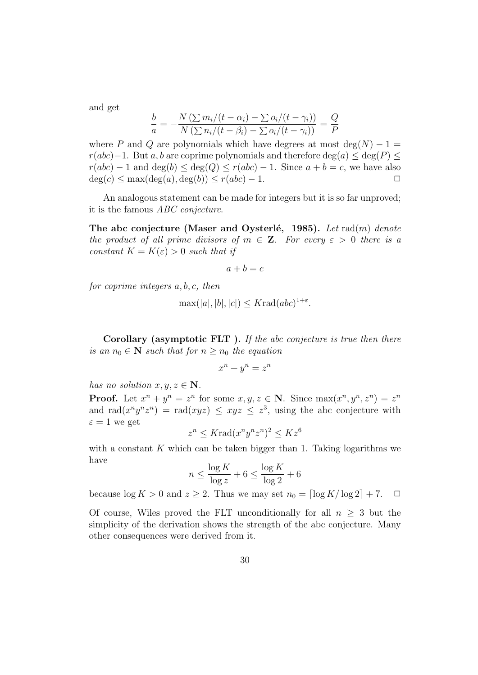and get

$$
\frac{b}{a} = -\frac{N\left(\sum m_i/(t - \alpha_i) - \sum o_i/(t - \gamma_i)\right)}{N\left(\sum n_i/(t - \beta_i) - \sum o_i/(t - \gamma_i)\right)} = \frac{Q}{P}
$$

where P and Q are polynomials which have degrees at most  $\deg(N) - 1 =$  $r(abc)-1$ . But a, b are coprime polynomials and therefore deg(a)  $\leq$  deg(P)  $\leq$  $r(abc) - 1$  and  $\deg(b) \leq \deg(Q) \leq r(abc) - 1$ . Since  $a + b = c$ , we have also  $deg(c) \leq max(deg(a), deg(b)) \leq r(abc) - 1.$ 

An analogous statement can be made for integers but it is so far unproved; it is the famous ABC conjecture.

The abc conjecture (Maser and Oysterlé, 1985). Let  $rad(m)$  denote the product of all prime divisors of  $m \in \mathbb{Z}$ . For every  $\varepsilon > 0$  there is a constant  $K = K(\varepsilon) > 0$  such that if

$$
a + b = c
$$

for coprime integers a, b, c, then

$$
\max(|a|, |b|, |c|) \leq K \text{rad}(abc)^{1+\varepsilon}.
$$

Corollary (asymptotic FLT). If the abc conjecture is true then there is an  $n_0 \in \mathbb{N}$  such that for  $n \geq n_0$  the equation

$$
x^n + y^n = z^n
$$

has no solution  $x, y, z \in \mathbb{N}$ .

**Proof.** Let  $x^n + y^n = z^n$  for some  $x, y, z \in \mathbb{N}$ . Since  $\max(x^n, y^n, z^n) = z^n$ and rad $(x^n y^n z^n)$  = rad $(xyz) \leq xyz \leq z^3$ , using the abc conjecture with  $\varepsilon = 1$  we get

$$
z^n \leq K \text{rad}(x^n y^n z^n)^2 \leq K z^6
$$

with a constant  $K$  which can be taken bigger than 1. Taking logarithms we have

$$
n \le \frac{\log K}{\log z} + 6 \le \frac{\log K}{\log 2} + 6
$$

because  $\log K > 0$  and  $z \geq 2$ . Thus we may set  $n_0 = \lceil \log K / \log 2 \rceil + 7$ .  $\Box$ 

Of course, Wiles proved the FLT unconditionally for all  $n \geq 3$  but the simplicity of the derivation shows the strength of the abc conjecture. Many other consequences were derived from it.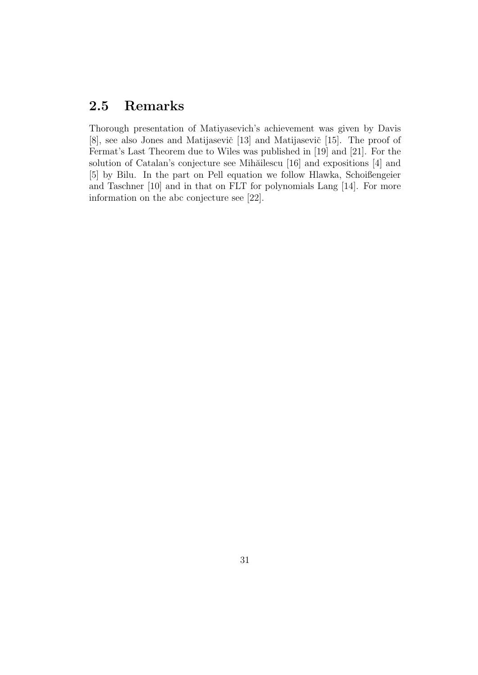### 2.5 Remarks

Thorough presentation of Matiyasevich's achievement was given by Davis [8], see also Jones and Matijasevič [13] and Matijasevič [15]. The proof of Fermat's Last Theorem due to Wiles was published in [19] and [21]. For the solution of Catalan's conjecture see Mihăilescu [16] and expositions [4] and [5] by Bilu. In the part on Pell equation we follow Hlawka, Schoißengeier and Taschner [10] and in that on FLT for polynomials Lang [14]. For more information on the abc conjecture see [22].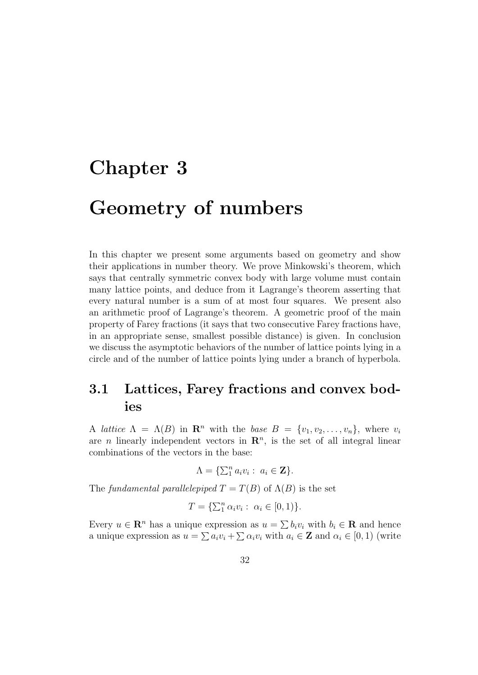# Chapter 3

# Geometry of numbers

In this chapter we present some arguments based on geometry and show their applications in number theory. We prove Minkowski's theorem, which says that centrally symmetric convex body with large volume must contain many lattice points, and deduce from it Lagrange's theorem asserting that every natural number is a sum of at most four squares. We present also an arithmetic proof of Lagrange's theorem. A geometric proof of the main property of Farey fractions (it says that two consecutive Farey fractions have, in an appropriate sense, smallest possible distance) is given. In conclusion we discuss the asymptotic behaviors of the number of lattice points lying in a circle and of the number of lattice points lying under a branch of hyperbola.

### 3.1 Lattices, Farey fractions and convex bodies

A lattice  $\Lambda = \Lambda(B)$  in  $\mathbb{R}^n$  with the base  $B = \{v_1, v_2, \ldots, v_n\}$ , where  $v_i$ are *n* linearly independent vectors in  $\mathbb{R}^n$ , is the set of all integral linear combinations of the vectors in the base:

$$
\Lambda = \{ \sum_1^n a_i v_i : a_i \in \mathbf{Z} \}.
$$

The fundamental parallelepiped  $T = T(B)$  of  $\Lambda(B)$  is the set

$$
T = \{ \sum_1^n \alpha_i v_i : \ \alpha_i \in [0,1) \}.
$$

Every  $u \in \mathbb{R}^n$  has a unique expression as  $u = \sum b_i v_i$  with  $b_i \in \mathbb{R}$  and hence a unique expression as  $u = \sum a_i v_i + \sum \alpha_i v_i$  with  $a_i \in \mathbf{Z}$  and  $\alpha_i \in [0, 1)$  (write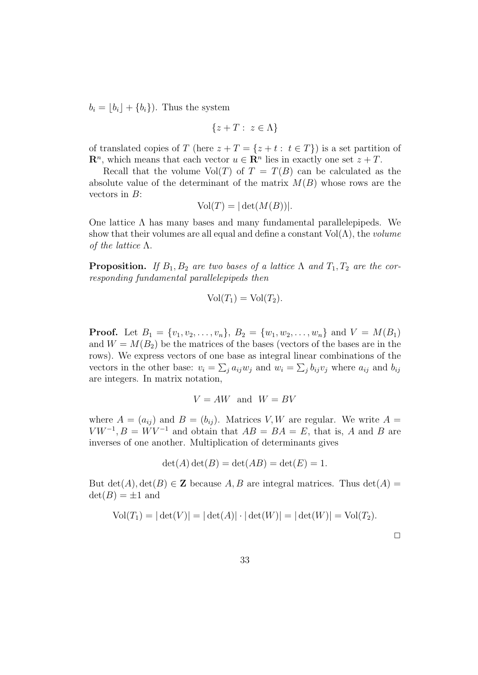$b_i = |b_i| + \{b_i\}$ . Thus the system

$$
\{z + T : z \in \Lambda\}
$$

of translated copies of T (here  $z + T = \{z + t : t \in T\}$ ) is a set partition of  $\mathbf{R}^n$ , which means that each vector  $u \in \mathbf{R}^n$  lies in exactly one set  $z + T$ .

Recall that the volume  $Vol(T)$  of  $T = T(B)$  can be calculated as the absolute value of the determinant of the matrix  $M(B)$  whose rows are the vectors in  $B$ :

$$
Vol(T) = |\det(M(B))|.
$$

One lattice  $\Lambda$  has many bases and many fundamental parallelepipeds. We show that their volumes are all equal and define a constant  $Vol(\Lambda)$ , the *volume* of the lattice  $\Lambda$ .

**Proposition.** If  $B_1, B_2$  are two bases of a lattice  $\Lambda$  and  $T_1, T_2$  are the corresponding fundamental parallelepipeds then

$$
Vol(T_1) = Vol(T_2).
$$

**Proof.** Let  $B_1 = \{v_1, v_2, \ldots, v_n\}$ ,  $B_2 = \{w_1, w_2, \ldots, w_n\}$  and  $V = M(B_1)$ and  $W = M(B_2)$  be the matrices of the bases (vectors of the bases are in the rows). We express vectors of one base as integral linear combinations of the vectors in the other base:  $v_i = \sum_j a_{ij} w_j$  and  $w_i = \sum_j b_{ij} v_j$  where  $a_{ij}$  and  $b_{ij}$ are integers. In matrix notation,

$$
V = AW \text{ and } W = BV
$$

where  $A = (a_{ij})$  and  $B = (b_{ij})$ . Matrices V, W are regular. We write  $A =$  $V W^{-1}$ ,  $B = W V^{-1}$  and obtain that  $AB = BA = E$ , that is, A and B are inverses of one another. Multiplication of determinants gives

$$
\det(A)\det(B) = \det(AB) = \det(E) = 1.
$$

But  $\det(A)$ ,  $\det(B) \in \mathbb{Z}$  because A, B are integral matrices. Thus  $\det(A)$  =  $\det(B) = \pm 1$  and

$$
Vol(T_1) = |\det(V)| = |\det(A)| \cdot |\det(W)| = |\det(W)| = Vol(T_2).
$$

 $\Box$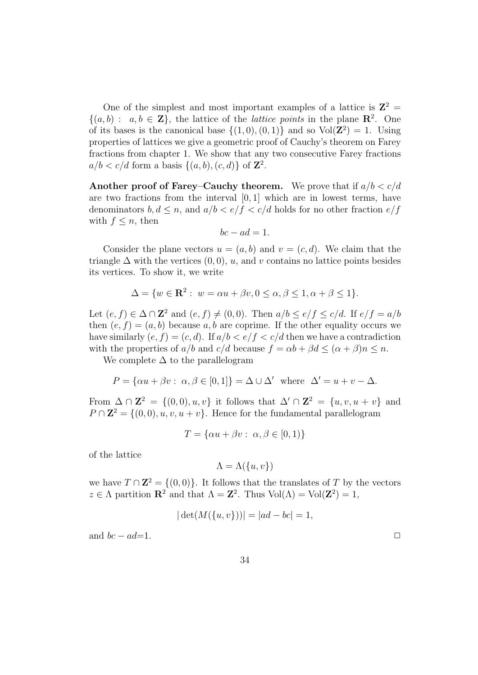One of the simplest and most important examples of a lattice is  $\mathbb{Z}^2$  =  $\{(a, b): a, b \in \mathbb{Z}\},\$  the lattice of the *lattice points* in the plane  $\mathbb{R}^2$ . One of its bases is the canonical base  $\{(1,0),(0,1)\}\$  and so  $Vol(\mathbb{Z}^2) = 1$ . Using properties of lattices we give a geometric proof of Cauchy's theorem on Farey fractions from chapter 1. We show that any two consecutive Farey fractions  $a/b < c/d$  form a basis  $\{(a, b), (c, d)\}\$  of  $\mathbb{Z}^2$ .

Another proof of Farey–Cauchy theorem. We prove that if  $a/b < c/d$ are two fractions from the interval  $[0, 1]$  which are in lowest terms, have denominators  $b, d \leq n$ , and  $a/b < e/f < c/d$  holds for no other fraction  $e/f$ with  $f \leq n$ , then

$$
bc - ad = 1.
$$

Consider the plane vectors  $u = (a, b)$  and  $v = (c, d)$ . We claim that the triangle  $\Delta$  with the vertices  $(0, 0)$ , u, and v contains no lattice points besides its vertices. To show it, we write

$$
\Delta = \{ w \in \mathbf{R}^2 : w = \alpha u + \beta v, 0 \le \alpha, \beta \le 1, \alpha + \beta \le 1 \}.
$$

Let  $(e, f) \in \Delta \cap \mathbb{Z}^2$  and  $(e, f) \neq (0, 0)$ . Then  $a/b \leq e/f \leq c/d$ . If  $e/f = a/b$ then  $(e, f) = (a, b)$  because a, b are coprime. If the other equality occurs we have similarly  $(e, f) = (c, d)$ . If  $a/b < e/f < c/d$  then we have a contradiction with the properties of  $a/b$  and  $c/d$  because  $f = \alpha b + \beta d < (\alpha + \beta)n < n$ .

We complete  $\Delta$  to the parallelogram

$$
P = \{ \alpha u + \beta v : \alpha, \beta \in [0, 1] \} = \Delta \cup \Delta' \text{ where } \Delta' = u + v - \Delta.
$$

From  $\Delta \cap \mathbb{Z}^2 = \{(0,0),u,v\}$  it follows that  $\Delta' \cap \mathbb{Z}^2 = \{u,v,u+v\}$  and  $P \cap \mathbb{Z}^2 = \{(0,0), u, v, u + v\}.$  Hence for the fundamental parallelogram

$$
T = \{\alpha u + \beta v : \ \alpha, \beta \in [0, 1)\}
$$

of the lattice

$$
\Lambda = \Lambda(\{u, v\})
$$

we have  $T \cap \mathbb{Z}^2 = \{(0,0)\}\.$  It follows that the translates of T by the vectors  $z \in \Lambda$  partition  $\mathbb{R}^2$  and that  $\Lambda = \mathbb{Z}^2$ . Thus  $\text{Vol}(\Lambda) = \text{Vol}(\mathbb{Z}^2) = 1$ ,

$$
|\det(M(\{u, v\}))| = |ad - bc| = 1,
$$

and  $bc - ad=1$ .  $\Box$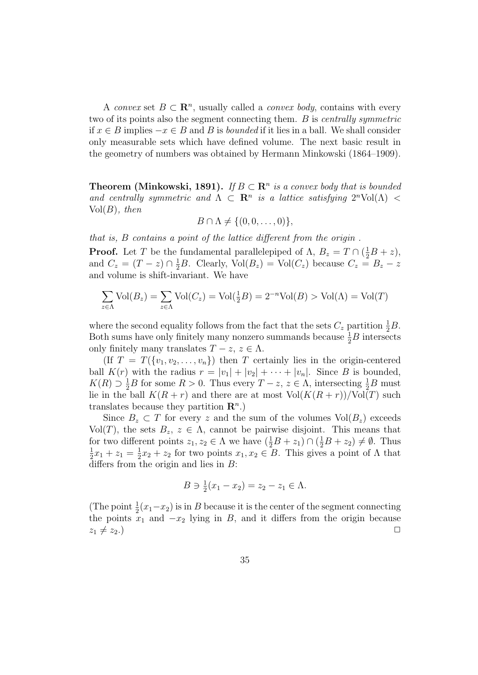A convex set  $B \subset \mathbb{R}^n$ , usually called a convex body, contains with every two of its points also the segment connecting them. B is centrally symmetric if  $x \in B$  implies  $-x \in B$  and B is *bounded* if it lies in a ball. We shall consider only measurable sets which have defined volume. The next basic result in the geometry of numbers was obtained by Hermann Minkowski (1864–1909).

**Theorem (Minkowski, 1891).** If  $B \subset \mathbb{R}^n$  is a convex body that is bounded and centrally symmetric and  $\Lambda \subset \mathbb{R}^n$  is a lattice satisfying  $2^n \text{Vol}(\Lambda)$  <  $Vol(B)$ , then

$$
B \cap \Lambda \neq \{(0,0,\ldots,0)\},\
$$

that is, B contains a point of the lattice different from the origin .

**Proof.** Let T be the fundamental parallelepiped of  $\Lambda$ ,  $B_z = T \cap (\frac{1}{2}B + z)$ , and  $C_z = (T - z) \cap \frac{1}{2}B$ . Clearly,  $Vol(B_z) = Vol(C_z)$  because  $C_z = B_z - z$ and volume is shift-invariant. We have

$$
\sum_{z \in \Lambda} \text{Vol}(B_z) = \sum_{z \in \Lambda} \text{Vol}(C_z) = \text{Vol}(\frac{1}{2}B) = 2^{-n}\text{Vol}(B) > \text{Vol}(\Lambda) = \text{Vol}(T)
$$

where the second equality follows from the fact that the sets  $C_z$  partition  $\frac{1}{2}B$ . Both sums have only finitely many nonzero summands because  $\frac{1}{2}B$  intersects only finitely many translates  $T - z$ ,  $z \in \Lambda$ .

(If  $T = T({v_1, v_2, ..., v_n})$ ) then T certainly lies in the origin-centered ball  $K(r)$  with the radius  $r = |v_1| + |v_2| + \cdots + |v_n|$ . Since B is bounded,  $K(R) \supset \frac{1}{2}B$  for some  $R > 0$ . Thus every  $T - z$ ,  $z \in \Lambda$ , intersecting  $\frac{1}{2}B$  must lie in the ball  $K(R + r)$  and there are at most  $Vol(K(R + r))/Vol(T)$  such translates because they partition  $\mathbf{R}^{n}$ .)

Since  $B_z \subset T$  for every z and the sum of the volumes  $Vol(B_z)$  exceeds Vol(T), the sets  $B_z, z \in \Lambda$ , cannot be pairwise disjoint. This means that for two different points  $z_1, z_2 \in \Lambda$  we have  $(\frac{1}{2}B + z_1) \cap (\frac{1}{2}B + z_2) \neq \emptyset$ . Thus 1  $\frac{1}{2}x_1 + z_1 = \frac{1}{2}$  $\frac{1}{2}x_2 + z_2$  for two points  $x_1, x_2 \in B$ . This gives a point of  $\Lambda$  that differs from the origin and lies in  $B$ :

$$
B \ni \frac{1}{2}(x_1 - x_2) = z_2 - z_1 \in \Lambda.
$$

(The point  $\frac{1}{2}(x_1-x_2)$  is in B because it is the center of the segment connecting the points  $x_1$  and  $-x_2$  lying in B, and it differs from the origin because  $z_1 \neq z_2.$ )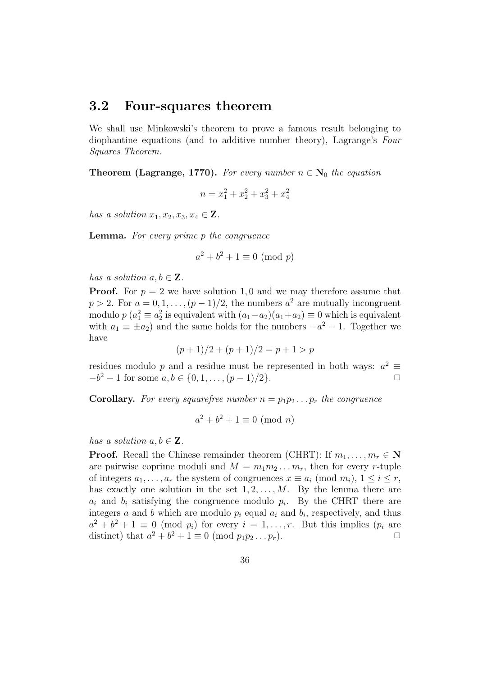#### 3.2 Four-squares theorem

We shall use Minkowski's theorem to prove a famous result belonging to diophantine equations (and to additive number theory), Lagrange's Four Squares Theorem.

**Theorem (Lagrange, 1770).** For every number  $n \in N_0$  the equation

$$
n = x_1^2 + x_2^2 + x_3^2 + x_4^2
$$

has a solution  $x_1, x_2, x_3, x_4 \in \mathbf{Z}$ .

Lemma. For every prime p the congruence

$$
a^2 + b^2 + 1 \equiv 0 \pmod{p}
$$

has a solution  $a, b \in \mathbf{Z}$ .

**Proof.** For  $p = 2$  we have solution 1,0 and we may therefore assume that  $p > 2$ . For  $a = 0, 1, \ldots, (p-1)/2$ , the numbers  $a<sup>2</sup>$  are mutually incongruent modulo  $p(a_1^2 \equiv a_2^2)$  is equivalent with  $(a_1 - a_2)(a_1 + a_2) \equiv 0$  which is equivalent with  $a_1 \equiv \pm a_2$ ) and the same holds for the numbers  $-a^2 - 1$ . Together we have

$$
(p+1)/2 + (p+1)/2 = p+1 > p
$$

residues modulo p and a residue must be represented in both ways:  $a^2 \equiv$  $-b^2-1$  for some  $a, b \in \{0, 1, \ldots, (p-1)/2\}$ .

**Corollary.** For every squarefree number  $n = p_1p_2 \ldots p_r$  the congruence

$$
a^2 + b^2 + 1 \equiv 0 \pmod{n}
$$

has a solution  $a, b \in \mathbf{Z}$ .

**Proof.** Recall the Chinese remainder theorem (CHRT): If  $m_1, \ldots, m_r \in \mathbb{N}$ are pairwise coprime moduli and  $M = m_1 m_2 \dots m_r$ , then for every r-tuple of integers  $a_1, \ldots, a_r$  the system of congruences  $x \equiv a_i \pmod{m_i}$ ,  $1 \leq i \leq r$ , has exactly one solution in the set  $1, 2, \ldots, M$ . By the lemma there are  $a_i$  and  $b_i$  satisfying the congruence modulo  $p_i$ . By the CHRT there are integers a and b which are modulo  $p_i$  equal  $a_i$  and  $b_i$ , respectively, and thus  $a^2 + b^2 + 1 \equiv 0 \pmod{p_i}$  for every  $i = 1, \ldots, r$ . But this implies  $(p_i \text{ are } i \neq j)$ distinct) that  $a^2 + b^2 + 1 \equiv 0 \pmod{p_1p_2 \dots p_r}$ .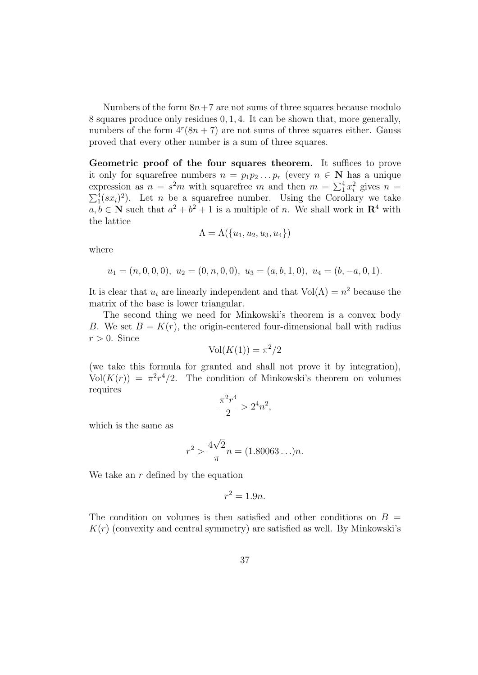Numbers of the form  $8n+7$  are not sums of three squares because modulo 8 squares produce only residues 0, 1, 4. It can be shown that, more generally, numbers of the form  $4^{r}(8n + 7)$  are not sums of three squares either. Gauss proved that every other number is a sum of three squares.

Geometric proof of the four squares theorem. It suffices to prove it only for squarefree numbers  $n = p_1p_2...p_r$  (every  $n \in \mathbb{N}$  has a unique expression as  $n = s^2m$  with squarefree m and then  $m = \sum_1^4 x_i^2$  gives  $n =$  $\sum_{1}^{4} (sx_i)^2$ ). Let *n* be a squarefree number. Using the Corollary we take  $a, b \in \mathbb{N}$  such that  $a^2 + b^2 + 1$  is a multiple of n. We shall work in  $\mathbb{R}^4$  with the lattice

$$
\Lambda = \Lambda(\{u_1, u_2, u_3, u_4\})
$$

where

$$
u_1 = (n, 0, 0, 0), u_2 = (0, n, 0, 0), u_3 = (a, b, 1, 0), u_4 = (b, -a, 0, 1).
$$

It is clear that  $u_i$  are linearly independent and that  $Vol(\Lambda) = n^2$  because the matrix of the base is lower triangular.

The second thing we need for Minkowski's theorem is a convex body B. We set  $B = K(r)$ , the origin-centered four-dimensional ball with radius  $r > 0$ . Since

$$
Vol(K(1)) = \pi^2/2
$$

(we take this formula for granted and shall not prove it by integration),  $Vol(K(r)) = \pi^2 r^4/2$ . The condition of Minkowski's theorem on volumes requires

$$
\frac{\pi^2 r^4}{2} > 2^4 n^2,
$$

which is the same as

$$
r^2 > \frac{4\sqrt{2}}{\pi}n = (1.80063\dots)n.
$$

We take an  $r$  defined by the equation

$$
r^2 = 1.9n.
$$

The condition on volumes is then satisfied and other conditions on  $B =$  $K(r)$  (convexity and central symmetry) are satisfied as well. By Minkowski's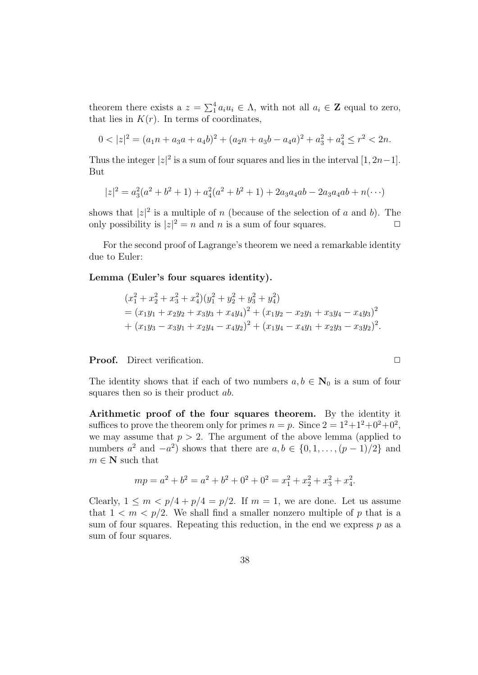theorem there exists a  $z = \sum_{i=1}^{4} a_i u_i \in \Lambda$ , with not all  $a_i \in \mathbf{Z}$  equal to zero, that lies in  $K(r)$ . In terms of coordinates,

$$
0 < |z|^2 = (a_1n + a_3a + a_4b)^2 + (a_2n + a_3b - a_4a)^2 + a_3^2 + a_4^2 \le r^2 < 2n.
$$

Thus the integer  $|z|^2$  is a sum of four squares and lies in the interval  $[1, 2n-1]$ . But

$$
|z|^2 = a_3^2(a^2 + b^2 + 1) + a_4^2(a^2 + b^2 + 1) + 2a_3a_4ab - 2a_3a_4ab + n(\cdots)
$$

shows that  $|z|^2$  is a multiple of n (because of the selection of a and b). The only possibility is  $|z|^2 = n$  and n is a sum of four squares.

For the second proof of Lagrange's theorem we need a remarkable identity due to Euler:

Lemma (Euler's four squares identity).

$$
(x_1^2 + x_2^2 + x_3^2 + x_4^2)(y_1^2 + y_2^2 + y_3^2 + y_4^2)
$$
  
=  $(x_1y_1 + x_2y_2 + x_3y_3 + x_4y_4)^2 + (x_1y_2 - x_2y_1 + x_3y_4 - x_4y_3)^2$   
+  $(x_1y_3 - x_3y_1 + x_2y_4 - x_4y_2)^2 + (x_1y_4 - x_4y_1 + x_2y_3 - x_3y_2)^2$ .

**Proof.** Direct verification. ◯

The identity shows that if each of two numbers  $a, b \in \mathbb{N}_0$  is a sum of four squares then so is their product *ab*.

Arithmetic proof of the four squares theorem. By the identity it suffices to prove the theorem only for primes  $n = p$ . Since  $2 = 1^2 + 1^2 + 0^2 + 0^2$ , we may assume that  $p > 2$ . The argument of the above lemma (applied to numbers  $a^2$  and  $-a^2$ ) shows that there are  $a, b \in \{0, 1, \ldots, (p-1)/2\}$  and  $m \in \mathbf{N}$  such that

$$
mp = a2 + b2 = a2 + b2 + 02 + 02 = x12 + x22 + x32 + x42.
$$

Clearly,  $1 \leq m < p/4 + p/4 = p/2$ . If  $m = 1$ , we are done. Let us assume that  $1 \leq m \leq p/2$ . We shall find a smaller nonzero multiple of p that is a sum of four squares. Repeating this reduction, in the end we express  $p$  as a sum of four squares.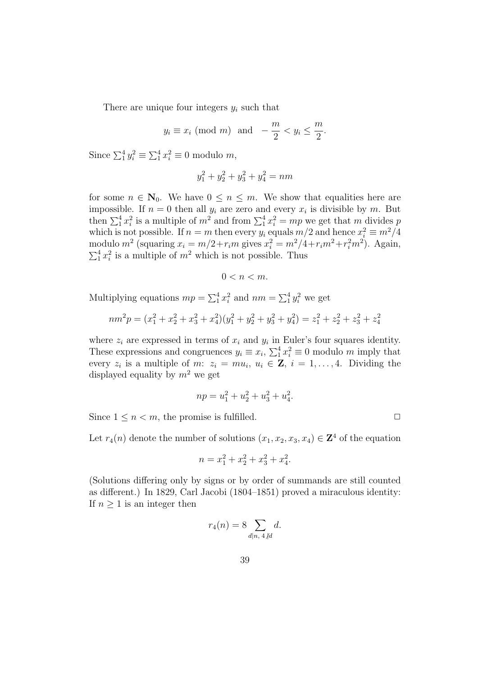There are unique four integers  $y_i$  such that

$$
y_i \equiv x_i \pmod{m}
$$
 and  $-\frac{m}{2} < y_i \le \frac{m}{2}$ .

Since  $\sum_{i=1}^{4} y_i^2 \equiv \sum_{i=1}^{4} x_i^2 \equiv 0$  modulo m,

$$
y_1^2 + y_2^2 + y_3^2 + y_4^2 = nm
$$

for some  $n \in \mathbb{N}_0$ . We have  $0 \leq n \leq m$ . We show that equalities here are impossible. If  $n = 0$  then all  $y_i$  are zero and every  $x_i$  is divisible by m. But then  $\sum_{i=1}^{4} x_i^2$  is a multiple of  $m^2$  and from  $\sum_{i=1}^{4} x_i^2 = mp$  we get that m divides p which is not possible. If  $n = m$  then every  $y_i$  equals  $m/2$  and hence  $x_i^2 \equiv m^2/4$ modulo  $m^2$  (squaring  $x_i = m/2 + r_i m$  gives  $x_i^2 = m^2/4 + r_i m^2 + r_i^2 m^2$ ). Again,  $\sum_1^4 x_i^2$  is a multiple of  $m^2$  which is not possible. Thus

$$
0 < n < m.
$$

Multiplying equations  $mp = \sum_{1}^{4} x_i^2$  and  $nm = \sum_{1}^{4} y_i^2$  we get

$$
nm^{2}p = (x_{1}^{2} + x_{2}^{2} + x_{3}^{2} + x_{4}^{2})(y_{1}^{2} + y_{2}^{2} + y_{3}^{2} + y_{4}^{2}) = z_{1}^{2} + z_{2}^{2} + z_{3}^{2} + z_{4}^{2}
$$

where  $z_i$  are expressed in terms of  $x_i$  and  $y_i$  in Euler's four squares identity. These expressions and congruences  $y_i \equiv x_i$ ,  $\sum_1^4 x_i^2 \equiv 0$  modulo m imply that every  $z_i$  is a multiple of m:  $z_i = m u_i, u_i \in \mathbf{Z}, i = 1, ..., 4$ . Dividing the displayed equality by  $m^2$  we get

$$
np = u_1^2 + u_2^2 + u_3^2 + u_4^2.
$$

Since  $1 \leq n \leq m$ , the promise is fulfilled.  $\Box$ 

Let  $r_4(n)$  denote the number of solutions  $(x_1, x_2, x_3, x_4) \in \mathbb{Z}^4$  of the equation

$$
n = x_1^2 + x_2^2 + x_3^2 + x_4^2.
$$

(Solutions differing only by signs or by order of summands are still counted as different.) In 1829, Carl Jacobi (1804–1851) proved a miraculous identity: If  $n \geq 1$  is an integer then

$$
r_4(n) = 8 \sum_{d|n, \ 4 \nmid d} d.
$$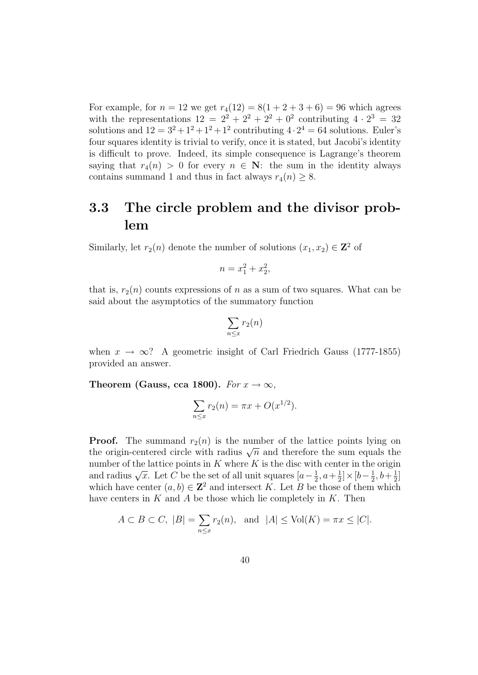For example, for  $n = 12$  we get  $r_4(12) = 8(1 + 2 + 3 + 6) = 96$  which agrees with the representations  $12 = 2^2 + 2^2 + 2^2 + 0^2$  contributing  $4 \cdot 2^3 = 32$ solutions and  $12 = 3^2 + 1^2 + 1^2 + 1^2$  contributing  $4 \cdot 2^4 = 64$  solutions. Euler's four squares identity is trivial to verify, once it is stated, but Jacobi's identity is difficult to prove. Indeed, its simple consequence is Lagrange's theorem saying that  $r_4(n) > 0$  for every  $n \in \mathbb{N}$ : the sum in the identity always contains summand 1 and thus in fact always  $r_4(n) \geq 8$ .

#### 3.3 The circle problem and the divisor problem

Similarly, let  $r_2(n)$  denote the number of solutions  $(x_1, x_2) \in \mathbb{Z}^2$  of

$$
n = x_1^2 + x_2^2,
$$

that is,  $r_2(n)$  counts expressions of n as a sum of two squares. What can be said about the asymptotics of the summatory function

$$
\sum_{n\leq x}r_2(n)
$$

when  $x \to \infty$ ? A geometric insight of Carl Friedrich Gauss (1777-1855) provided an answer.

Theorem (Gauss, cca 1800). For  $x \to \infty$ ,

$$
\sum_{n \le x} r_2(n) = \pi x + O(x^{1/2}).
$$

**Proof.** The summand  $r_2(n)$  is the number of the lattice points lying on **The summand**  $t_2(t)$  is the number of the lattice points fying on the origin-centered circle with radius  $\sqrt{n}$  and therefore the sum equals the number of the lattice points in  $K$  where  $K$  is the disc with center in the origin mumber of the lattice points in A where A is the disc with<br>and radius  $\sqrt{x}$ . Let C be the set of all unit squares  $[a-\frac{1}{2}]$  $\frac{1}{2}$ ,  $a + \frac{1}{2}$  $\frac{1}{2}]\times[b-\frac{1}{2}]$  $\frac{1}{2}, b + \frac{1}{2}$  $\frac{1}{2}$ ] which have center  $(a, b) \in \mathbb{Z}^2$  and intersect K. Let B be those of them which have centers in  $K$  and  $A$  be those which lie completely in  $K$ . Then

$$
A \subset B \subset C, \ |B| = \sum_{n \le x} r_2(n), \text{ and } |A| \le \text{Vol}(K) = \pi x \le |C|.
$$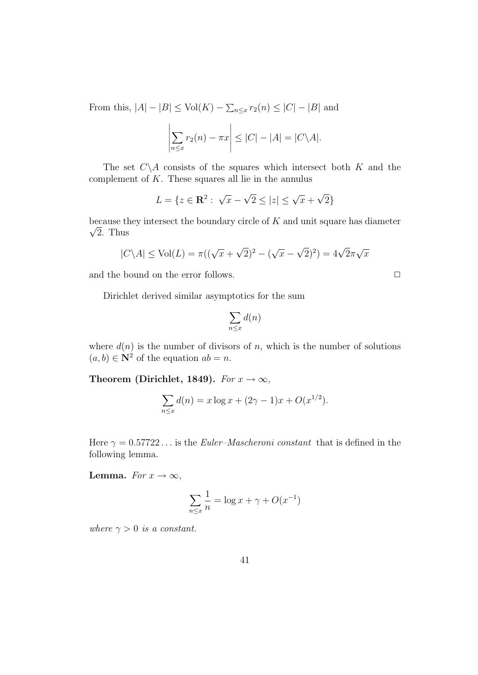From this,  $|A| - |B| \leq Vol(K) - \sum_{n \leq x} r_2(n) \leq |C| - |B|$  and

$$
\left|\sum_{n\leq x} r_2(n) - \pi x\right| \leq |C| - |A| = |C\backslash A|.
$$

The set  $C \setminus A$  consists of the squares which intersect both K and the complement of  $K$ . These squares all lie in the annulus

$$
L = \{ z \in \mathbf{R}^2 : \sqrt{x} - \sqrt{2} \le |z| \le \sqrt{x} + \sqrt{2} \}
$$

because they intersect the boundary circle of  $K$  and unit square has diameter  $\sqrt{2}$ . Thus

$$
|C \backslash A| \le \text{Vol}(L) = \pi((\sqrt{x} + \sqrt{2})^2 - (\sqrt{x} - \sqrt{2})^2) = 4\sqrt{2}\pi\sqrt{x}
$$

and the bound on the error follows.  $\Box$ 

Dirichlet derived similar asymptotics for the sum

$$
\sum_{n\leq x} d(n)
$$

where  $d(n)$  is the number of divisors of n, which is the number of solutions  $(a, b) \in \mathbb{N}^2$  of the equation  $ab = n$ .

Theorem (Dirichlet, 1849). For  $x \to \infty$ ,

$$
\sum_{n \le x} d(n) = x \log x + (2\gamma - 1)x + O(x^{1/2}).
$$

Here  $\gamma = 0.57722...$  is the *Euler–Mascheroni constant* that is defined in the following lemma.

Lemma. For  $x \to \infty$ ,

$$
\sum_{n \le x} \frac{1}{n} = \log x + \gamma + O(x^{-1})
$$

where  $\gamma > 0$  is a constant.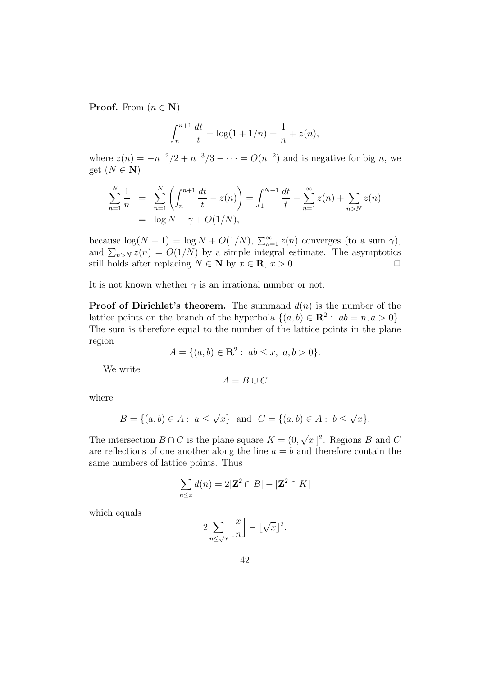**Proof.** From  $(n \in \mathbf{N})$ 

$$
\int_{n}^{n+1} \frac{dt}{t} = \log(1 + 1/n) = \frac{1}{n} + z(n),
$$

where  $z(n) = -n^{-2}/2 + n^{-3}/3 - \cdots = O(n^{-2})$  and is negative for big n, we get  $(N \in \mathbf{N})$ 

$$
\sum_{n=1}^{N} \frac{1}{n} = \sum_{n=1}^{N} \left( \int_{n}^{n+1} \frac{dt}{t} - z(n) \right) = \int_{1}^{N+1} \frac{dt}{t} - \sum_{n=1}^{\infty} z(n) + \sum_{n>N} z(n)
$$
  
= log N + \gamma + O(1/N),

because  $\log(N + 1) = \log N + O(1/N)$ ,  $\sum_{n=1}^{\infty} z(n)$  converges (to a sum  $\gamma$ ), and  $\sum_{n>N} z(n) = O(1/N)$  by a simple integral estimate. The asymptotics still holds after replacing  $N \in \mathbb{N}$  by  $x \in \mathbb{R}, x > 0$ .  $\Box$ 

It is not known whether  $\gamma$  is an irrational number or not.

**Proof of Dirichlet's theorem.** The summand  $d(n)$  is the number of the lattice points on the branch of the hyperbola  $\{(a, b) \in \mathbb{R}^2 : ab = n, a > 0\}.$ The sum is therefore equal to the number of the lattice points in the plane region

$$
A = \{(a, b) \in \mathbf{R}^2 : ab \le x, a, b > 0\}.
$$

We write

$$
A=B\cup C
$$

where

$$
B = \{(a, b) \in A : a \le \sqrt{x}\} \text{ and } C = \{(a, b) \in A : b \le \sqrt{x}\}.
$$

The intersection  $B \cap C$  is the plane square  $K = (0, \mathbb{R})$ √  $\overline{x}$  |<sup>2</sup>. Regions *B* and *C* are reflections of one another along the line  $a = b$  and therefore contain the same numbers of lattice points. Thus

$$
\sum_{n \le x} d(n) = 2|\mathbf{Z}^2 \cap B| - |\mathbf{Z}^2 \cap K|
$$

which equals

$$
2\sum_{n\leq\sqrt{x}}\left\lfloor\frac{x}{n}\right\rfloor-\lfloor\sqrt{x}\rfloor^2.
$$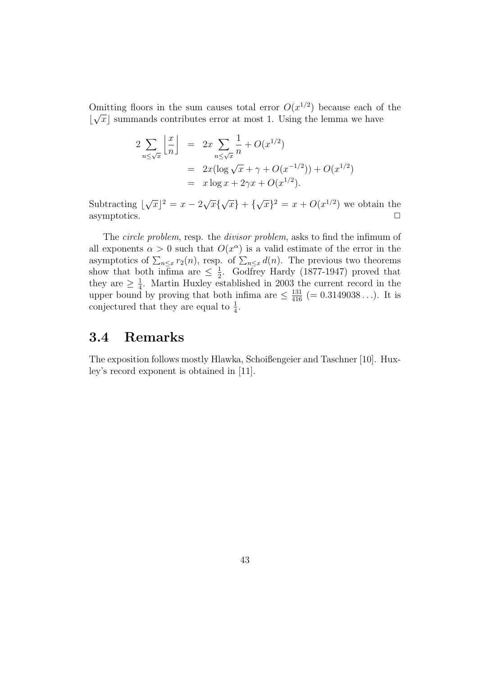Omitting floors in the sum causes total error  $O(x^{1/2})$  because each of the  $\lfloor \sqrt{x} \rfloor$  summands contributes error at most 1. Using the lemma we have

$$
2\sum_{n\leq \sqrt{x}} \left\lfloor \frac{x}{n} \right\rfloor = 2x \sum_{n\leq \sqrt{x}} \frac{1}{n} + O(x^{1/2})
$$
  
= 
$$
2x(\log \sqrt{x} + \gamma + O(x^{-1/2})) + O(x^{1/2})
$$
  
= 
$$
x \log x + 2\gamma x + O(x^{1/2}).
$$

Subtracting  $\lfloor$ √  $\overline{x}$ ]<sup>2</sup> =  $x - 2\sqrt{ }$  $\overline{x}$ { √  $\overline{x}\}$  + { √  $\overline{x}$ }<sup>2</sup> =  $x + O(x^{1/2})$  we obtain the asymptotics.  $\Box$ 

The *circle problem*, resp. the *divisor problem*, asks to find the infimum of all exponents  $\alpha > 0$  such that  $O(x^{\alpha})$  is a valid estimate of the error in the asymptotics of  $\sum_{n\leq x} r_2(n)$ , resp. of  $\sum_{n\leq x} d(n)$ . The previous two theorems show that both infima are  $\leq \frac{1}{2}$  $\frac{1}{2}$ . Godfrey Hardy (1877-1947) proved that they are  $\geq \frac{1}{4}$  $\frac{1}{4}$ . Martin Huxley established in 2003 the current record in the upper bound by proving that both infima are  $\leq \frac{131}{416}$  (= 0.3149038...). It is conjectured that they are equal to  $\frac{1}{4}$ .

#### 3.4 Remarks

The exposition follows mostly Hlawka, Schoißengeier and Taschner [10]. Huxley's record exponent is obtained in [11].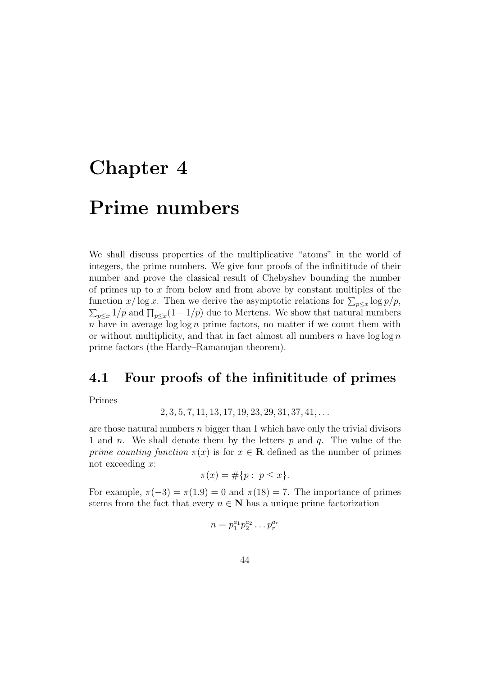# Chapter 4

# Prime numbers

We shall discuss properties of the multiplicative "atoms" in the world of integers, the prime numbers. We give four proofs of the infinititude of their number and prove the classical result of Chebyshev bounding the number of primes up to  $x$  from below and from above by constant multiples of the function  $x/\log x$ . Then we derive the asymptotic relations for  $\sum_{p\leq x}\log p/p$ ,  $\sum_{p \leq x} 1/p$  and  $\prod_{p \leq x} (1 - 1/p)$  due to Mertens. We show that natural numbers n have in average  $\log \log n$  prime factors, no matter if we count them with or without multiplicity, and that in fact almost all numbers n have  $\log \log n$ prime factors (the Hardy–Ramanujan theorem).

#### 4.1 Four proofs of the infinititude of primes

Primes

$$
2, 3, 5, 7, 11, 13, 17, 19, 23, 29, 31, 37, 41, \ldots
$$

are those natural numbers n bigger than 1 which have only the trivial divisors 1 and *n*. We shall denote them by the letters  $p$  and  $q$ . The value of the prime counting function  $\pi(x)$  is for  $x \in \mathbf{R}$  defined as the number of primes not exceeding x:

$$
\pi(x) = \#\{p : p \le x\}.
$$

For example,  $\pi(-3) = \pi(1.9) = 0$  and  $\pi(18) = 7$ . The importance of primes stems from the fact that every  $n \in \mathbb{N}$  has a unique prime factorization

$$
n = p_1^{a_1} p_2^{a_2} \dots p_r^{a_r}
$$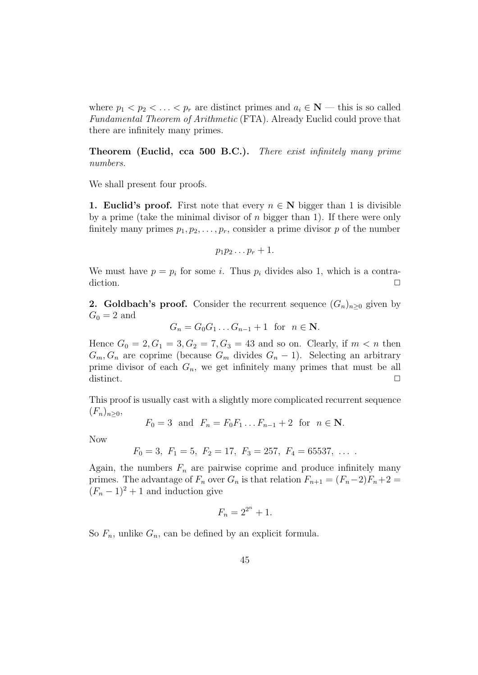where  $p_1 < p_2 < \ldots < p_r$  are distinct primes and  $a_i \in \mathbb{N}$  — this is so called Fundamental Theorem of Arithmetic (FTA). Already Euclid could prove that there are infinitely many primes.

Theorem (Euclid, cca 500 B.C.). There exist infinitely many prime numbers.

We shall present four proofs.

1. Euclid's proof. First note that every  $n \in \mathbb{N}$  bigger than 1 is divisible by a prime (take the minimal divisor of  $n$  bigger than 1). If there were only finitely many primes  $p_1, p_2, \ldots, p_r$ , consider a prime divisor p of the number

$$
p_1p_2\ldots p_r+1.
$$

We must have  $p = p_i$  for some i. Thus  $p_i$  divides also 1, which is a contradiction.  $\Box$ 

2. Goldbach's proof. Consider the recurrent sequence  $(G_n)_{n>0}$  given by  $G_0 = 2$  and

$$
G_n = G_0 G_1 \dots G_{n-1} + 1 \text{ for } n \in \mathbb{N}.
$$

Hence  $G_0 = 2, G_1 = 3, G_2 = 7, G_3 = 43$  and so on. Clearly, if  $m < n$  then  $G_m, G_n$  are coprime (because  $G_m$  divides  $G_n - 1$ ). Selecting an arbitrary prime divisor of each  $G_n$ , we get infinitely many primes that must be all distinct.  $\Box$ 

This proof is usually cast with a slightly more complicated recurrent sequence  $(F_n)_{n>0},$ 

$$
F_0 = 3
$$
 and  $F_n = F_0 F_1 ... F_{n-1} + 2$  for  $n \in \mathbb{N}$ .

Now

$$
F_0 = 3
$$
,  $F_1 = 5$ ,  $F_2 = 17$ ,  $F_3 = 257$ ,  $F_4 = 65537$ , ...

Again, the numbers  $F_n$  are pairwise coprime and produce infinitely many primes. The advantage of  $F_n$  over  $G_n$  is that relation  $F_{n+1} = (F_n-2)F_n+2 =$  $(F_n - 1)^2 + 1$  and induction give

$$
F_n = 2^{2^n} + 1.
$$

So  $F_n$ , unlike  $G_n$ , can be defined by an explicit formula.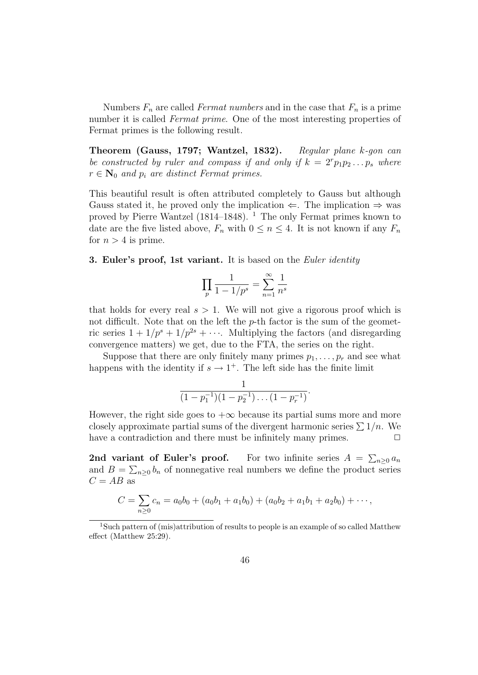Numbers  $F_n$  are called Fermat numbers and in the case that  $F_n$  is a prime number it is called *Fermat prime*. One of the most interesting properties of Fermat primes is the following result.

Theorem (Gauss, 1797; Wantzel, 1832). Regular plane k-gon can be constructed by ruler and compass if and only if  $k = 2^{r}p_{1}p_{2} \ldots p_{s}$  where  $r \in \mathbf{N}_0$  and  $p_i$  are distinct Fermat primes.

This beautiful result is often attributed completely to Gauss but although Gauss stated it, he proved only the implication  $\Leftarrow$ . The implication  $\Rightarrow$  was proved by Pierre Wantzel (1814–1848). <sup>1</sup> The only Fermat primes known to date are the five listed above,  $F_n$  with  $0 \leq n \leq 4$ . It is not known if any  $F_n$ for  $n > 4$  is prime.

**3. Euler's proof, 1st variant.** It is based on the *Euler identity* 

$$
\prod_p \frac{1}{1-1/p^s} = \sum_{n=1}^\infty \frac{1}{n^s}
$$

that holds for every real  $s > 1$ . We will not give a rigorous proof which is not difficult. Note that on the left the  $p$ -th factor is the sum of the geometric series  $1 + 1/p^{s} + 1/p^{2s} + \cdots$ . Multiplying the factors (and disregarding convergence matters) we get, due to the FTA, the series on the right.

Suppose that there are only finitely many primes  $p_1, \ldots, p_r$  and see what happens with the identity if  $s \to 1^+$ . The left side has the finite limit

$$
\frac{1}{(1-p_1^{-1})(1-p_2^{-1})\dots(1-p_r^{-1})}.
$$

However, the right side goes to  $+\infty$  because its partial sums more and more closely approximate partial sums of the divergent harmonic series  $\sum 1/n$ . We have a contradiction and there must be infinitely many primes.  $\Box$ 

2nd variant of Euler's proof.  $\sum_{n\geq 0} a_n$ and  $B = \sum_{n\geq 0} b_n$  of nonnegative real numbers we define the product series  $C = AB$  as

$$
C = \sum_{n\geq 0} c_n = a_0b_0 + (a_0b_1 + a_1b_0) + (a_0b_2 + a_1b_1 + a_2b_0) + \cdots,
$$

<sup>&</sup>lt;sup>1</sup>Such pattern of (mis)attribution of results to people is an example of so called Matthew effect (Matthew 25:29).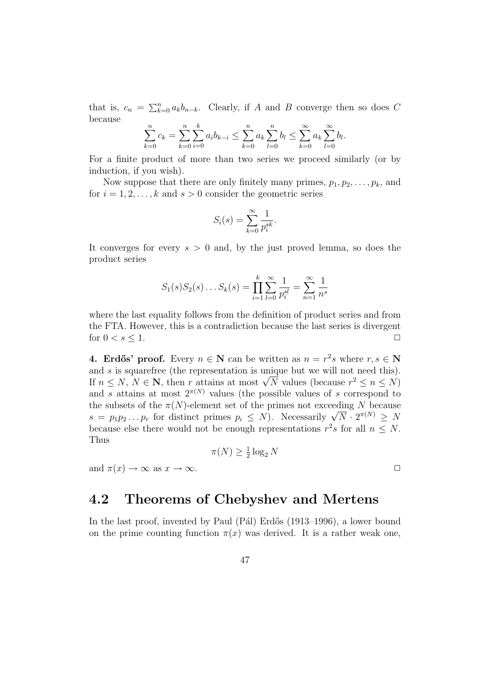that is,  $c_n = \sum_{k=0}^n a_k b_{n-k}$ . Clearly, if A and B converge then so does C because

$$
\sum_{k=0}^{n} c_k = \sum_{k=0}^{n} \sum_{i=0}^{k} a_i b_{k-i} \le \sum_{k=0}^{n} a_k \sum_{l=0}^{n} b_l \le \sum_{k=0}^{\infty} a_k \sum_{l=0}^{\infty} b_l.
$$

For a finite product of more than two series we proceed similarly (or by induction, if you wish).

Now suppose that there are only finitely many primes,  $p_1, p_2, \ldots, p_k$ , and for  $i = 1, 2, \ldots, k$  and  $s > 0$  consider the geometric series

$$
S_i(s) = \sum_{k=0}^{\infty} \frac{1}{p_i^{sk}}.
$$

It converges for every  $s > 0$  and, by the just proved lemma, so does the product series

$$
S_1(s)S_2(s)...S_k(s) = \prod_{i=1}^k \sum_{l=0}^{\infty} \frac{1}{p_i^{sl}} = \sum_{n=1}^{\infty} \frac{1}{n^s}
$$

where the last equality follows from the definition of product series and from the FTA. However, this is a contradiction because the last series is divergent for  $0 < s \leq 1$ .

**4. Erdős' proof.** Every  $n \in \mathbb{N}$  can be written as  $n = r^2 s$  where  $r, s \in \mathbb{N}$ and s is squarefree (the representation is unique but we will not need this). and s is squaremee (the representation is unique but we will not need this).<br>If  $n \leq N, N \in \mathbb{N}$ , then r attains at most  $\sqrt{N}$  values (because  $r^2 \leq n \leq N$ ) and s attains at most  $2^{\pi(N)}$  values (the possible values of s correspond to the subsets of the  $\pi(N)$ -element set of the primes not exceeding N because the subsets of the  $\pi(N)$ -element set of the primes not exceeding N because<br>  $s = p_1 p_2 ... p_r$  for distinct primes  $p_i \leq N$ ). Necessarily  $\sqrt{N} \cdot 2^{\pi(N)} \geq N$ because else there would not be enough representations  $r^2s$  for all  $n \leq N$ . Thus

$$
\pi(N) \ge \frac{1}{2} \log_2 N
$$

and  $\pi(x) \to \infty$  as  $x \to \infty$ .

## 4.2 Theorems of Chebyshev and Mertens

In the last proof, invented by Paul (Pál) Erdős (1913–1996), a lower bound on the prime counting function  $\pi(x)$  was derived. It is a rather weak one,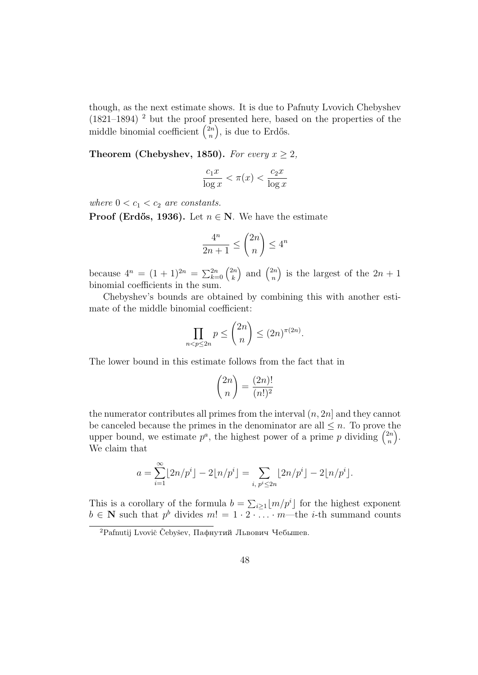though, as the next estimate shows. It is due to Pafnuty Lvovich Chebyshev  $(1821-1894)$ <sup>2</sup> but the proof presented here, based on the properties of the middle binomial coefficient  $\binom{2n}{n}$ n ), is due to Erdős.

Theorem (Chebyshev, 1850). For every  $x \geq 2$ ,

$$
\frac{c_1 x}{\log x} < \pi(x) < \frac{c_2 x}{\log x}
$$

where  $0 < c_1 < c_2$  are constants.

**Proof (Erdős, 1936).** Let  $n \in \mathbb{N}$ . We have the estimate

$$
\frac{4^n}{2n+1} \le \binom{2n}{n} \le 4^n
$$

because  $4^n = (1+1)^{2n} = \sum_{k=0}^{2n} {2n \choose k}$ k ) and  $\binom{2n}{n}$ n ) is the largest of the  $2n + 1$ binomial coefficients in the sum.

Chebyshev's bounds are obtained by combining this with another estimate of the middle binomial coefficient:

$$
\prod_{n < p \le 2n} p \le \binom{2n}{n} \le (2n)^{\pi(2n)}.
$$

The lower bound in this estimate follows from the fact that in

$$
\binom{2n}{n} = \frac{(2n)!}{(n!)^2}
$$

the numerator contributes all primes from the interval  $(n, 2n]$  and they cannot be canceled because the primes in the denominator are all  $\leq n$ . To prove the upper bound, we estimate  $p^a$ , the highest power of a prime p dividing  $\binom{2n}{n}$ n  $\cdot$ . We claim that

$$
a = \sum_{i=1}^{\infty} \lfloor 2n/p^i \rfloor - 2\lfloor n/p^i \rfloor = \sum_{i, p^i \le 2n} \lfloor 2n/p^i \rfloor - 2\lfloor n/p^i \rfloor.
$$

This is a corollary of the formula  $b = \sum_{i \geq 1} \lfloor m/p^i \rfloor$  for the highest exponent  $b \in \mathbb{N}$  such that  $p^b$  divides  $m! = 1 \cdot 2 \cdot \ldots \cdot m$ —the *i*-th summand counts

 ${}^{2}$ Pafnutij Lvovič Čebyšev, Пафнутий Львович Чебышев.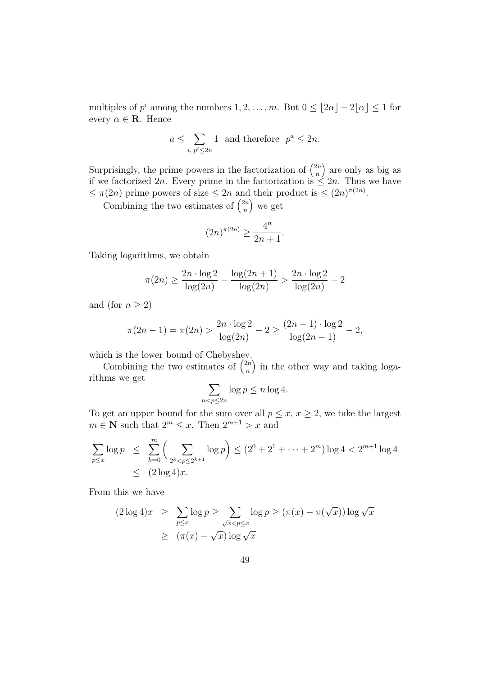multiples of  $p^i$  among the numbers  $1, 2, ..., m$ . But  $0 \leq |2\alpha| - 2|\alpha| \leq 1$  for every  $\alpha \in \mathbf{R}$ . Hence

$$
a \le \sum_{i, \, p^i \le 2n} 1 \text{ and therefore } p^a \le 2n.
$$

Surprisingly, the prime powers in the factorization of  $\binom{2n}{n}$ n are only as big as if we factorized 2n. Every prime in the factorization is  $\leq 2n$ . Thus we have  $\leq \pi(2n)$  prime powers of size  $\leq 2n$  and their product is  $\leq (2n)^{\pi(2n)}$ .

Combining the two estimates of  $\binom{2n}{n}$ n we get

$$
(2n)^{\pi(2n)} \ge \frac{4^n}{2n+1}
$$

.

Taking logarithms, we obtain

$$
\pi(2n) \ge \frac{2n \cdot \log 2}{\log(2n)} - \frac{\log(2n+1)}{\log(2n)} > \frac{2n \cdot \log 2}{\log(2n)} - 2
$$

and (for  $n \geq 2$ )

$$
\pi(2n-1) = \pi(2n) > \frac{2n \cdot \log 2}{\log(2n)} - 2 \ge \frac{(2n-1) \cdot \log 2}{\log(2n-1)} - 2,
$$

which is the lower bound of Chebyshev.

Combining the two estimates of  $\binom{2n}{n}$ n ) in the other way and taking logarithms we get

$$
\sum_{n < p \le 2n} \log p \le n \log 4.
$$

To get an upper bound for the sum over all  $p \leq x, x \geq 2$ , we take the largest  $m \in \mathbb{N}$  such that  $2^m \leq x$ . Then  $2^{m+1} > x$  and

$$
\sum_{p \le x} \log p \le \sum_{k=0}^m \left( \sum_{2^k < p \le 2^{k+1}} \log p \right) \le (2^0 + 2^1 + \dots + 2^m) \log 4 < 2^{m+1} \log 4
$$
\n
$$
\le (2 \log 4)x.
$$

From this we have

$$
(2 \log 4)x \ge \sum_{p \le x} \log p \ge \sum_{\sqrt{x} < p \le x} \log p \ge (\pi(x) - \pi(\sqrt{x})) \log \sqrt{x}
$$
\n
$$
\ge (\pi(x) - \sqrt{x}) \log \sqrt{x}
$$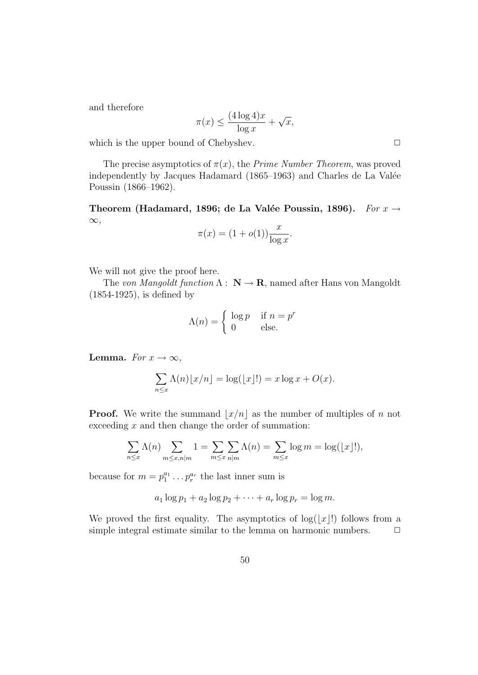and therefore

$$
\pi(x) \le \frac{(4\log 4)x}{\log x} + \sqrt{x},
$$

which is the upper bound of Chebyshev.  $\hfill \Box$ 

The precise asymptotics of  $\pi(x)$ , the *Prime Number Theorem*, was proved independently by Jacques Hadamard (1865–1963) and Charles de La Valée Poussin (1866–1962).

Theorem (Hadamard, 1896; de La Valée Poussin, 1896). For  $x \rightarrow$  $\infty,$ 

$$
\pi(x) = (1 + o(1)) \frac{x}{\log x}.
$$

We will not give the proof here.

The von Mangoldt function  $\Lambda : \mathbb{N} \to \mathbb{R}$ , named after Hans von Mangoldt (1854-1925), is defined by

$$
\Lambda(n) = \begin{cases} \log p & \text{if } n = p^r \\ 0 & \text{else.} \end{cases}
$$

Lemma. For  $x \to \infty$ ,

$$
\sum_{n \le x} \Lambda(n) \lfloor x/n \rfloor = \log(\lfloor x \rfloor!) = x \log x + O(x).
$$

**Proof.** We write the summand  $|x/n|$  as the number of multiples of n not exceeding  $x$  and then change the order of summation:

$$
\sum_{n \le x} \Lambda(n) \sum_{m \le x, n \mid m} 1 = \sum_{m \le x} \sum_{n \mid m} \Lambda(n) = \sum_{m \le x} \log m = \log(\lfloor x \rfloor!),
$$

because for  $m = p_1^{a_1} \dots p_r^{a_r}$  the last inner sum is

$$
a_1 \log p_1 + a_2 \log p_2 + \cdots + a_r \log p_r = \log m.
$$

We proved the first equality. The asymptotics of  $log(|x|!)$  follows from a simple integral estimate similar to the lemma on harmonic numbers.  $\Box$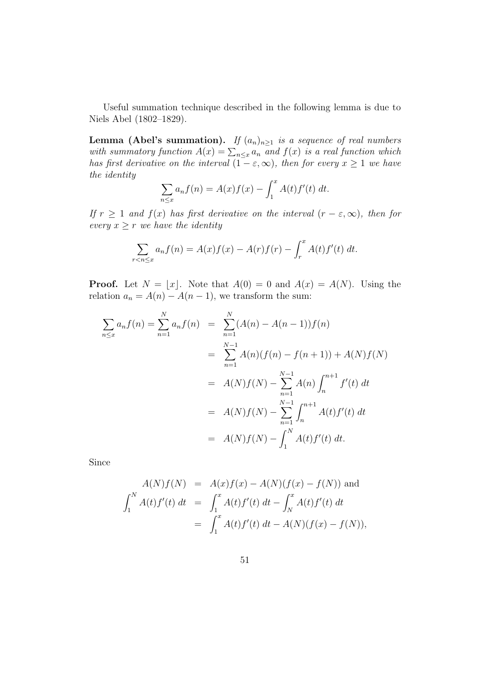Useful summation technique described in the following lemma is due to Niels Abel (1802–1829).

**Lemma (Abel's summation).** If  $(a_n)_{n\geq 1}$  is a sequence of real numbers with summatory function  $A(x) = \sum_{n \leq x} a_n$  and  $f(x)$  is a real function which has first derivative on the interval  $(1 - \varepsilon, \infty)$ , then for every  $x \ge 1$  we have the identity

$$
\sum_{n \leq x} a_n f(n) = A(x) f(x) - \int_1^x A(t) f'(t) dt.
$$

If  $r \geq 1$  and  $f(x)$  has first derivative on the interval  $(r - \varepsilon, \infty)$ , then for every  $x \geq r$  we have the identity

$$
\sum_{r < n \le x} a_n f(n) = A(x) f(x) - A(r) f(r) - \int_r^x A(t) f'(t) \, dt.
$$

**Proof.** Let  $N = \lfloor x \rfloor$ . Note that  $A(0) = 0$  and  $A(x) = A(N)$ . Using the relation  $a_n = A(n) - A(n-1)$ , we transform the sum:

$$
\sum_{n \le x} a_n f(n) = \sum_{n=1}^{N} a_n f(n) = \sum_{n=1}^{N} (A(n) - A(n-1)) f(n)
$$
  
= 
$$
\sum_{n=1}^{N-1} A(n) (f(n) - f(n+1)) + A(N) f(N)
$$
  
= 
$$
A(N) f(N) - \sum_{n=1}^{N-1} A(n) \int_{n}^{n+1} f'(t) dt
$$
  
= 
$$
A(N) f(N) - \sum_{n=1}^{N-1} \int_{n}^{n+1} A(t) f'(t) dt
$$
  
= 
$$
A(N) f(N) - \int_{1}^{N} A(t) f'(t) dt.
$$

Since

$$
A(N)f(N) = A(x)f(x) - A(N)(f(x) - f(N)) \text{ and}
$$
  

$$
\int_{1}^{N} A(t)f'(t) dt = \int_{1}^{x} A(t)f'(t) dt - \int_{N}^{x} A(t)f'(t) dt
$$
  

$$
= \int_{1}^{x} A(t)f'(t) dt - A(N)(f(x) - f(N)),
$$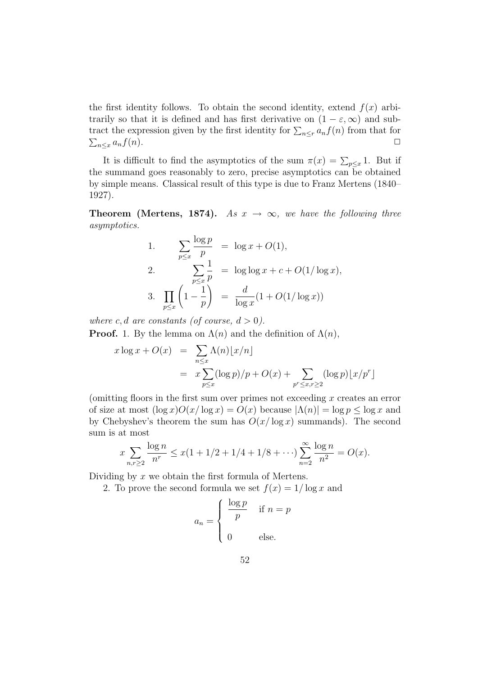the first identity follows. To obtain the second identity, extend  $f(x)$  arbitrarily so that it is defined and has first derivative on  $(1 - \varepsilon, \infty)$  and subtract the expression given by the first identity for  $\sum_{n\leq r} a_n f(n)$  from that for  $\sum_{n\leq x} a_n f(n).$ 

It is difficult to find the asymptotics of the sum  $\pi(x) = \sum_{p \leq x} 1$ . But if the summand goes reasonably to zero, precise asymptotics can be obtained by simple means. Classical result of this type is due to Franz Mertens (1840– 1927).

**Theorem (Mertens, 1874).** As  $x \to \infty$ , we have the following three asymptotics.

1. 
$$
\sum_{p \le x} \frac{\log p}{p} = \log x + O(1),
$$
  
\n2. 
$$
\sum_{p \le x} \frac{1}{p} = \log \log x + c + O(1/\log x),
$$
  
\n3. 
$$
\prod_{p \le x} \left(1 - \frac{1}{p}\right) = \frac{d}{\log x} (1 + O(1/\log x))
$$

where c, d are constants (of course,  $d > 0$ ).

**Proof.** 1. By the lemma on  $\Lambda(n)$  and the definition of  $\Lambda(n)$ ,

$$
x \log x + O(x) = \sum_{n \le x} \Lambda(n) \lfloor x/n \rfloor
$$
  
= 
$$
x \sum_{p \le x} (\log p)/p + O(x) + \sum_{p^r \le x, r \ge 2} (\log p) \lfloor x/p^r \rfloor
$$

(omitting floors in the first sum over primes not exceeding  $x$  creates an error of size at most  $(\log x)O(x/\log x) = O(x)$  because  $|\Lambda(n)| = \log p < \log x$  and by Chebyshev's theorem the sum has  $O(x/\log x)$  summands). The second sum is at most

$$
x \sum_{n,r \ge 2} \frac{\log n}{n^r} \le x(1 + 1/2 + 1/4 + 1/8 + \cdots) \sum_{n=2}^{\infty} \frac{\log n}{n^2} = O(x).
$$

Dividing by  $x$  we obtain the first formula of Mertens.

2. To prove the second formula we set  $f(x) = 1/\log x$  and

$$
a_n = \begin{cases} \frac{\log p}{p} & \text{if } n = p \\ 0 & \text{else.} \end{cases}
$$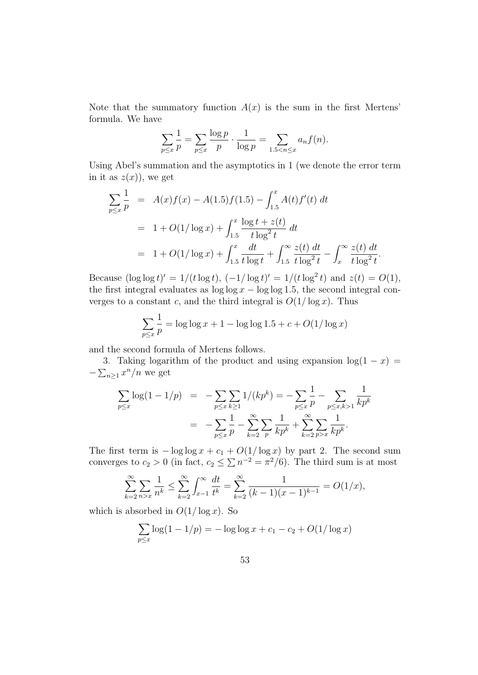Note that the summatory function  $A(x)$  is the sum in the first Mertens' formula. We have

$$
\sum_{p \le x} \frac{1}{p} = \sum_{p \le x} \frac{\log p}{p} \cdot \frac{1}{\log p} = \sum_{1.5 < n \le x} a_n f(n).
$$

Using Abel's summation and the asymptotics in 1 (we denote the error term in it as  $z(x)$ , we get

$$
\sum_{p\leq x} \frac{1}{p} = A(x)f(x) - A(1.5)f(1.5) - \int_{1.5}^{x} A(t)f'(t) dt
$$
  
= 1 + O(1/\log x) + \int\_{1.5}^{x} \frac{\log t + z(t)}{t \log^2 t} dt  
= 1 + O(1/\log x) + \int\_{1.5}^{x} \frac{dt}{t \log t} + \int\_{1.5}^{\infty} \frac{z(t) dt}{t \log^2 t} - \int\_{x}^{\infty} \frac{z(t) dt}{t \log^2 t}

Because  $(\log \log t)' = 1/(t \log t), (-1/\log t)' = 1/(t \log^2 t)$  and  $z(t) = O(1)$ , the first integral evaluates as  $\log \log x - \log \log 1.5$ , the second integral converges to a constant c, and the third integral is  $O(1/\log x)$ . Thus

$$
\sum_{p \le x} \frac{1}{p} = \log \log x + 1 - \log \log 1.5 + c + O(1/\log x)
$$

and the second formula of Mertens follows.

3. Taking logarithm of the product and using expansion  $log(1 - x)$  =  $-\sum_{n\geq 1} x^n/n$  we get

$$
\sum_{p \le x} \log(1 - 1/p) = -\sum_{p \le x} \sum_{k \ge 1} 1/(kp^k) = -\sum_{p \le x} \frac{1}{p} - \sum_{p \le x, k > 1} \frac{1}{kp^k}
$$
\n
$$
= -\sum_{p \le x} \frac{1}{p} - \sum_{k=2}^{\infty} \sum_{p} \frac{1}{kp^k} + \sum_{k=2}^{\infty} \sum_{p > x} \frac{1}{kp^k}.
$$

The first term is  $-\log \log x + c_1 + O(1/\log x)$  by part 2. The second sum converges to  $c_2 > 0$  (in fact,  $c_2 \leq \sum n^{-2} = \pi^2/6$ ). The third sum is at most

$$
\sum_{k=2}^{\infty} \sum_{n>x} \frac{1}{n^k} \le \sum_{k=2}^{\infty} \int_{x-1}^{\infty} \frac{dt}{t^k} = \sum_{k=2}^{\infty} \frac{1}{(k-1)(x-1)^{k-1}} = O(1/x),
$$

which is absorbed in  $O(1/\log x)$ . So

$$
\sum_{p \le x} \log(1 - 1/p) = -\log \log x + c_1 - c_2 + O(1/\log x)
$$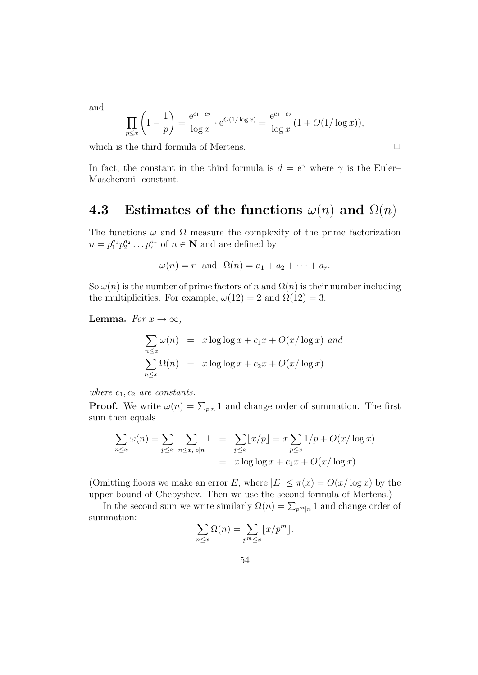and

$$
\prod_{p \le x} \left( 1 - \frac{1}{p} \right) = \frac{e^{c_1 - c_2}}{\log x} \cdot e^{O(1/\log x)} = \frac{e^{c_1 - c_2}}{\log x} (1 + O(1/\log x)),
$$

which is the third formula of Mertens.  $\Box$ 

In fact, the constant in the third formula is  $d = e^{\gamma}$  where  $\gamma$  is the Euler– Mascheroni constant.

## 4.3 Estimates of the functions  $\omega(n)$  and  $\Omega(n)$

The functions  $\omega$  and  $\Omega$  measure the complexity of the prime factorization  $n = p_1^{a_1} p_2^{a_2} \dots p_r^{a_r}$  of  $n \in \mathbb{N}$  and are defined by

$$
\omega(n) = r \text{ and } \Omega(n) = a_1 + a_2 + \dots + a_r.
$$

So  $\omega(n)$  is the number of prime factors of n and  $\Omega(n)$  is their number including the multiplicities. For example,  $\omega(12) = 2$  and  $\Omega(12) = 3$ .

**Lemma.** For  $x \to \infty$ ,

$$
\sum_{n \le x} \omega(n) = x \log \log x + c_1 x + O(x/\log x)
$$
 and  

$$
\sum_{n \le x} \Omega(n) = x \log \log x + c_2 x + O(x/\log x)
$$

where  $c_1, c_2$  are constants.

**Proof.** We write  $\omega(n) = \sum_{p|n} 1$  and change order of summation. The first sum then equals

$$
\sum_{n \le x} \omega(n) = \sum_{p \le x} \sum_{n \le x, p \mid n} 1 = \sum_{p \le x} \lfloor x/p \rfloor = x \sum_{p \le x} 1/p + O(x/\log x)
$$
  
=  $x \log \log x + c_1 x + O(x/\log x).$ 

(Omitting floors we make an error E, where  $|E| \leq \pi(x) = O(x/\log x)$  by the upper bound of Chebyshev. Then we use the second formula of Mertens.)

In the second sum we write similarly  $\Omega(n) = \sum_{p^m|n} 1$  and change order of summation:

$$
\sum_{n \leq x} \Omega(n) = \sum_{p^m \leq x} \lfloor x/p^m \rfloor.
$$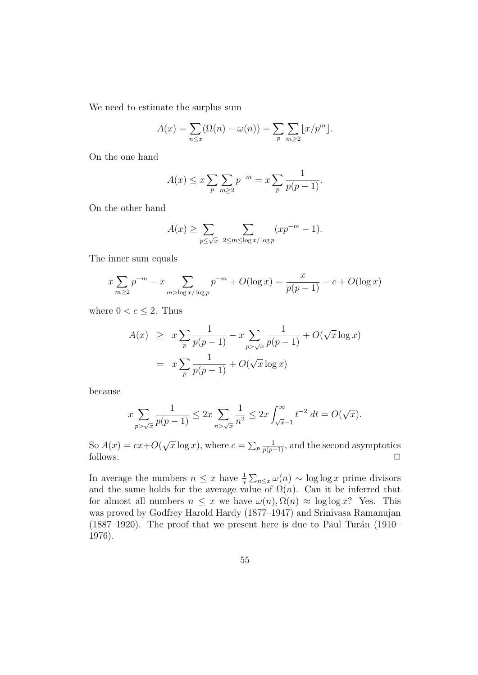We need to estimate the surplus sum

$$
A(x) = \sum_{n \le x} (\Omega(n) - \omega(n)) = \sum_{p} \sum_{m \ge 2} \lfloor x/p^m \rfloor.
$$

On the one hand

$$
A(x) \le x \sum_{p} \sum_{m \ge 2} p^{-m} = x \sum_{p} \frac{1}{p(p-1)}.
$$

On the other hand

$$
A(x) \ge \sum_{p \le \sqrt{x}} \sum_{2 \le m \le \log x / \log p} (xp^{-m} - 1).
$$

The inner sum equals

$$
x \sum_{m\geq 2} p^{-m} - x \sum_{m > \log x / \log p} p^{-m} + O(\log x) = \frac{x}{p(p-1)} - c + O(\log x)
$$

where  $0 < c \leq 2$ . Thus

$$
A(x) \geq x \sum_{p} \frac{1}{p(p-1)} - x \sum_{p > \sqrt{x}} \frac{1}{p(p-1)} + O(\sqrt{x} \log x)
$$
  
=  $x \sum_{p} \frac{1}{p(p-1)} + O(\sqrt{x} \log x)$ 

because

$$
x \sum_{p > \sqrt{x}} \frac{1}{p(p-1)} \le 2x \sum_{n > \sqrt{x}} \frac{1}{n^2} \le 2x \int_{\sqrt{x-1}}^{\infty} t^{-2} dt = O(\sqrt{x}).
$$

So  $A(x) = cx + O(x)$ √  $\overline{x} \log x$ , where  $c = \sum_p \frac{1}{p(p-1)}$ , and the second asymptotics follows.  $\Box$ 

In average the numbers  $n \leq x$  have  $\frac{1}{x} \sum_{n \leq x} \omega(n) \sim \log \log x$  prime divisors and the same holds for the average value of  $\Omega(n)$ . Can it be inferred that for almost all numbers  $n \leq x$  we have  $\omega(n)$ ,  $\Omega(n) \approx \log \log x$ ? Yes. This was proved by Godfrey Harold Hardy (1877–1947) and Srinivasa Ramanujan (1887–1920). The proof that we present here is due to Paul Turán (1910– 1976).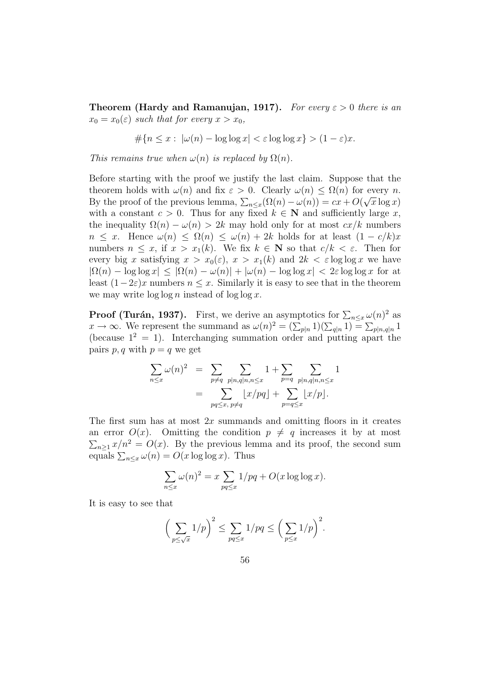**Theorem (Hardy and Ramanujan, 1917).** For every  $\varepsilon > 0$  there is an  $x_0 = x_0(\varepsilon)$  such that for every  $x > x_0$ ,

 $\#\{n \leq x : |\omega(n) - \log \log x| < \varepsilon \log \log x\} > (1-\varepsilon)x.$ 

This remains true when  $\omega(n)$  is replaced by  $\Omega(n)$ .

Before starting with the proof we justify the last claim. Suppose that the theorem holds with  $\omega(n)$  and fix  $\varepsilon > 0$ . Clearly  $\omega(n) \leq \Omega(n)$  for every n. By the proof of the previous lemma,  $\sum_{n\leq x} (\Omega(n)-\omega(n)) = cx + O(\sqrt{x}\log x)$ with a constant  $c > 0$ . Thus for any fixed  $k \in \mathbb{N}$  and sufficiently large x, the inequality  $\Omega(n) - \omega(n) > 2k$  may hold only for at most  $cx/k$  numbers  $n \leq x$ . Hence  $\omega(n) \leq \Omega(n) \leq \omega(n) + 2k$  holds for at least  $(1 - c/k)x$ numbers  $n \leq x$ , if  $x > x_1(k)$ . We fix  $k \in \mathbb{N}$  so that  $c/k < \varepsilon$ . Then for every big x satisfying  $x > x_0(\varepsilon)$ ,  $x > x_1(k)$  and  $2k < \varepsilon \log \log x$  we have  $|\Omega(n) - \log \log x| \leq |\Omega(n) - \omega(n)| + |\omega(n) - \log \log x| < 2\varepsilon \log \log x$  for at least  $(1-2\varepsilon)x$  numbers  $n \leq x$ . Similarly it is easy to see that in the theorem we may write  $\log \log n$  instead of  $\log \log x$ .

**Proof (Turán, 1937).** First, we derive an asymptotics for  $\sum_{n \leq x} \omega(n)^2$  as  $x \to \infty$ . We represent the summand as  $\omega(n)^2 = (\sum_{p|n} 1)(\sum_{q|n} 1) = \sum_{p|n,q|n} 1$ (because  $1^2 = 1$ ). Interchanging summation order and putting apart the pairs p, q with  $p = q$  we get

$$
\sum_{n \le x} \omega(n)^2 = \sum_{p \ne q} \sum_{p | n, q | n, n \le x} 1 + \sum_{p = q} \sum_{p | n, q | n, n \le x} 1
$$
  
= 
$$
\sum_{pq \le x, p \ne q} \lfloor x/pq \rfloor + \sum_{p = q \le x} \lfloor x/p \rfloor.
$$

The first sum has at most  $2x$  summands and omitting floors in it creates an error  $O(x)$ . Omitting the condition  $p \neq q$  increases it by at most  $\sum_{n\geq 1} x/n^2 = O(x)$ . By the previous lemma and its proof, the second sum equals  $\sum_{n\leq x}\omega(n) = O(x\log\log x)$ . Thus

$$
\sum_{n \le x} \omega(n)^2 = x \sum_{pq \le x} 1/pq + O(x \log \log x).
$$

It is easy to see that

$$
\left(\sum_{p\leq\sqrt{x}}1/p\right)^2\leq\sum_{pq\leq x}1/pq\leq\left(\sum_{p\leq x}1/p\right)^2.
$$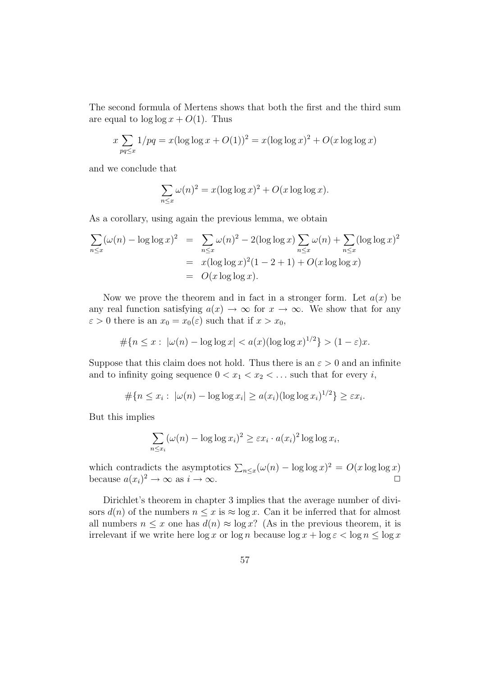The second formula of Mertens shows that both the first and the third sum are equal to  $\log \log x + O(1)$ . Thus

$$
x \sum_{pq \le x} 1/pq = x(\log \log x + O(1))^2 = x(\log \log x)^2 + O(x \log \log x)
$$

and we conclude that

$$
\sum_{n \le x} \omega(n)^2 = x(\log \log x)^2 + O(x \log \log x).
$$

As a corollary, using again the previous lemma, we obtain

$$
\sum_{n \le x} (\omega(n) - \log \log x)^2 = \sum_{n \le x} \omega(n)^2 - 2(\log \log x) \sum_{n \le x} \omega(n) + \sum_{n \le x} (\log \log x)^2
$$
  
=  $x(\log \log x)^2 (1 - 2 + 1) + O(x \log \log x)$   
=  $O(x \log \log x)$ .

Now we prove the theorem and in fact in a stronger form. Let  $a(x)$  be any real function satisfying  $a(x) \to \infty$  for  $x \to \infty$ . We show that for any  $\varepsilon > 0$  there is an  $x_0 = x_0(\varepsilon)$  such that if  $x > x_0$ ,

$$
\#\{n \le x : |\omega(n) - \log \log x| < a(x) (\log \log x)^{1/2}\} > (1 - \varepsilon)x.
$$

Suppose that this claim does not hold. Thus there is an  $\varepsilon > 0$  and an infinite and to infinity going sequence  $0 < x_1 < x_2 < \dots$  such that for every *i*,

$$
\#\{n \le x_i : |\omega(n) - \log \log x_i| \ge a(x_i)(\log \log x_i)^{1/2}\} \ge \varepsilon x_i.
$$

But this implies

$$
\sum_{n \le x_i} (\omega(n) - \log \log x_i)^2 \ge \varepsilon x_i \cdot a(x_i)^2 \log \log x_i,
$$

which contradicts the asymptotics  $\sum_{n \leq x} (\omega(n) - \log \log x)^2 = O(x \log \log x)$ because  $a(x_i)^2 \to \infty$  as  $i \to \infty$ .

Dirichlet's theorem in chapter 3 implies that the average number of divisors  $d(n)$  of the numbers  $n \leq x$  is  $\approx \log x$ . Can it be inferred that for almost all numbers  $n \leq x$  one has  $d(n) \approx \log x$ ? (As in the previous theorem, it is irrelevant if we write here  $\log x$  or  $\log n$  because  $\log x + \log \varepsilon < \log n \leq \log x$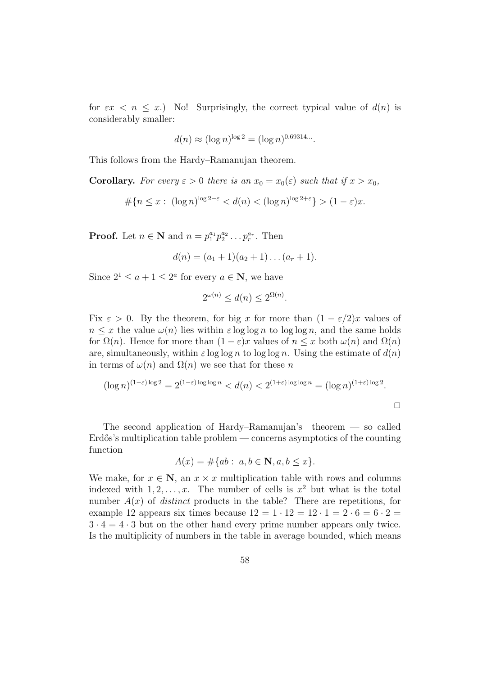for  $\epsilon x \leq n \leq x$ . No! Surprisingly, the correct typical value of  $d(n)$  is considerably smaller:

$$
d(n) \approx (\log n)^{\log 2} = (\log n)^{0.69314...}
$$

This follows from the Hardy–Ramanujan theorem.

**Corollary.** For every  $\varepsilon > 0$  there is an  $x_0 = x_0(\varepsilon)$  such that if  $x > x_0$ ,

$$
\#\{n \le x : (\log n)^{\log 2 - \varepsilon} < d(n) < (\log n)^{\log 2 + \varepsilon}\} > (1 - \varepsilon)x.
$$

**Proof.** Let  $n \in \mathbb{N}$  and  $n = p_1^{a_1} p_2^{a_2} \dots p_r^{a_r}$ . Then

$$
d(n) = (a_1 + 1)(a_2 + 1) \dots (a_r + 1).
$$

Since  $2^1 \leq a+1 \leq 2^a$  for every  $a \in \mathbb{N}$ , we have

$$
2^{\omega(n)} \le d(n) \le 2^{\Omega(n)}.
$$

Fix  $\varepsilon > 0$ . By the theorem, for big x for more than  $(1 - \varepsilon/2)x$  values of  $n \leq x$  the value  $\omega(n)$  lies within  $\varepsilon \log \log n$  to  $\log \log n$ , and the same holds for  $\Omega(n)$ . Hence for more than  $(1 - \varepsilon)x$  values of  $n \leq x$  both  $\omega(n)$  and  $\Omega(n)$ are, simultaneously, within  $\varepsilon \log \log n$  to  $\log \log n$ . Using the estimate of  $d(n)$ in terms of  $\omega(n)$  and  $\Omega(n)$  we see that for these n

$$
(\log n)^{(1-\varepsilon)\log 2} = 2^{(1-\varepsilon)\log\log n} < d(n) < 2^{(1+\varepsilon)\log\log n} = (\log n)^{(1+\varepsilon)\log 2}.
$$

 $\Box$ 

The second application of Hardy–Ramanujan's theorem — so called  $Erd\ddot{\omega}$ 's multiplication table problem — concerns asymptotics of the counting function

$$
A(x) = \# \{ ab : a, b \in \mathbb{N}, a, b \le x \}.
$$

We make, for  $x \in \mathbb{N}$ , an  $x \times x$  multiplication table with rows and columns indexed with  $1, 2, \ldots, x$ . The number of cells is  $x^2$  but what is the total number  $A(x)$  of *distinct* products in the table? There are repetitions, for example 12 appears six times because  $12 = 1 \cdot 12 = 12 \cdot 1 = 2 \cdot 6 = 6 \cdot 2 =$  $3 \cdot 4 = 4 \cdot 3$  but on the other hand every prime number appears only twice. Is the multiplicity of numbers in the table in average bounded, which means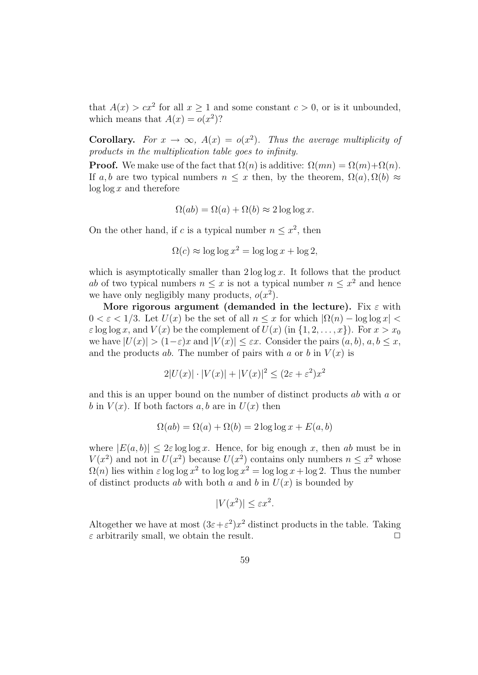that  $A(x) > cx^2$  for all  $x \ge 1$  and some constant  $c > 0$ , or is it unbounded, which means that  $A(x) = o(x^2)$ ?

**Corollary.** For  $x \to \infty$ ,  $A(x) = o(x^2)$ . Thus the average multiplicity of products in the multiplication table goes to infinity.

**Proof.** We make use of the fact that  $\Omega(n)$  is additive:  $\Omega(mn) = \Omega(m) + \Omega(n)$ . If a, b are two typical numbers  $n \leq x$  then, by the theorem,  $\Omega(a), \Omega(b) \approx$  $\log \log x$  and therefore

$$
\Omega(ab) = \Omega(a) + \Omega(b) \approx 2 \log \log x.
$$

On the other hand, if c is a typical number  $n \leq x^2$ , then

$$
\Omega(c) \approx \log \log x^2 = \log \log x + \log 2,
$$

which is asymptotically smaller than  $2 \log \log x$ . It follows that the product ab of two typical numbers  $n \leq x$  is not a typical number  $n \leq x^2$  and hence we have only negligibly many products,  $o(x^2)$ .

More rigorous argument (demanded in the lecture). Fix  $\varepsilon$  with  $0 < \varepsilon < 1/3$ . Let  $U(x)$  be the set of all  $n \leq x$  for which  $|\Omega(n) - \log \log x|$  $\varepsilon$  log log x, and  $V(x)$  be the complement of  $U(x)$  (in  $\{1, 2, \ldots, x\}$ ). For  $x > x_0$ we have  $|U(x)| > (1-\varepsilon)x$  and  $|V(x)| < \varepsilon x$ . Consider the pairs  $(a, b), a, b \leq x$ , and the products ab. The number of pairs with a or b in  $V(x)$  is

$$
2|U(x)| \cdot |V(x)| + |V(x)|^2 \le (2\varepsilon + \varepsilon^2)x^2
$$

and this is an upper bound on the number of distinct products ab with a or b in  $V(x)$ . If both factors a, b are in  $U(x)$  then

$$
\Omega(ab) = \Omega(a) + \Omega(b) = 2 \log \log x + E(a, b)
$$

where  $|E(a, b)| \leq 2\varepsilon \log \log x$ . Hence, for big enough x, then ab must be in  $V(x^2)$  and not in  $U(x^2)$  because  $U(x^2)$  contains only numbers  $n \leq x^2$  whose  $\Omega(n)$  lies within  $\varepsilon \log \log x^2$  to  $\log \log x^2 = \log \log x + \log 2$ . Thus the number of distinct products ab with both a and b in  $U(x)$  is bounded by

$$
|V(x^2)| \le \varepsilon x^2.
$$

Altogether we have at most  $(3\varepsilon + \varepsilon^2)x^2$  distinct products in the table. Taking  $\varepsilon$  arbitrarily small, we obtain the result.  $\square$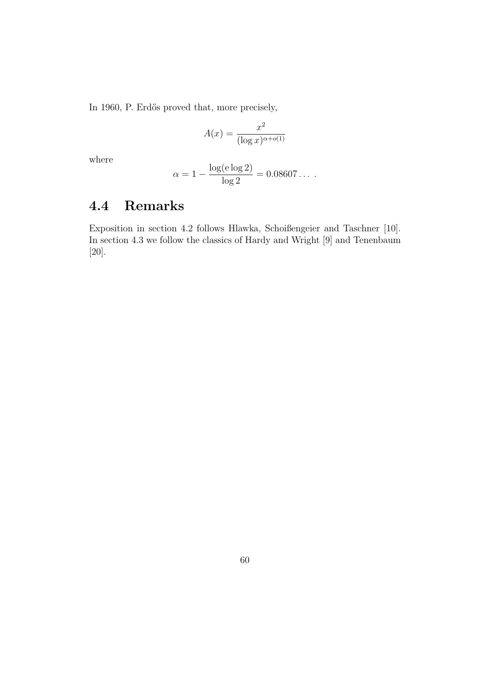In 1960, P. Erdős proved that, more precisely,

$$
A(x) = \frac{x^2}{(\log x)^{\alpha + o(1)}}
$$

where

$$
\alpha = 1 - \frac{\log(\mathrm{e}\log 2)}{\log 2} = 0.08607\ldots
$$

#### 4.4 Remarks

Exposition in section 4.2 follows Hlawka, Schoißengeier and Taschner [10]. In section 4.3 we follow the classics of Hardy and Wright [9] and Tenenbaum [20].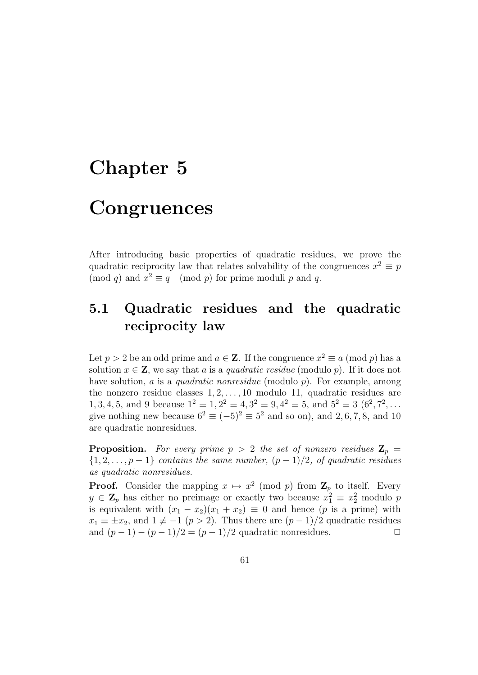## Chapter 5

## **Congruences**

After introducing basic properties of quadratic residues, we prove the quadratic reciprocity law that relates solvability of the congruences  $x^2 \equiv p$ (mod q) and  $x^2 \equiv q \pmod{p}$  for prime moduli p and q.

### 5.1 Quadratic residues and the quadratic reciprocity law

Let  $p > 2$  be an odd prime and  $a \in \mathbb{Z}$ . If the congruence  $x^2 \equiv a \pmod{p}$  has a solution  $x \in \mathbf{Z}$ , we say that a is a quadratic residue (modulo p). If it does not have solution, a is a *quadratic nonresidue* (modulo  $p$ ). For example, among the nonzero residue classes  $1, 2, \ldots, 10$  modulo 11, quadratic residues are 1, 3, 4, 5, and 9 because  $1^2 \equiv 1, 2^2 \equiv 4, 3^2 \equiv 9, 4^2 \equiv 5,$  and  $5^2 \equiv 3 (6^2, 7^2, \dots)$ give nothing new because  $6^2 \equiv (-5)^2 \equiv 5^2$  and so on), and 2, 6, 7, 8, and 10 are quadratic nonresidues.

**Proposition.** For every prime  $p > 2$  the set of nonzero residues  $\mathbf{Z}_p =$  ${1, 2, \ldots, p-1}$  contains the same number,  $(p-1)/2$ , of quadratic residues as quadratic nonresidues.

**Proof.** Consider the mapping  $x \mapsto x^2 \pmod{p}$  from  $\mathbb{Z}_p$  to itself. Every  $y \in \mathbf{Z}_p$  has either no preimage or exactly two because  $x_1^2 \equiv x_2^2$  modulo p is equivalent with  $(x_1 - x_2)(x_1 + x_2) \equiv 0$  and hence (p is a prime) with  $x_1 \equiv \pm x_2$ , and  $1 \not\equiv -1$   $(p > 2)$ . Thus there are  $(p-1)/2$  quadratic residues and  $(p-1) - (p-1)/2 = (p-1)/2$  quadratic nonresidues.  $\Box$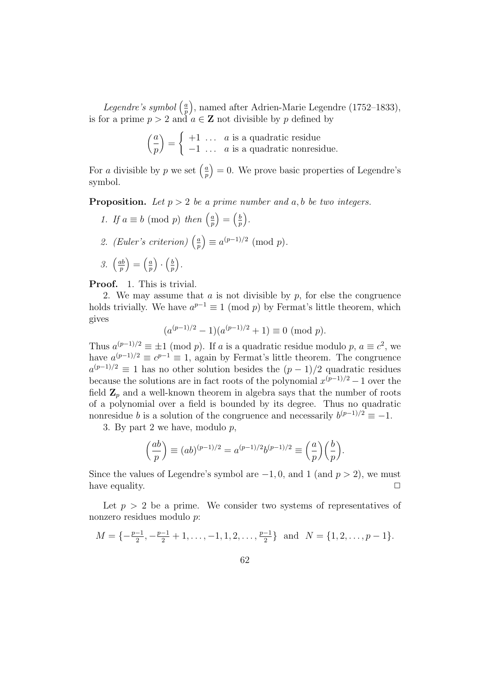Legendre's symbol  $\left(\frac{a}{n}\right)$ p , named after Adrien-Marie Legendre (1752–1833), is for a prime  $p > 2$  and  $a \in \mathbb{Z}$  not divisible by p defined by

$$
\left(\frac{a}{p}\right) = \begin{cases} +1 & \dots & a \text{ is a quadratic residue} \\ -1 & \dots & a \text{ is a quadratic nonresidue.} \end{cases}
$$

For a divisible by p we set  $\left(\frac{a}{n}\right)$ p  $= 0.$  We prove basic properties of Legendre's symbol.

**Proposition.** Let  $p > 2$  be a prime number and a, b be two integers.

- 1. If  $a \equiv b \pmod{p}$  then  $\left(\frac{a}{b}\right)$ p  $=\left(\frac{b}{n}\right)$ p .
- 2. (Euler's criterion)  $\left(\frac{a}{n}\right)$ p  $= a^{(p-1)/2} \pmod{p}.$
- $3. \left(\frac{ab}{n}\right)$ p  $=\left(\frac{a}{n}\right)$ p )  $\cdot$   $\left(\frac{b}{n}\right)$ p .

Proof. 1. This is trivial.

2. We may assume that  $a$  is not divisible by  $p$ , for else the congruence holds trivially. We have  $a^{p-1} \equiv 1 \pmod{p}$  by Fermat's little theorem, which gives

$$
(a^{(p-1)/2} - 1)(a^{(p-1)/2} + 1) \equiv 0 \pmod{p}.
$$

Thus  $a^{(p-1)/2} \equiv \pm 1 \pmod{p}$ . If a is a quadratic residue modulo p,  $a \equiv c^2$ , we have  $a^{(p-1)/2} \equiv c^{p-1} \equiv 1$ , again by Fermat's little theorem. The congruence  $a^{(p-1)/2} \equiv 1$  has no other solution besides the  $(p-1)/2$  quadratic residues because the solutions are in fact roots of the polynomial  $x^{(p-1)/2} - 1$  over the field  $\mathbf{Z}_p$  and a well-known theorem in algebra says that the number of roots of a polynomial over a field is bounded by its degree. Thus no quadratic nonresidue b is a solution of the congruence and necessarily  $b^{(p-1)/2} \equiv -1$ .

3. By part 2 we have, modulo  $p$ ,

$$
\left(\frac{ab}{p}\right) \equiv (ab)^{(p-1)/2} = a^{(p-1)/2}b^{(p-1)/2} \equiv \left(\frac{a}{p}\right)\left(\frac{b}{p}\right).
$$

Since the values of Legendre's symbol are  $-1, 0$ , and 1 (and  $p > 2$ ), we must have equality.  $\Box$ 

Let  $p > 2$  be a prime. We consider two systems of representatives of nonzero residues modulo p:

$$
M = \{-\frac{p-1}{2}, -\frac{p-1}{2} + 1, \dots, -1, 1, 2, \dots, \frac{p-1}{2}\} \text{ and } N = \{1, 2, \dots, p-1\}.
$$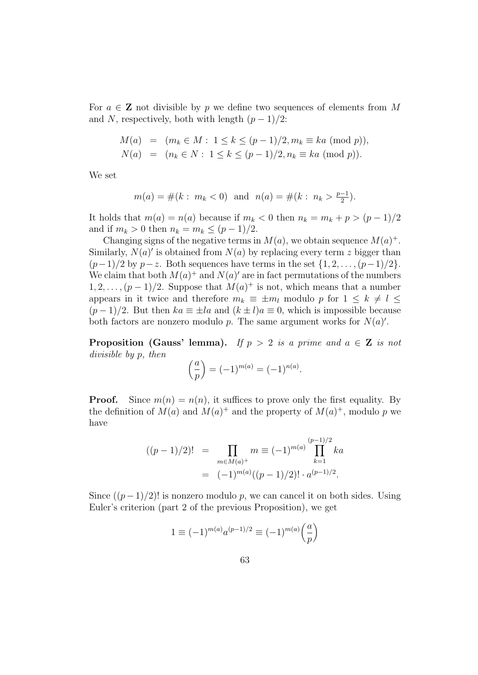For  $a \in \mathbb{Z}$  not divisible by p we define two sequences of elements from M and N, respectively, both with length  $(p-1)/2$ :

$$
M(a) = (m_k \in M : 1 \le k \le (p-1)/2, m_k \equiv ka \pmod{p}),
$$
  
\n
$$
N(a) = (n_k \in N : 1 \le k \le (p-1)/2, n_k \equiv ka \pmod{p}).
$$

We set

$$
m(a) = #(k : m_k < 0)
$$
 and  $n(a) = #(k : n_k > \frac{p-1}{2}).$ 

It holds that  $m(a) = n(a)$  because if  $m_k < 0$  then  $n_k = m_k + p > (p-1)/2$ and if  $m_k > 0$  then  $n_k = m_k \le (p-1)/2$ .

Changing signs of the negative terms in  $M(a)$ , we obtain sequence  $M(a)^+$ . Similarly,  $N(a)'$  is obtained from  $N(a)$  by replacing every term z bigger than  $(p-1)/2$  by  $p-z$ . Both sequences have terms in the set  $\{1, 2, \ldots, (p-1)/2\}$ . We claim that both  $M(a)^+$  and  $N(a)'$  are in fact permutations of the numbers  $1, 2, \ldots, (p-1)/2$ . Suppose that  $M(a)^+$  is not, which means that a number appears in it twice and therefore  $m_k \equiv \pm m_l$  modulo p for  $1 \leq k \neq l \leq$  $(p-1)/2$ . But then  $ka \equiv \pm la$  and  $(k \pm l)a \equiv 0$ , which is impossible because both factors are nonzero modulo p. The same argument works for  $N(a)'$ .

**Proposition (Gauss' lemma).** If  $p > 2$  is a prime and  $a \in \mathbb{Z}$  is not divisible by p, then

$$
\left(\frac{a}{p}\right) = (-1)^{m(a)} = (-1)^{n(a)}.
$$

**Proof.** Since  $m(n) = n(n)$ , it suffices to prove only the first equality. By the definition of  $M(a)$  and  $M(a)^+$  and the property of  $M(a)^+$ , modulo p we have

$$
((p-1)/2)! = \prod_{m \in M(a)^+} m \equiv (-1)^{m(a)} \prod_{k=1}^{(p-1)/2} ka
$$
  
= 
$$
(-1)^{m(a)}((p-1)/2)! \cdot a^{(p-1)/2}.
$$

Since  $((p-1)/2)!$  is nonzero modulo p, we can cancel it on both sides. Using Euler's criterion (part 2 of the previous Proposition), we get

$$
1 \equiv (-1)^{m(a)} a^{(p-1)/2} \equiv (-1)^{m(a)} \left(\frac{a}{p}\right)
$$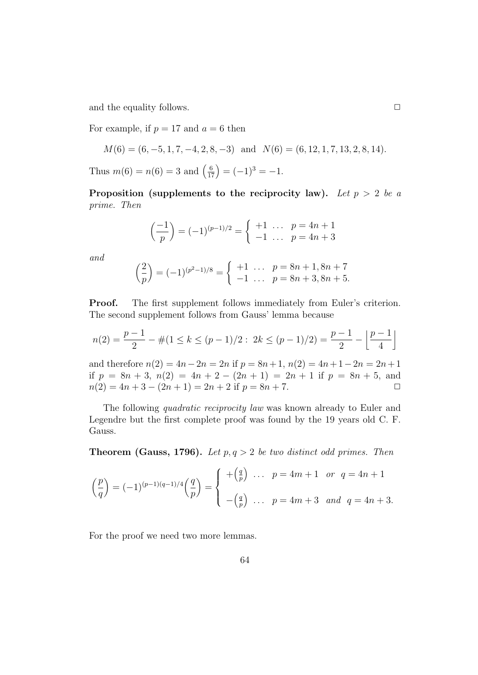and the equality follows.  $\Box$ 

For example, if  $p = 17$  and  $a = 6$  then

$$
M(6) = (6, -5, 1, 7, -4, 2, 8, -3)
$$
 and  $N(6) = (6, 12, 1, 7, 13, 2, 8, 14).$ 

Thus  $m(6) = n(6) = 3$  and  $\left(\frac{6}{17}\right) = (-1)^3 = -1$ .

Proposition (supplements to the reciprocity law). Let  $p > 2$  be a prime. Then

$$
\left(\frac{-1}{p}\right) = (-1)^{(p-1)/2} = \begin{cases} +1 & \dots & p = 4n+1 \\ -1 & \dots & p = 4n+3 \end{cases}
$$

and

$$
\left(\frac{2}{p}\right) = (-1)^{(p^2-1)/8} = \begin{cases} +1 & \dots & p = 8n+1, 8n+7\\ -1 & \dots & p = 8n+3, 8n+5. \end{cases}
$$

Proof. The first supplement follows immediately from Euler's criterion. The second supplement follows from Gauss' lemma because

$$
n(2) = \frac{p-1}{2} - \#(1 \le k \le (p-1)/2 : 2k \le (p-1)/2) = \frac{p-1}{2} - \left\lfloor \frac{p-1}{4} \right\rfloor
$$

and therefore  $n(2) = 4n - 2n = 2n$  if  $p = 8n + 1$ ,  $n(2) = 4n + 1 - 2n = 2n + 1$ if  $p = 8n + 3$ ,  $n(2) = 4n + 2 - (2n + 1) = 2n + 1$  if  $p = 8n + 5$ , and  $n(2) = 4n + 3 - (2n + 1) = 2n + 2$  if  $p = 8n + 7$ .

The following quadratic reciprocity law was known already to Euler and Legendre but the first complete proof was found by the 19 years old C. F. Gauss.

**Theorem (Gauss, 1796).** Let  $p, q > 2$  be two distinct odd primes. Then

$$
\left(\frac{p}{q}\right) = (-1)^{(p-1)(q-1)/4} \left(\frac{q}{p}\right) = \begin{cases} +\left(\frac{q}{p}\right) & \dots & p = 4m+1 & \text{or } q = 4n+1 \\ -\left(\frac{q}{p}\right) & \dots & p = 4m+3 & \text{and } q = 4n+3. \end{cases}
$$

For the proof we need two more lemmas.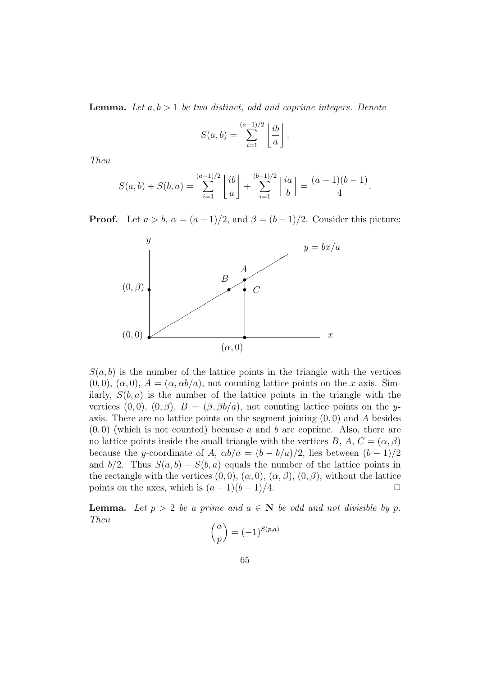**Lemma.** Let  $a, b > 1$  be two distinct, odd and coprime integers. Denote

$$
S(a,b) = \sum_{i=1}^{(a-1)/2} \left\lfloor \frac{ib}{a} \right\rfloor.
$$

Then

$$
S(a,b) + S(b,a) = \sum_{i=1}^{(a-1)/2} \left\lfloor \frac{ib}{a} \right\rfloor + \sum_{i=1}^{(b-1)/2} \left\lfloor \frac{ia}{b} \right\rfloor = \frac{(a-1)(b-1)}{4}.
$$

**Proof.** Let  $a > b$ ,  $\alpha = (a-1)/2$ , and  $\beta = (b-1)/2$ . Consider this picture:



 $S(a, b)$  is the number of the lattice points in the triangle with the vertices  $(0, 0), (\alpha, 0), A = (\alpha, \alpha b/a),$  not counting lattice points on the x-axis. Similarly,  $S(b, a)$  is the number of the lattice points in the triangle with the vertices (0, 0), (0,  $\beta$ ),  $B = (\beta, \beta b/a)$ , not counting lattice points on the yaxis. There are no lattice points on the segment joining  $(0, 0)$  and A besides  $(0, 0)$  (which is not counted) because a and b are coprime. Also, there are no lattice points inside the small triangle with the vertices B, A,  $C = (\alpha, \beta)$ because the y-coordinate of A,  $\alpha b/a = (b - b/a)/2$ , lies between  $(b - 1)/2$ and  $b/2$ . Thus  $S(a, b) + S(b, a)$  equals the number of the lattice points in the rectangle with the vertices  $(0,0)$ ,  $(\alpha,0)$ ,  $(\alpha,\beta)$ ,  $(0,\beta)$ , without the lattice points on the axes, which is  $(a-1)(b-1)/4$ .  $\Box$ 

**Lemma.** Let  $p > 2$  be a prime and  $a \in \mathbb{N}$  be odd and not divisible by p. Then

$$
\left(\frac{a}{p}\right) = (-1)^{S(p,a)}
$$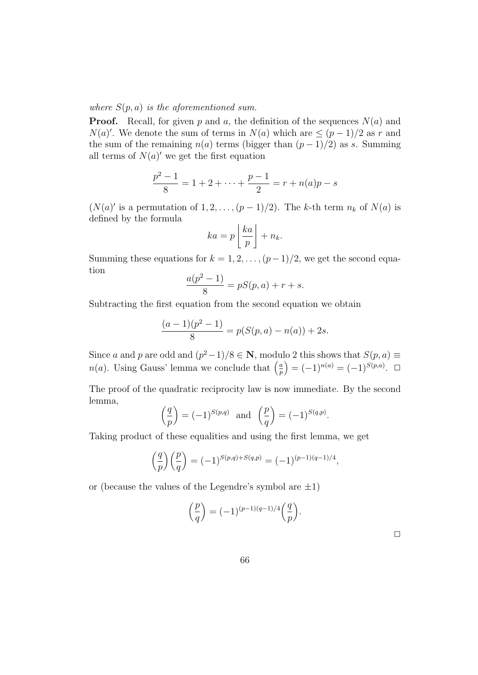where  $S(p, a)$  is the aforementioned sum.

**Proof.** Recall, for given p and a, the definition of the sequences  $N(a)$  and  $N(a)'$ . We denote the sum of terms in  $N(a)$  which are  $\leq (p-1)/2$  as r and the sum of the remaining  $n(a)$  terms (bigger than  $(p-1)/2$ ) as s. Summing all terms of  $N(a)'$  we get the first equation

$$
\frac{p^2 - 1}{8} = 1 + 2 + \dots + \frac{p - 1}{2} = r + n(a)p - s
$$

 $(N(a)'$  is a permutation of  $1, 2, ..., (p-1)/2)$ . The k-th term  $n_k$  of  $N(a)$  is defined by the formula

$$
ka = p\left\lfloor \frac{ka}{p} \right\rfloor + n_k.
$$

Summing these equations for  $k = 1, 2, \ldots, (p-1)/2$ , we get the second equation

$$
\frac{a(p^2 - 1)}{8} = pS(p, a) + r + s.
$$

Subtracting the first equation from the second equation we obtain

$$
\frac{(a-1)(p^2-1)}{8} = p(S(p,a) - n(a)) + 2s.
$$

Since a and p are odd and  $(p^2-1)/8 \in \mathbb{N}$ , modulo 2 this shows that  $S(p, a) \equiv$  $n(a)$ . Using Gauss' lemma we conclude that  $\left(\frac{a}{n}\right)$ p  $= (-1)^{n(a)} = (-1)^{S(p,a)}$ . □

The proof of the quadratic reciprocity law is now immediate. By the second lemma,

$$
\left(\frac{q}{p}\right) = (-1)^{S(p,q)}
$$
 and  $\left(\frac{p}{q}\right) = (-1)^{S(q,p)}$ .

Taking product of these equalities and using the first lemma, we get

$$
\left(\frac{q}{p}\right)\left(\frac{p}{q}\right) = (-1)^{S(p,q)+S(q,p)} = (-1)^{(p-1)(q-1)/4},
$$

or (because the values of the Legendre's symbol are  $\pm 1$ )

$$
\left(\frac{p}{q}\right) = (-1)^{(p-1)(q-1)/4} \left(\frac{q}{p}\right).
$$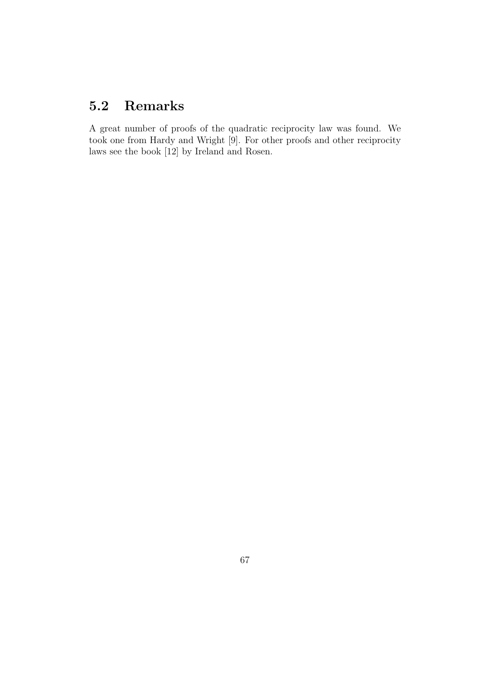## 5.2 Remarks

A great number of proofs of the quadratic reciprocity law was found. We took one from Hardy and Wright [9]. For other proofs and other reciprocity laws see the book [12] by Ireland and Rosen.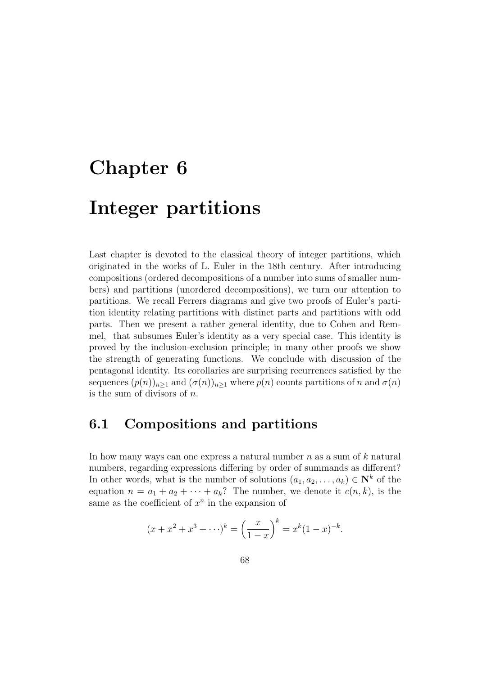# Chapter 6

# Integer partitions

Last chapter is devoted to the classical theory of integer partitions, which originated in the works of L. Euler in the 18th century. After introducing compositions (ordered decompositions of a number into sums of smaller numbers) and partitions (unordered decompositions), we turn our attention to partitions. We recall Ferrers diagrams and give two proofs of Euler's partition identity relating partitions with distinct parts and partitions with odd parts. Then we present a rather general identity, due to Cohen and Remmel, that subsumes Euler's identity as a very special case. This identity is proved by the inclusion-exclusion principle; in many other proofs we show the strength of generating functions. We conclude with discussion of the pentagonal identity. Its corollaries are surprising recurrences satisfied by the sequences  $(p(n))_{n\geq 1}$  and  $(\sigma(n))_{n\geq 1}$  where  $p(n)$  counts partitions of n and  $\sigma(n)$ is the sum of divisors of  $n$ .

#### 6.1 Compositions and partitions

In how many ways can one express a natural number  $n$  as a sum of  $k$  natural numbers, regarding expressions differing by order of summands as different? In other words, what is the number of solutions  $(a_1, a_2, \ldots, a_k) \in \mathbb{N}^k$  of the equation  $n = a_1 + a_2 + \cdots + a_k$ ? The number, we denote it  $c(n, k)$ , is the same as the coefficient of  $x^n$  in the expansion of

$$
(x + x2 + x3 + \cdots)k = \left(\frac{x}{1-x}\right)^{k} = x^{k}(1-x)^{-k}.
$$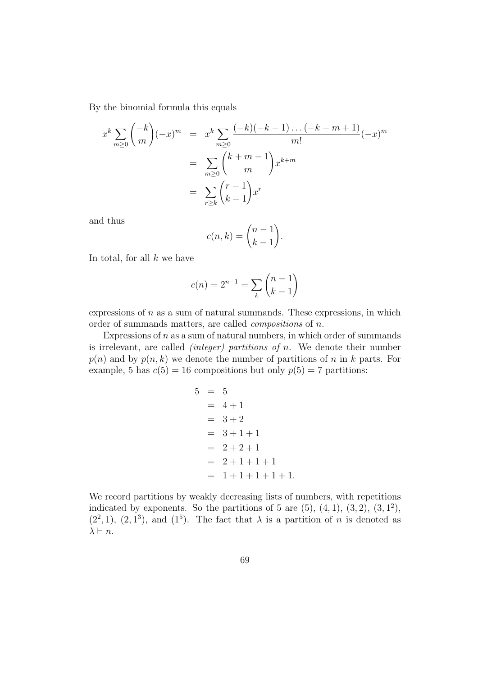By the binomial formula this equals

$$
x^{k} \sum_{m\geq 0} {\binom{-k}{m}} (-x)^{m} = x^{k} \sum_{m\geq 0} \frac{(-k)(-k-1)\dots(-k-m+1)}{m!} (-x)^{m}
$$
  
= 
$$
\sum_{m\geq 0} {\binom{k+m-1}{m}} x^{k+m}
$$
  
= 
$$
\sum_{r\geq k} {\binom{r-1}{k-1}} x^{r}
$$

and thus

$$
c(n,k) = \binom{n-1}{k-1}.
$$

In total, for all  $k$  we have

$$
c(n) = 2^{n-1} = \sum_{k} \binom{n-1}{k-1}
$$

expressions of  $n$  as a sum of natural summands. These expressions, in which order of summands matters, are called compositions of n.

Expressions of  $n$  as a sum of natural numbers, in which order of summands is irrelevant, are called *(integer)* partitions of n. We denote their number  $p(n)$  and by  $p(n, k)$  we denote the number of partitions of n in k parts. For example, 5 has  $c(5) = 16$  compositions but only  $p(5) = 7$  partitions:

$$
5 = 5
$$
  
= 4 + 1  
= 3 + 2  
= 3 + 1 + 1  
= 2 + 2 + 1  
= 2 + 1 + 1 + 1  
= 1 + 1 + 1 + 1 + 1.

We record partitions by weakly decreasing lists of numbers, with repetitions indicated by exponents. So the partitions of 5 are  $(5)$ ,  $(4, 1)$ ,  $(3, 2)$ ,  $(3, 1^2)$ ,  $(2^2, 1)$ ,  $(2, 1^3)$ , and  $(1^5)$ . The fact that  $\lambda$  is a partition of *n* is denoted as  $\lambda \vdash n$ .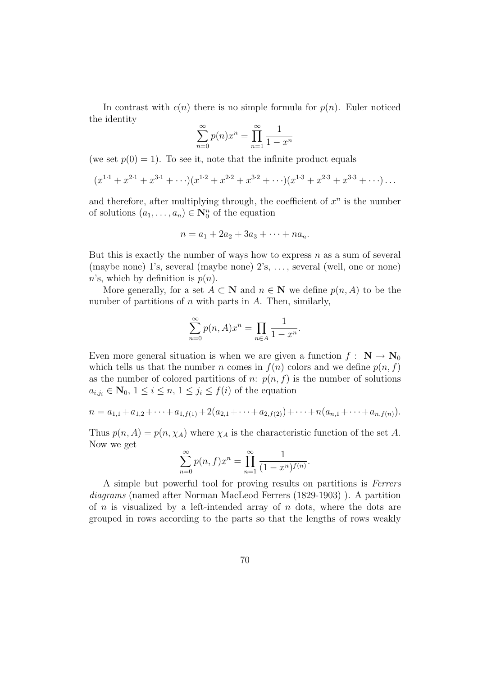In contrast with  $c(n)$  there is no simple formula for  $p(n)$ . Euler noticed the identity

$$
\sum_{n=0}^{\infty} p(n)x^n = \prod_{n=1}^{\infty} \frac{1}{1-x^n}
$$

(we set  $p(0) = 1$ ). To see it, note that the infinite product equals

$$
(x^{1\cdot 1} + x^{2\cdot 1} + x^{3\cdot 1} + \cdots)(x^{1\cdot 2} + x^{2\cdot 2} + x^{3\cdot 2} + \cdots)(x^{1\cdot 3} + x^{2\cdot 3} + x^{3\cdot 3} + \cdots) \cdots
$$

and therefore, after multiplying through, the coefficient of  $x^n$  is the number of solutions  $(a_1, \ldots, a_n) \in \mathbb{N}_0^n$  of the equation

$$
n = a_1 + 2a_2 + 3a_3 + \cdots + na_n.
$$

But this is exactly the number of ways how to express  $n$  as a sum of several (maybe none) 1's, several (maybe none) 2's, . . . , several (well, one or none) n's, which by definition is  $p(n)$ .

More generally, for a set  $A \subset \mathbb{N}$  and  $n \in \mathbb{N}$  we define  $p(n, A)$  to be the number of partitions of  $n$  with parts in  $A$ . Then, similarly,

$$
\sum_{n=0}^{\infty} p(n, A)x^n = \prod_{n \in A} \frac{1}{1 - x^n}.
$$

Even more general situation is when we are given a function  $f : \mathbf{N} \to \mathbf{N}_0$ which tells us that the number n comes in  $f(n)$  colors and we define  $p(n, f)$ as the number of colored partitions of n:  $p(n, f)$  is the number of solutions  $a_{i,j_i} \in \mathbf{N}_0, 1 \leq i \leq n, 1 \leq j_i \leq f(i)$  of the equation

$$
n = a_{1,1} + a_{1,2} + \cdots + a_{1,f(1)} + 2(a_{2,1} + \cdots + a_{2,f(2)}) + \cdots + n(a_{n,1} + \cdots + a_{n,f(n)}).
$$

Thus  $p(n, A) = p(n, \chi_A)$  where  $\chi_A$  is the characteristic function of the set A. Now we get

$$
\sum_{n=0}^{\infty} p(n, f) x^n = \prod_{n=1}^{\infty} \frac{1}{(1 - x^n)^{f(n)}}.
$$

A simple but powerful tool for proving results on partitions is Ferrers diagrams (named after Norman MacLeod Ferrers (1829-1903) ). A partition of  $n$  is visualized by a left-intended array of  $n$  dots, where the dots are grouped in rows according to the parts so that the lengths of rows weakly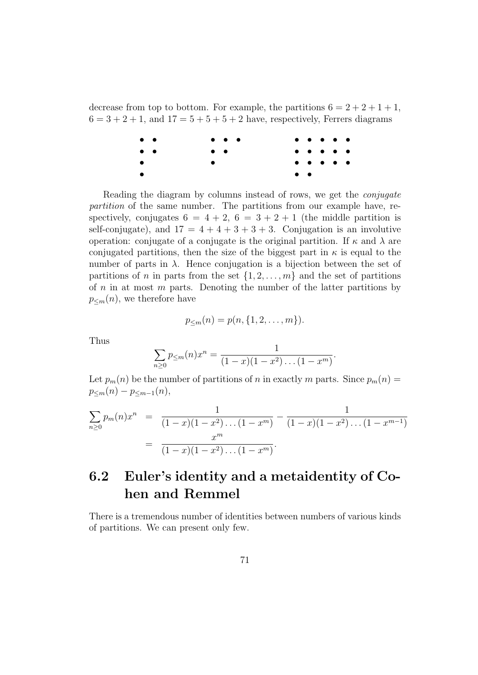decrease from top to bottom. For example, the partitions  $6 = 2 + 2 + 1 + 1$ ,  $6 = 3 + 2 + 1$ , and  $17 = 5 + 5 + 5 + 2$  have, respectively, Ferrers diagrams

| $\bullet\quad \bullet$ | $\bullet\quad \bullet\quad \bullet\quad$ |                       |  | $\bullet\quad\bullet\quad\bullet\quad\bullet\quad\bullet\quad\bullet$                                              |  |
|------------------------|------------------------------------------|-----------------------|--|--------------------------------------------------------------------------------------------------------------------|--|
| $\bullet\quad \bullet$ | $\bullet\quad \bullet$                   |                       |  | $\bullet\hspace{0.4mm}\bullet\hspace{0.4mm}\bullet\hspace{0.4mm}\bullet\hspace{0.4mm}\bullet\hspace{0.4mm}\bullet$ |  |
| $\bullet$              |                                          |                       |  | $\bullet\hspace{0.4mm}\bullet\hspace{0.4mm}\bullet\hspace{0.4mm}\bullet\hspace{0.4mm}\bullet\hspace{0.4mm}\bullet$ |  |
| $\bullet$              |                                          | $\bullet\quad\bullet$ |  |                                                                                                                    |  |

Reading the diagram by columns instead of rows, we get the conjugate partition of the same number. The partitions from our example have, respectively, conjugates  $6 = 4 + 2$ ,  $6 = 3 + 2 + 1$  (the middle partition is self-conjugate), and  $17 = 4 + 4 + 3 + 3 + 3$ . Conjugation is an involutive operation: conjugate of a conjugate is the original partition. If  $\kappa$  and  $\lambda$  are conjugated partitions, then the size of the biggest part in  $\kappa$  is equal to the number of parts in  $\lambda$ . Hence conjugation is a bijection between the set of partitions of n in parts from the set  $\{1, 2, \ldots, m\}$  and the set of partitions of  $n$  in at most  $m$  parts. Denoting the number of the latter partitions by  $p_{\leq m}(n)$ , we therefore have

$$
p_{\leq m}(n) = p(n, \{1, 2, \dots, m\}).
$$

Thus

$$
\sum_{n\geq 0} p_{\leq m}(n)x^n = \frac{1}{(1-x)(1-x^2)\dots(1-x^m)}.
$$

Let  $p_m(n)$  be the number of partitions of n in exactly m parts. Since  $p_m(n)$  =  $p_{\leq m}(n) - p_{\leq m-1}(n),$ 

$$
\sum_{n\geq 0} p_m(n)x^n = \frac{1}{(1-x)(1-x^2)\dots(1-x^m)} - \frac{1}{(1-x)(1-x^2)\dots(1-x^{m-1})}
$$

$$
= \frac{x^m}{(1-x)(1-x^2)\dots(1-x^m)}.
$$

### 6.2 Euler's identity and a metaidentity of Cohen and Remmel

There is a tremendous number of identities between numbers of various kinds of partitions. We can present only few.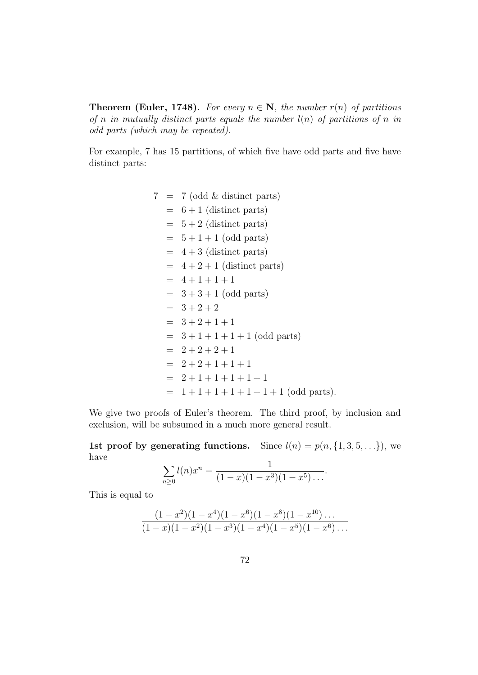**Theorem (Euler, 1748).** For every  $n \in \mathbb{N}$ , the number  $r(n)$  of partitions of n in mutually distinct parts equals the number  $l(n)$  of partitions of n in odd parts (which may be repeated).

For example, 7 has 15 partitions, of which five have odd parts and five have distinct parts:

> $7 = 7$  (odd & distinct parts)  $= 6 + 1$  (distinct parts)  $= 5 + 2$  (distinct parts)  $= 5 + 1 + 1$  (odd parts)  $= 4 + 3$  (distinct parts)  $= 4 + 2 + 1$  (distinct parts)  $= 4 + 1 + 1 + 1$  $= 3 + 3 + 1$  (odd parts)  $= 3 + 2 + 2$  $= 3 + 2 + 1 + 1$  $= 3 + 1 + 1 + 1 + 1$  (odd parts)  $= 2 + 2 + 2 + 1$  $= 2 + 2 + 1 + 1 + 1$  $= 2 + 1 + 1 + 1 + 1 + 1$  $= 1 + 1 + 1 + 1 + 1 + 1 + 1$  (odd parts).

We give two proofs of Euler's theorem. The third proof, by inclusion and exclusion, will be subsumed in a much more general result.

1st proof by generating functions. Since  $l(n) = p(n, \{1, 3, 5, \ldots\})$ , we have 1

$$
\sum_{n\geq 0} l(n)x^n = \frac{1}{(1-x)(1-x^3)(1-x^5)\dots}.
$$

This is equal to

$$
\frac{(1-x^2)(1-x^4)(1-x^6)(1-x^8)(1-x^{10})\dots}{(1-x)(1-x^2)(1-x^3)(1-x^4)(1-x^5)(1-x^6)\dots}
$$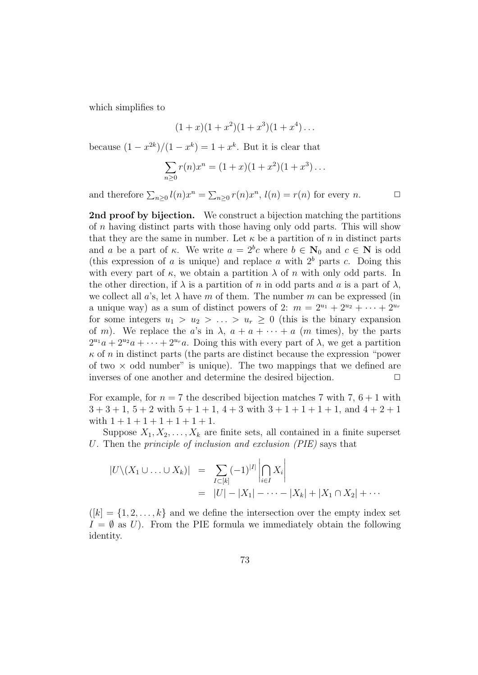which simplifies to

$$
(1+x)(1+x^2)(1+x^3)(1+x^4)\ldots
$$

because  $(1-x^{2k})/(1-x^k) = 1+x^k$ . But it is clear that

$$
\sum_{n\geq 0} r(n)x^n = (1+x)(1+x^2)(1+x^3)\ldots
$$

and therefore  $\sum_{n\geq 0} l(n)x^n = \sum_{n\geq 0} r(n)x^n$ ,  $l(n) = r(n)$  for every n.  $\Box$ 

2nd proof by bijection. We construct a bijection matching the partitions of n having distinct parts with those having only odd parts. This will show that they are the same in number. Let  $\kappa$  be a partition of n in distinct parts and a be a part of  $\kappa$ . We write  $a = 2^b c$  where  $b \in \mathbb{N}_0$  and  $c \in \mathbb{N}$  is odd (this expression of a is unique) and replace a with  $2<sup>b</sup>$  parts c. Doing this with every part of  $\kappa$ , we obtain a partition  $\lambda$  of n with only odd parts. In the other direction, if  $\lambda$  is a partition of n in odd parts and a is a part of  $\lambda$ , we collect all a's, let  $\lambda$  have m of them. The number m can be expressed (in a unique way) as a sum of distinct powers of 2:  $m = 2^{u_1} + 2^{u_2} + \cdots + 2^{u_r}$ for some integers  $u_1 > u_2 > \ldots > u_r \geq 0$  (this is the binary expansion of m). We replace the a's in  $\lambda$ ,  $a + a + \cdots + a$  (m times), by the parts  $2^{u_1}a + 2^{u_2}a + \cdots + 2^{u_r}a$ . Doing this with every part of  $\lambda$ , we get a partition  $\kappa$  of n in distinct parts (the parts are distinct because the expression "power of two  $\times$  odd number" is unique). The two mappings that we defined are inverses of one another and determine the desired bijection.  $\Box$ 

For example, for  $n = 7$  the described bijection matches 7 with 7,  $6 + 1$  with  $3+3+1$ ,  $5+2$  with  $5+1+1$ ,  $4+3$  with  $3+1+1+1$ , and  $4+2+1$ with  $1 + 1 + 1 + 1 + 1 + 1 + 1$ .

Suppose  $X_1, X_2, \ldots, X_k$  are finite sets, all contained in a finite superset U. Then the principle of inclusion and exclusion (PIE) says that

$$
|U \setminus (X_1 \cup \ldots \cup X_k)| = \sum_{I \subset [k]} (-1)^{|I|} \left| \bigcap_{i \in I} X_i \right|
$$
  
= |U| - |X\_1| - \cdots - |X\_k| + |X\_1 \cap X\_2| + \cdots

 $([k] = \{1, 2, \ldots, k\}$  and we define the intersection over the empty index set  $I = \emptyset$  as U). From the PIE formula we immediately obtain the following identity.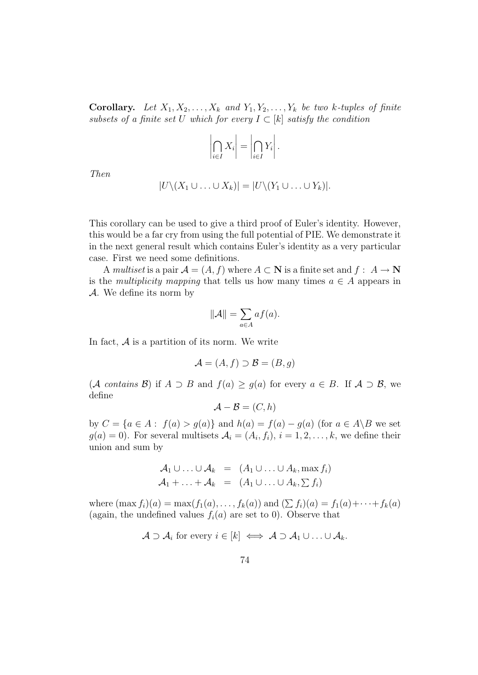**Corollary.** Let  $X_1, X_2, \ldots, X_k$  and  $Y_1, Y_2, \ldots, Y_k$  be two k-tuples of finite subsets of a finite set U which for every  $I \subset [k]$  satisfy the condition

$$
\left|\bigcap_{i\in I} X_i\right| = \left|\bigcap_{i\in I} Y_i\right|.
$$

Then

$$
|U\setminus (X_1\cup\ldots\cup X_k)|=|U\setminus (Y_1\cup\ldots\cup Y_k)|.
$$

This corollary can be used to give a third proof of Euler's identity. However, this would be a far cry from using the full potential of PIE. We demonstrate it in the next general result which contains Euler's identity as a very particular case. First we need some definitions.

A multiset is a pair  $\mathcal{A} = (A, f)$  where  $A \subset \mathbf{N}$  is a finite set and  $f : A \to \mathbf{N}$ is the *multiplicity mapping* that tells us how many times  $a \in A$  appears in  $\mathcal{A}$ . We define its norm by

$$
\|\mathcal{A}\| = \sum_{a \in A} af(a).
$$

In fact,  $A$  is a partition of its norm. We write

$$
\mathcal{A} = (A, f) \supset \mathcal{B} = (B, g)
$$

(A contains B) if  $A \supset B$  and  $f(a) \ge g(a)$  for every  $a \in B$ . If  $A \supset B$ , we define

$$
\mathcal{A} - \mathcal{B} = (C, h)
$$

by  $C = \{a \in A : f(a) > g(a)\}\$  and  $h(a) = f(a) - g(a)$  (for  $a \in A \backslash B$  we set  $g(a) = 0$ ). For several multisets  $\mathcal{A}_i = (A_i, f_i), i = 1, 2, \dots, k$ , we define their union and sum by

$$
\mathcal{A}_1 \cup \ldots \cup \mathcal{A}_k = (A_1 \cup \ldots \cup A_k, \max f_i)
$$
  

$$
\mathcal{A}_1 + \ldots + \mathcal{A}_k = (A_1 \cup \ldots \cup A_k, \sum f_i)
$$

where  $(\max f_i)(a) = \max(f_1(a), \ldots, f_k(a))$  and  $(\sum f_i)(a) = f_1(a) + \cdots + f_k(a)$ (again, the undefined values  $f_i(a)$  are set to 0). Observe that

$$
\mathcal{A} \supset \mathcal{A}_i \text{ for every } i \in [k] \iff \mathcal{A} \supset \mathcal{A}_1 \cup \ldots \cup \mathcal{A}_k.
$$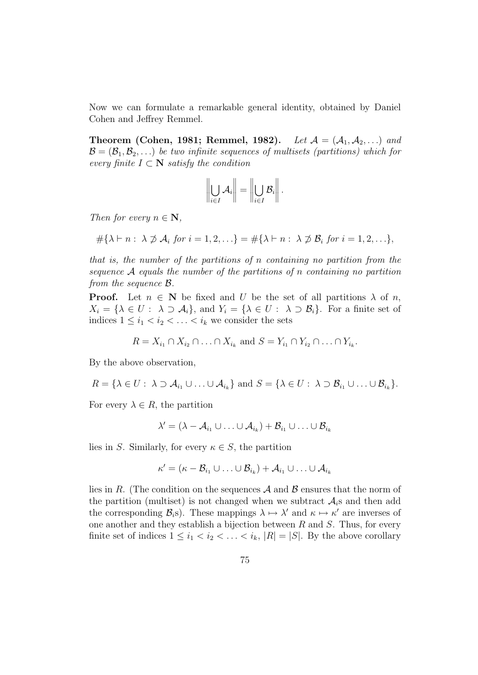Now we can formulate a remarkable general identity, obtained by Daniel Cohen and Jeffrey Remmel.

**Theorem (Cohen, 1981; Remmel, 1982).** Let  $A = (A_1, A_2, \ldots)$  and  $\mathcal{B} = (\mathcal{B}_1, \mathcal{B}_2, \ldots)$  be two infinite sequences of multisets (partitions) which for every finite  $I \subset \mathbb{N}$  satisfy the condition

$$
\left\|\bigcup_{i\in I}\mathcal{A}_i\right\|=\left\|\bigcup_{i\in I}\mathcal{B}_i\right\|.
$$

Then for every  $n \in \mathbb{N}$ ,

$$
\#\{\lambda \vdash n : \lambda \not\supset A_i \text{ for } i = 1, 2, \ldots\} = \#\{\lambda \vdash n : \lambda \not\supset B_i \text{ for } i = 1, 2, \ldots\},\
$$

that is, the number of the partitions of n containing no partition from the sequence A equals the number of the partitions of n containing no partition from the sequence B.

**Proof.** Let  $n \in \mathbb{N}$  be fixed and U be the set of all partitions  $\lambda$  of n,  $X_i = {\lambda \in U : \lambda \supset \mathcal{A}_i}, \text{ and } Y_i = {\lambda \in U : \lambda \supset \mathcal{B}_i}.$  For a finite set of indices  $1 \leq i_1 < i_2 < \ldots < i_k$  we consider the sets

$$
R = X_{i_1} \cap X_{i_2} \cap \ldots \cap X_{i_k} \text{ and } S = Y_{i_1} \cap Y_{i_2} \cap \ldots \cap Y_{i_k}.
$$

By the above observation,

$$
R = \{ \lambda \in U : \ \lambda \supset \mathcal{A}_{i_1} \cup \ldots \cup \mathcal{A}_{i_k} \} \text{ and } S = \{ \lambda \in U : \ \lambda \supset \mathcal{B}_{i_1} \cup \ldots \cup \mathcal{B}_{i_k} \}.
$$

For every  $\lambda \in R$ , the partition

$$
\lambda' = (\lambda - \mathcal{A}_{i_1} \cup \ldots \cup \mathcal{A}_{i_k}) + \mathcal{B}_{i_1} \cup \ldots \cup \mathcal{B}_{i_k}
$$

lies in S. Similarly, for every  $\kappa \in S$ , the partition

$$
\kappa' = (\kappa - \mathcal{B}_{i_1} \cup \ldots \cup \mathcal{B}_{i_k}) + \mathcal{A}_{i_1} \cup \ldots \cup \mathcal{A}_{i_k}
$$

lies in R. (The condition on the sequences  $A$  and  $B$  ensures that the norm of the partition (multiset) is not changed when we subtract  $A_i$ s and then add the corresponding  $\mathcal{B}_i$ s). These mappings  $\lambda \mapsto \lambda'$  and  $\kappa \mapsto \kappa'$  are inverses of one another and they establish a bijection between  $R$  and  $S$ . Thus, for every finite set of indices  $1 \leq i_1 < i_2 < \ldots < i_k$ ,  $|R| = |S|$ . By the above corollary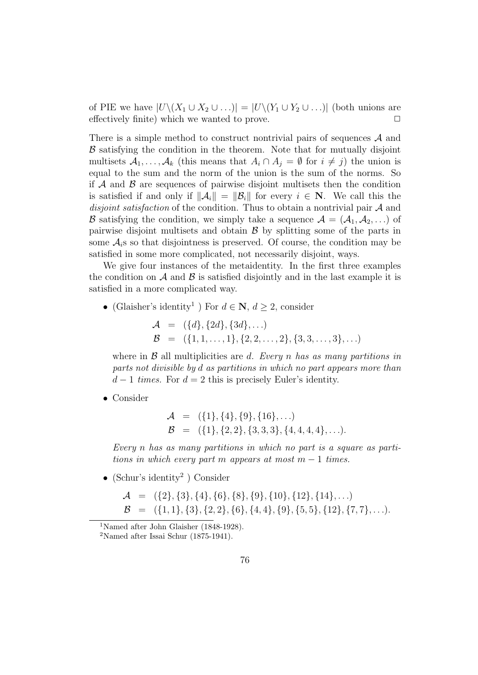of PIE we have  $|U\setminus (X_1\cup X_2\cup ...) = |U\setminus (Y_1\cup Y_2\cup ...)$  (both unions are effectively finite) which we wanted to prove.  $\Box$ 

There is a simple method to construct nontrivial pairs of sequences  $A$  and  $\beta$  satisfying the condition in the theorem. Note that for mutually disjoint multisets  $A_1, \ldots, A_k$  (this means that  $A_i \cap A_j = \emptyset$  for  $i \neq j$ ) the union is equal to the sum and the norm of the union is the sum of the norms. So if  $A$  and  $B$  are sequences of pairwise disjoint multisets then the condition is satisfied if and only if  $\|\mathcal{A}_i\| = \|\mathcal{B}_i\|$  for every  $i \in \mathbb{N}$ . We call this the disjoint satisfaction of the condition. Thus to obtain a nontrivial pair A and **B** satisfying the condition, we simply take a sequence  $A = (A_1, A_2, ...)$  of pairwise disjoint multisets and obtain  $\beta$  by splitting some of the parts in some  $\mathcal{A}_i$ s so that disjointness is preserved. Of course, the condition may be satisfied in some more complicated, not necessarily disjoint, ways.

We give four instances of the metaidentity. In the first three examples the condition on  $\mathcal A$  and  $\mathcal B$  is satisfied disjointly and in the last example it is satisfied in a more complicated way.

• (Glaisher's identity<sup>1</sup>) For  $d \in \mathbb{N}$ ,  $d \geq 2$ , consider

 $\mathcal{A} = (\{d\}, \{2d\}, \{3d\}, \ldots)$  $\mathcal{B} = \{ \{1, 1, \ldots, 1\}, \{2, 2, \ldots, 2\}, \{3, 3, \ldots, 3\}, \ldots \}$ 

where in  $\beta$  all multiplicities are d. Every n has as many partitions in parts not divisible by d as partitions in which no part appears more than  $d-1$  times. For  $d=2$  this is precisely Euler's identity.

• Consider

$$
\mathcal{A} = (\{1\}, \{4\}, \{9\}, \{16\}, \ldots) \n\mathcal{B} = (\{1\}, \{2, 2\}, \{3, 3, 3\}, \{4, 4, 4, 4\}, \ldots).
$$

Every n has as many partitions in which no part is a square as partitions in which every part m appears at most  $m-1$  times.

• (Schur's identity<sup>2</sup> ) Consider

$$
\mathcal{A} = (\{2\}, \{3\}, \{4\}, \{6\}, \{8\}, \{9\}, \{10\}, \{12\}, \{14\}, \ldots) \n\mathcal{B} = (\{1, 1\}, \{3\}, \{2, 2\}, \{6\}, \{4, 4\}, \{9\}, \{5, 5\}, \{12\}, \{7, 7\}, \ldots).
$$

<sup>&</sup>lt;sup>1</sup>Named after John Glaisher (1848-1928).

<sup>2</sup>Named after Issai Schur (1875-1941).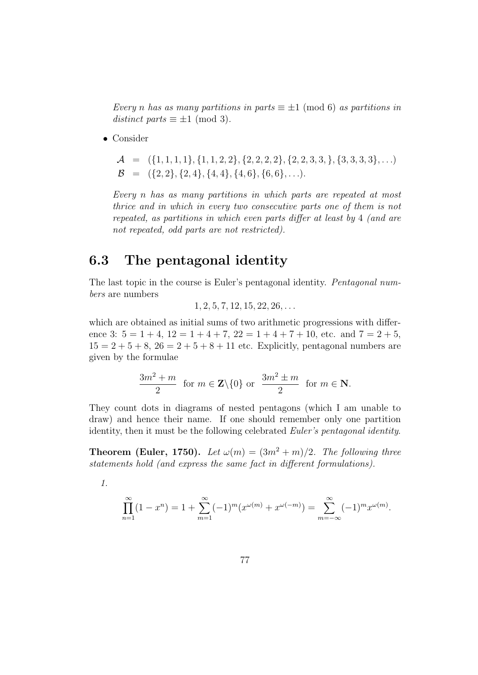Every n has as many partitions in parts  $\equiv \pm 1 \pmod{6}$  as partitions in distinct parts  $\equiv \pm 1 \pmod{3}$ .

• Consider

 $\mathcal{A} = \{ \{1, 1, 1, 1\}, \{1, 1, 2, 2\}, \{2, 2, 2, 2\}, \{2, 2, 3, 3, \}, \{3, 3, 3, 3\}, \ldots \}$  $\mathcal{B} = \{ \{2, 2\}, \{2, 4\}, \{4, 4\}, \{4, 6\}, \{6, 6\}, \ldots \}.$ 

Every n has as many partitions in which parts are repeated at most thrice and in which in every two consecutive parts one of them is not repeated, as partitions in which even parts differ at least by 4 (and are not repeated, odd parts are not restricted).

#### 6.3 The pentagonal identity

The last topic in the course is Euler's pentagonal identity. Pentagonal numbers are numbers

$$
1, 2, 5, 7, 12, 15, 22, 26, \ldots
$$

which are obtained as initial sums of two arithmetic progressions with difference 3:  $5 = 1 + 4$ ,  $12 = 1 + 4 + 7$ ,  $22 = 1 + 4 + 7 + 10$ , etc. and  $7 = 2 + 5$ ,  $15 = 2 + 5 + 8$ ,  $26 = 2 + 5 + 8 + 11$  etc. Explicitly, pentagonal numbers are given by the formulae

$$
\frac{3m^2 + m}{2} \text{ for } m \in \mathbf{Z} \setminus \{0\} \text{ or } \frac{3m^2 \pm m}{2} \text{ for } m \in \mathbf{N}.
$$

They count dots in diagrams of nested pentagons (which I am unable to draw) and hence their name. If one should remember only one partition identity, then it must be the following celebrated Euler's pentagonal identity.

**Theorem (Euler, 1750).** Let  $\omega(m) = (3m^2 + m)/2$ . The following three statements hold (and express the same fact in different formulations).

1.

$$
\prod_{n=1}^{\infty} (1 - x^n) = 1 + \sum_{m=1}^{\infty} (-1)^m (x^{\omega(m)} + x^{\omega(-m)}) = \sum_{m=-\infty}^{\infty} (-1)^m x^{\omega(m)}.
$$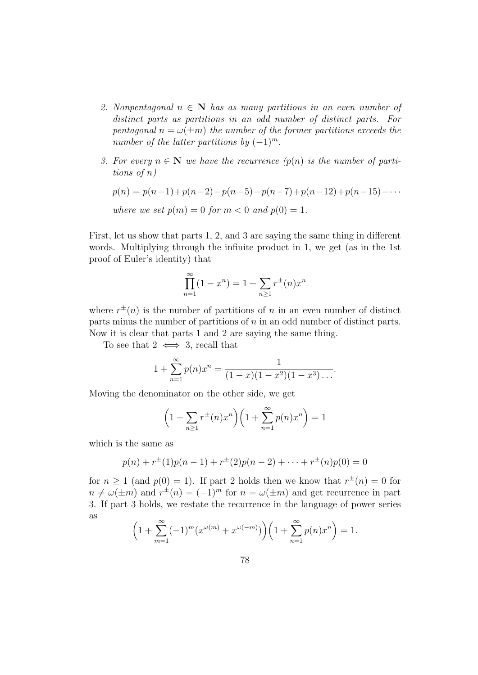- 2. Nonpentagonal  $n \in \mathbb{N}$  has as many partitions in an even number of distinct parts as partitions in an odd number of distinct parts. For pentagonal  $n = \omega(\pm m)$  the number of the former partitions exceeds the number of the latter partitions by  $(-1)^m$ .
- 3. For every  $n \in \mathbb{N}$  we have the recurrence  $(p(n))$  is the number of partitions of n)

$$
p(n) = p(n-1) + p(n-2) - p(n-5) - p(n-7) + p(n-12) + p(n-15) - \cdots
$$
  
where we set  $p(m) = 0$  for  $m < 0$  and  $p(0) = 1$ .

First, let us show that parts 1, 2, and 3 are saying the same thing in different words. Multiplying through the infinite product in 1, we get (as in the 1st proof of Euler's identity) that

$$
\prod_{n=1}^{\infty} (1 - x^n) = 1 + \sum_{n \ge 1} r^{\pm}(n) x^n
$$

where  $r^{\pm}(n)$  is the number of partitions of n in an even number of distinct parts minus the number of partitions of  $n$  in an odd number of distinct parts. Now it is clear that parts 1 and 2 are saying the same thing.

To see that  $2 \iff 3$ , recall that

$$
1 + \sum_{n=1}^{\infty} p(n)x^n = \frac{1}{(1-x)(1-x^2)(1-x^3)\dots}.
$$

Moving the denominator on the other side, we get

$$
\left(1 + \sum_{n\geq 1} r^{\pm}(n)x^n\right)\left(1 + \sum_{n=1}^{\infty} p(n)x^n\right) = 1
$$

which is the same as

$$
p(n) + r^{\pm}(1)p(n-1) + r^{\pm}(2)p(n-2) + \cdots + r^{\pm}(n)p(0) = 0
$$

for  $n \geq 1$  (and  $p(0) = 1$ ). If part 2 holds then we know that  $r^{\pm}(n) = 0$  for  $n \neq \omega(\pm m)$  and  $r^{\pm}(n) = (-1)^m$  for  $n = \omega(\pm m)$  and get recurrence in part 3. If part 3 holds, we restate the recurrence in the language of power series as

$$
\left(1 + \sum_{m=1}^{\infty} (-1)^m (x^{\omega(m)} + x^{\omega(-m)})\right) \left(1 + \sum_{n=1}^{\infty} p(n) x^n\right) = 1.
$$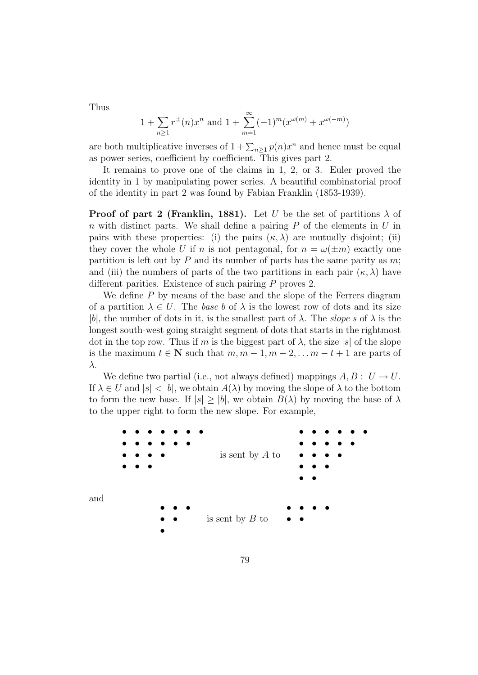Thus

$$
1 + \sum_{n\geq 1} r^{\pm}(n)x^n
$$
 and  $1 + \sum_{m=1}^{\infty} (-1)^m (x^{\omega(m)} + x^{\omega(-m)})$ 

are both multiplicative inverses of  $1 + \sum_{n\geq 1} p(n)x^n$  and hence must be equal as power series, coefficient by coefficient. This gives part 2.

It remains to prove one of the claims in 1, 2, or 3. Euler proved the identity in 1 by manipulating power series. A beautiful combinatorial proof of the identity in part 2 was found by Fabian Franklin (1853-1939).

**Proof of part 2 (Franklin, 1881).** Let U be the set of partitions  $\lambda$  of n with distinct parts. We shall define a pairing  $P$  of the elements in  $U$  in pairs with these properties: (i) the pairs  $(\kappa, \lambda)$  are mutually disjoint; (ii) they cover the whole U if n is not pentagonal, for  $n = \omega(\pm m)$  exactly one partition is left out by  $P$  and its number of parts has the same parity as  $m$ ; and (iii) the numbers of parts of the two partitions in each pair  $(\kappa, \lambda)$  have different parities. Existence of such pairing P proves 2.

We define  $P$  by means of the base and the slope of the Ferrers diagram of a partition  $\lambda \in U$ . The base b of  $\lambda$  is the lowest row of dots and its size |b|, the number of dots in it, is the smallest part of  $\lambda$ . The slope s of  $\lambda$  is the longest south-west going straight segment of dots that starts in the rightmost dot in the top row. Thus if m is the biggest part of  $\lambda$ , the size  $|s|$  of the slope is the maximum  $t \in \mathbb{N}$  such that  $m, m-1, m-2, \ldots m-t+1$  are parts of λ.

We define two partial (i.e., not always defined) mappings  $A, B : U \rightarrow U$ . If  $\lambda \in U$  and  $|s| < |b|$ , we obtain  $A(\lambda)$  by moving the slope of  $\lambda$  to the bottom to form the new base. If  $|s| > |b|$ , we obtain  $B(\lambda)$  by moving the base of  $\lambda$ to the upper right to form the new slope. For example,

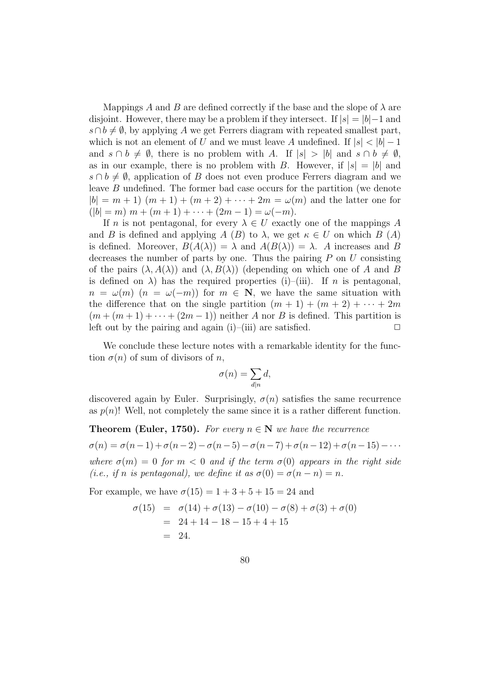Mappings A and B are defined correctly if the base and the slope of  $\lambda$  are disjoint. However, there may be a problem if they intersect. If  $|s| = |b|-1$  and  $s \cap b \neq \emptyset$ , by applying A we get Ferrers diagram with repeated smallest part, which is not an element of U and we must leave A undefined. If  $|s| < |b| - 1$ and  $s \cap b \neq \emptyset$ , there is no problem with A. If  $|s| > |b|$  and  $s \cap b \neq \emptyset$ , as in our example, there is no problem with B. However, if  $|s| = |b|$  and  $s \cap b \neq \emptyset$ , application of B does not even produce Ferrers diagram and we leave B undefined. The former bad case occurs for the partition (we denote  $|b| = m + 1$   $(m + 1) + (m + 2) + \cdots + 2m = \omega(m)$  and the latter one for  $(|b| = m)$  m +  $(m + 1) + \cdots + (2m - 1) = \omega(-m)$ .

If n is not pentagonal, for every  $\lambda \in U$  exactly one of the mappings A and B is defined and applying A (B) to  $\lambda$ , we get  $\kappa \in U$  on which B (A) is defined. Moreover,  $B(A(\lambda)) = \lambda$  and  $A(B(\lambda)) = \lambda$ . A increases and B decreases the number of parts by one. Thus the pairing  $P$  on  $U$  consisting of the pairs  $(\lambda, A(\lambda))$  and  $(\lambda, B(\lambda))$  (depending on which one of A and B is defined on  $\lambda$ ) has the required properties (i)–(iii). If *n* is pentagonal,  $n = \omega(m)$   $(n = \omega(-m))$  for  $m \in \mathbb{N}$ , we have the same situation with the difference that on the single partition  $(m + 1) + (m + 2) + \cdots + 2m$  $(m + (m + 1) + \cdots + (2m - 1))$  neither A nor B is defined. This partition is left out by the pairing and again (i)–(iii) are satisfied.  $\Box$ 

We conclude these lecture notes with a remarkable identity for the function  $\sigma(n)$  of sum of divisors of n,

$$
\sigma(n) = \sum_{d|n} d,
$$

discovered again by Euler. Surprisingly,  $\sigma(n)$  satisfies the same recurrence as  $p(n)!$  Well, not completely the same since it is a rather different function.

**Theorem (Euler, 1750).** For every  $n \in \mathbb{N}$  we have the recurrence

 $\sigma(n) = \sigma(n-1) + \sigma(n-2) - \sigma(n-5) - \sigma(n-7) + \sigma(n-12) + \sigma(n-15) - \cdots$ 

where  $\sigma(m) = 0$  for  $m < 0$  and if the term  $\sigma(0)$  appears in the right side (i.e., if n is pentagonal), we define it as  $\sigma(0) = \sigma(n - n) = n$ .

For example, we have  $\sigma(15) = 1 + 3 + 5 + 15 = 24$  and

$$
\begin{aligned} \sigma(15) &= \sigma(14) + \sigma(13) - \sigma(10) - \sigma(8) + \sigma(3) + \sigma(0) \\ &= 24 + 14 - 18 - 15 + 4 + 15 \\ &= 24. \end{aligned}
$$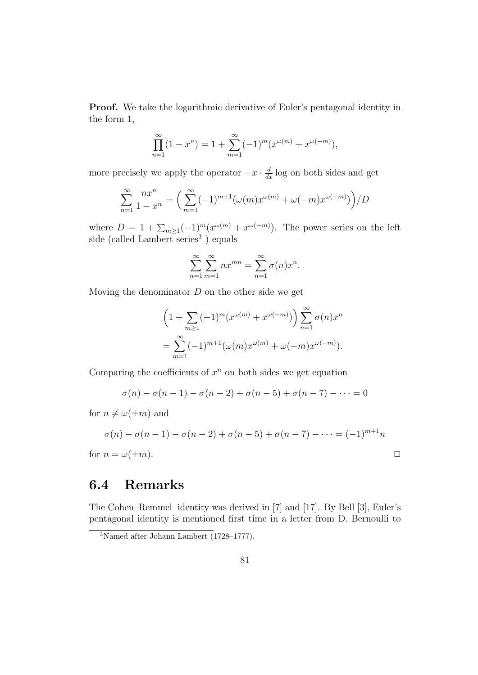**Proof.** We take the logarithmic derivative of Euler's pentagonal identity in the form 1,

$$
\prod_{n=1}^{\infty} (1 - x^n) = 1 + \sum_{m=1}^{\infty} (-1)^m (x^{\omega(m)} + x^{\omega(-m)}),
$$

more precisely we apply the operator  $-x \cdot \frac{d}{dx} \log$  on both sides and get

$$
\sum_{n=1}^{\infty} \frac{nx^n}{1-x^n} = \left(\sum_{m=1}^{\infty} (-1)^{m+1} (\omega(m)x^{\omega(m)} + \omega(-m)x^{\omega(-m)})\right) / D
$$

where  $D = 1 + \sum_{m \geq 1} (-1)^m (x^{\omega(m)} + x^{\omega(-m)})$ . The power series on the left side (called Lambert series<sup>3</sup>) equals

$$
\sum_{n=1}^{\infty} \sum_{m=1}^{\infty} nx^{mn} = \sum_{n=1}^{\infty} \sigma(n)x^n.
$$

Moving the denominator  $D$  on the other side we get

$$
\left(1 + \sum_{m\geq 1} (-1)^m (x^{\omega(m)} + x^{\omega(-m)})\right) \sum_{n=1}^{\infty} \sigma(n) x^n
$$
  
= 
$$
\sum_{m=1}^{\infty} (-1)^{m+1} (\omega(m) x^{\omega(m)} + \omega(-m) x^{\omega(-m)}).
$$

Comparing the coefficients of  $x^n$  on both sides we get equation

$$
\sigma(n) - \sigma(n-1) - \sigma(n-2) + \sigma(n-5) + \sigma(n-7) - \cdots = 0
$$

for  $n \neq \omega(\pm m)$  and

$$
\sigma(n) - \sigma(n-1) - \sigma(n-2) + \sigma(n-5) + \sigma(n-7) - \dots = (-1)^{m+1}n
$$

for  $n = \omega(\pm m)$ .

#### 6.4 Remarks

The Cohen–Remmel identity was derived in [7] and [17]. By Bell [3], Euler's pentagonal identity is mentioned first time in a letter from D. Bernoulli to

<sup>3</sup>Named after Johann Lambert (1728–1777).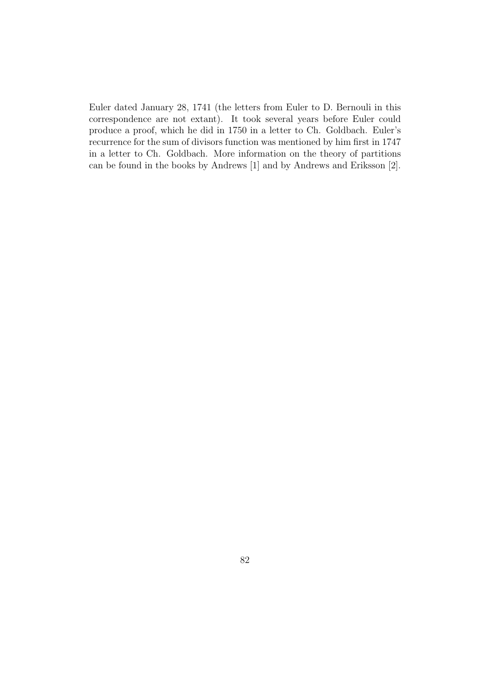Euler dated January 28, 1741 (the letters from Euler to D. Bernouli in this correspondence are not extant). It took several years before Euler could produce a proof, which he did in 1750 in a letter to Ch. Goldbach. Euler's recurrence for the sum of divisors function was mentioned by him first in 1747 in a letter to Ch. Goldbach. More information on the theory of partitions can be found in the books by Andrews [1] and by Andrews and Eriksson [2].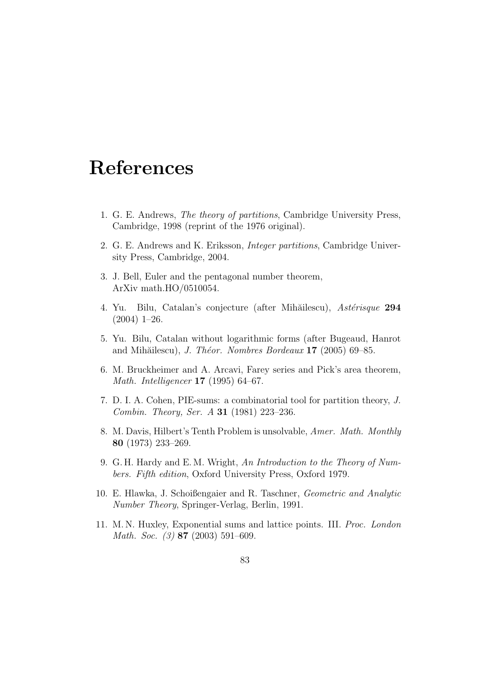# References

- 1. G. E. Andrews, The theory of partitions, Cambridge University Press, Cambridge, 1998 (reprint of the 1976 original).
- 2. G. E. Andrews and K. Eriksson, Integer partitions, Cambridge University Press, Cambridge, 2004.
- 3. J. Bell, Euler and the pentagonal number theorem, ArXiv math.HO/0510054.
- 4. Yu. Bilu, Catalan's conjecture (after Mihăilescu), Astérisque 294 (2004) 1–26.
- 5. Yu. Bilu, Catalan without logarithmic forms (after Bugeaud, Hanrot and Mihăilescu), J. Théor. Nombres Bordeaux  $17$  (2005) 69–85.
- 6. M. Bruckheimer and A. Arcavi, Farey series and Pick's area theorem, Math. Intelligencer 17 (1995) 64–67.
- 7. D. I. A. Cohen, PIE-sums: a combinatorial tool for partition theory, J. Combin. Theory, Ser. A 31 (1981) 223–236.
- 8. M. Davis, Hilbert's Tenth Problem is unsolvable, Amer. Math. Monthly 80 (1973) 233–269.
- 9. G. H. Hardy and E. M. Wright, An Introduction to the Theory of Numbers. Fifth edition, Oxford University Press, Oxford 1979.
- 10. E. Hlawka, J. Schoißengaier and R. Taschner, Geometric and Analytic Number Theory, Springer-Verlag, Berlin, 1991.
- 11. M. N. Huxley, Exponential sums and lattice points. III. Proc. London Math. Soc. (3) **87** (2003) 591–609.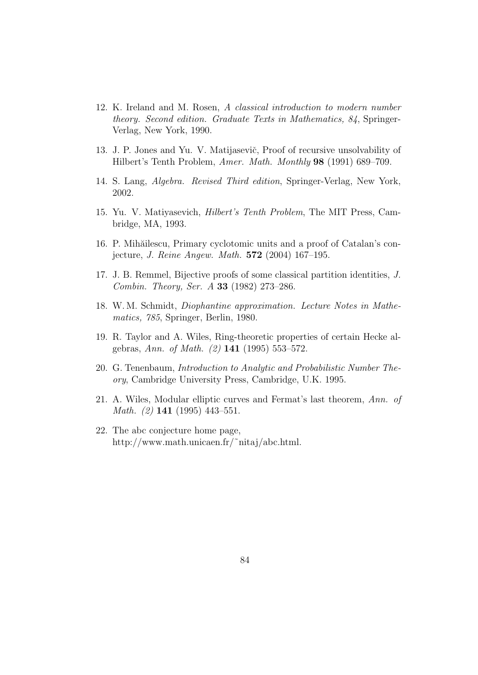- 12. K. Ireland and M. Rosen, A classical introduction to modern number theory. Second edition. Graduate Texts in Mathematics, 84, Springer-Verlag, New York, 1990.
- 13. J. P. Jones and Yu. V. Matijaseviˇc, Proof of recursive unsolvability of Hilbert's Tenth Problem, Amer. Math. Monthly 98 (1991) 689–709.
- 14. S. Lang, Algebra. Revised Third edition, Springer-Verlag, New York, 2002.
- 15. Yu. V. Matiyasevich, Hilbert's Tenth Problem, The MIT Press, Cambridge, MA, 1993.
- 16. P. Mihăilescu, Primary cyclotomic units and a proof of Catalan's conjecture, J. Reine Angew. Math. 572 (2004) 167–195.
- 17. J. B. Remmel, Bijective proofs of some classical partition identities, J. Combin. Theory, Ser. A 33 (1982) 273–286.
- 18. W. M. Schmidt, Diophantine approximation. Lecture Notes in Mathematics, 785, Springer, Berlin, 1980.
- 19. R. Taylor and A. Wiles, Ring-theoretic properties of certain Hecke algebras, Ann. of Math. (2) 141 (1995) 553–572.
- 20. G. Tenenbaum, Introduction to Analytic and Probabilistic Number Theory, Cambridge University Press, Cambridge, U.K. 1995.
- 21. A. Wiles, Modular elliptic curves and Fermat's last theorem, Ann. of Math. (2) 141 (1995) 443–551.
- 22. The abc conjecture home page, http://www.math.unicaen.fr/˜nitaj/abc.html.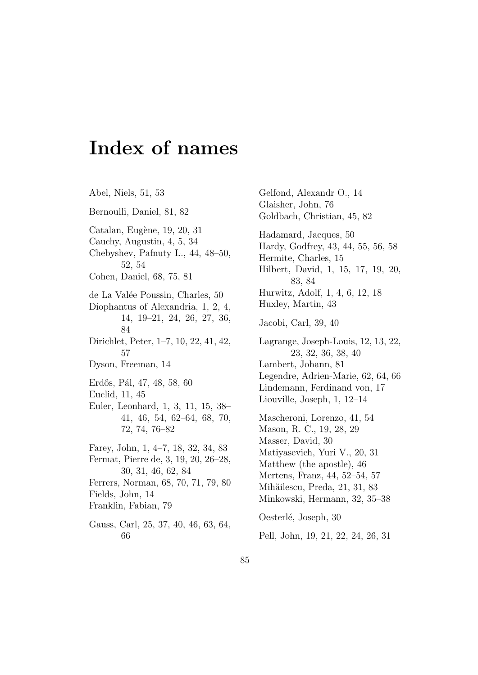## Index of names

Abel, Niels, 51, 53 Bernoulli, Daniel, 81, 82 Catalan, Eugène, 19, 20, 31 Cauchy, Augustin, 4, 5, 34 Chebyshev, Pafnuty L., 44, 48–50, 52, 54 Cohen, Daniel, 68, 75, 81 de La Valée Poussin, Charles, 50 Diophantus of Alexandria, 1, 2, 4, 14, 19–21, 24, 26, 27, 36, 84 Dirichlet, Peter, 1–7, 10, 22, 41, 42, 57 Dyson, Freeman, 14 Erdős, Pál, 47, 48, 58, 60 Euclid, 11, 45 Euler, Leonhard, 1, 3, 11, 15, 38– 41, 46, 54, 62–64, 68, 70, 72, 74, 76–82 Farey, John, 1, 4–7, 18, 32, 34, 83 Fermat, Pierre de, 3, 19, 20, 26–28, 30, 31, 46, 62, 84 Ferrers, Norman, 68, 70, 71, 79, 80 Fields, John, 14 Franklin, Fabian, 79 Gauss, Carl, 25, 37, 40, 46, 63, 64, 66

Gelfond, Alexandr O., 14 Glaisher, John, 76 Goldbach, Christian, 45, 82 Hadamard, Jacques, 50 Hardy, Godfrey, 43, 44, 55, 56, 58 Hermite, Charles, 15 Hilbert, David, 1, 15, 17, 19, 20, 83, 84 Hurwitz, Adolf, 1, 4, 6, 12, 18 Huxley, Martin, 43 Jacobi, Carl, 39, 40 Lagrange, Joseph-Louis, 12, 13, 22, 23, 32, 36, 38, 40 Lambert, Johann, 81 Legendre, Adrien-Marie, 62, 64, 66 Lindemann, Ferdinand von, 17 Liouville, Joseph, 1, 12–14 Mascheroni, Lorenzo, 41, 54 Mason, R. C., 19, 28, 29 Masser, David, 30 Matiyasevich, Yuri V., 20, 31 Matthew (the apostle), 46 Mertens, Franz, 44, 52–54, 57 Mihăilescu, Preda, 21, 31, 83 Minkowski, Hermann, 32, 35–38 Oesterlé, Joseph, 30 Pell, John, 19, 21, 22, 24, 26, 31